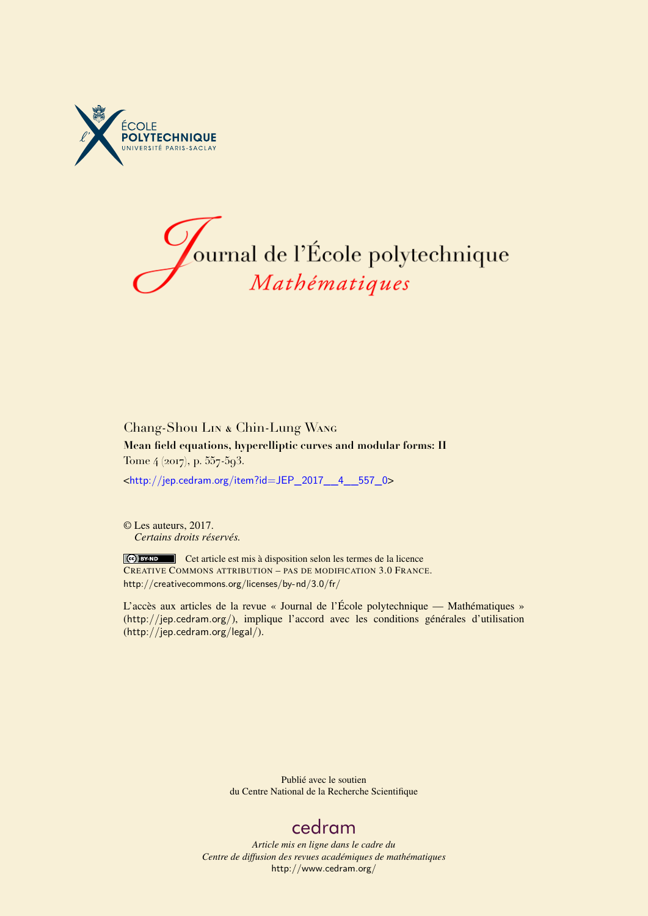



# Chang-Shou Lin & Chin-Lung Wang **Mean field equations, hyperelliptic curves and modular forms: II** Tome 4 (2017), p. 557-593.

<[http://jep.cedram.org/item?id=JEP\\_2017\\_\\_4\\_\\_557\\_0](http://jep.cedram.org/item?id=JEP_2017__4__557_0)>

© Les auteurs, 2017. *Certains droits réservés.*

Cet article est mis à disposition selon les termes de la licence CREATIVE COMMONS ATTRIBUTION – PAS DE MODIFICATION 3.0 FRANCE. <http://creativecommons.org/licenses/by-nd/3.0/fr/>

L'accès aux articles de la revue « Journal de l'École polytechnique — Mathématiques » (<http://jep.cedram.org/>), implique l'accord avec les conditions générales d'utilisation (<http://jep.cedram.org/legal/>).

> Publié avec le soutien du Centre National de la Recherche Scientifique

# [cedram](http://www.cedram.org/)

*Article mis en ligne dans le cadre du Centre de diffusion des revues académiques de mathématiques* <http://www.cedram.org/>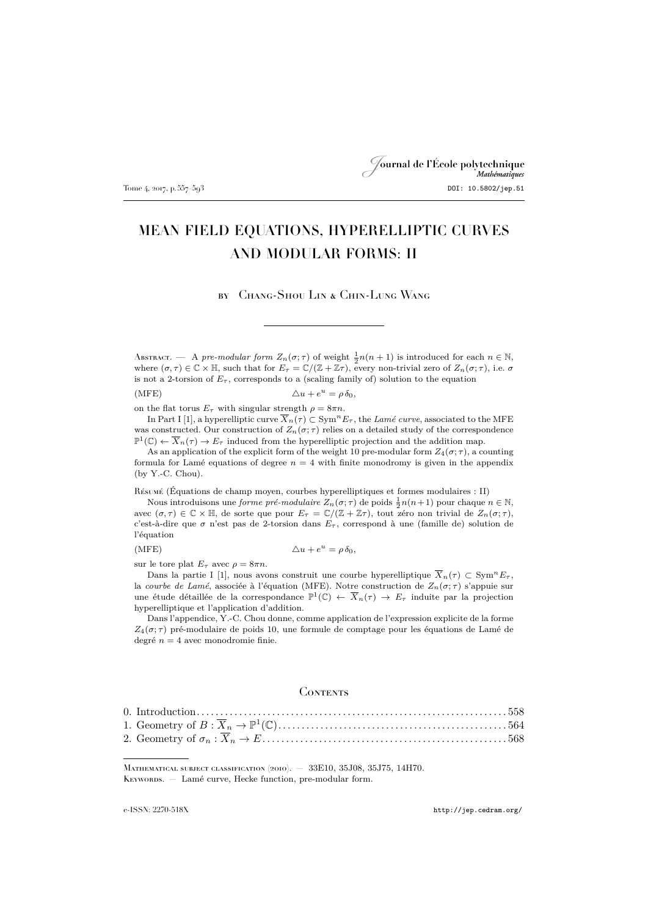# Journal de l'École polytechnique Tome 4, 2017, p. 557–593 DOI: 10.5802/jep.51

# MEAN FIELD EQUATIONS, HYPERELLIPTIC CURVES AND MODULAR FORMS: II

by Chang-Shou Lin & Chin-Lung Wang

Abstract. — A *pre-modular form*  $Z_n(\sigma;\tau)$  of weight  $\frac{1}{2}n(n+1)$  is introduced for each  $n \in \mathbb{N}$ , where  $(\sigma, \tau) \in \mathbb{C} \times \mathbb{H}$ , such that for  $E_{\tau} = \mathbb{C}/(\mathbb{Z} + \mathbb{Z}\tau)$ , every non-trivial zero of  $Z_n(\sigma; \tau)$ , i.e.  $\sigma$ is not a 2-torsion of  $E_{\tau}$ , corresponds to a (scaling family of) solution to the equation

(MFE)  $\Delta u + e^u = \rho \, \delta_0,$ 

on the flat torus  $E_{\tau}$  with singular strength  $\rho = 8\pi n$ .

In Part I [\[1\]](#page-37-0), a hyperelliptic curve  $\overline{X}_n(\tau) \subset \text{Sym}^n E_\tau$ , the *Lamé curve*, associated to the MFE was constructed. Our construction of  $Z_n(\sigma;\tau)$  relies on a detailed study of the correspondence  $\mathbb{P}^1(\mathbb{C}) \leftarrow \overline{X}_n(\tau) \to E_{\tau}$  induced from the hyperelliptic projection and the addition map.

As an application of the explicit form of the weight 10 pre-modular form  $Z_4(\sigma;\tau)$ , a counting formula for Lamé equations of degree  $n = 4$  with finite monodromy is given in the appendix (by Y.-C. Chou).

Résumé (Équations de champ moyen, courbes hyperelliptiques et formes modulaires : II)

Nous introduisons une *forme pré-modulaire*  $Z_n(\sigma; \tau)$  de poids  $\frac{1}{2}n(n+1)$  pour chaque  $n \in \mathbb{N}$ , avec  $(\sigma, \tau) \in \mathbb{C} \times \mathbb{H}$ , de sorte que pour  $E_{\tau} = \mathbb{C}/(\mathbb{Z} + \mathbb{Z}\tau)$ , tout zéro non trivial de  $Z_n(\sigma; \tau)$ , c'est-à-dire que  $\sigma$  n'est pas de 2-torsion dans  $E_{\tau}$ , correspond à une (famille de) solution de l'équation

 $(MFE)$ 

$$
\Delta u + e^u = \rho \, \delta_0,
$$

sur le tore plat  $E_{\tau}$  avec  $\rho = 8\pi n$ .

Dans la partie I [\[1\]](#page-37-0), nous avons construit une courbe hyperelliptique  $\overline{X}_n(\tau) \subset \text{Sym}^n E_\tau$ , la *courbe de Lamé*, associée à l'équation (MFE). Notre construction de  $Z_n(\sigma;\tau)$  s'appuie sur une étude détaillée de la correspondance  $\mathbb{P}^1(\mathbb{C}) \leftarrow \overline{X}_n(\tau) \to E_\tau$  induite par la projection hyperelliptique et l'application d'addition.

Dans l'appendice, Y.-C. Chou donne, comme application de l'expression explicite de la forme  $Z_4(\sigma;\tau)$  pré-modulaire de poids 10, une formule de comptage pour les équations de Lamé de degré  $n = 4$  avec monodromie finie.

#### **CONTENTS**

Mathematical subject classification (2010). — 33E10, 35J08, 35J75, 14H70. KEYWORDS. - Lamé curve, Hecke function, pre-modular form.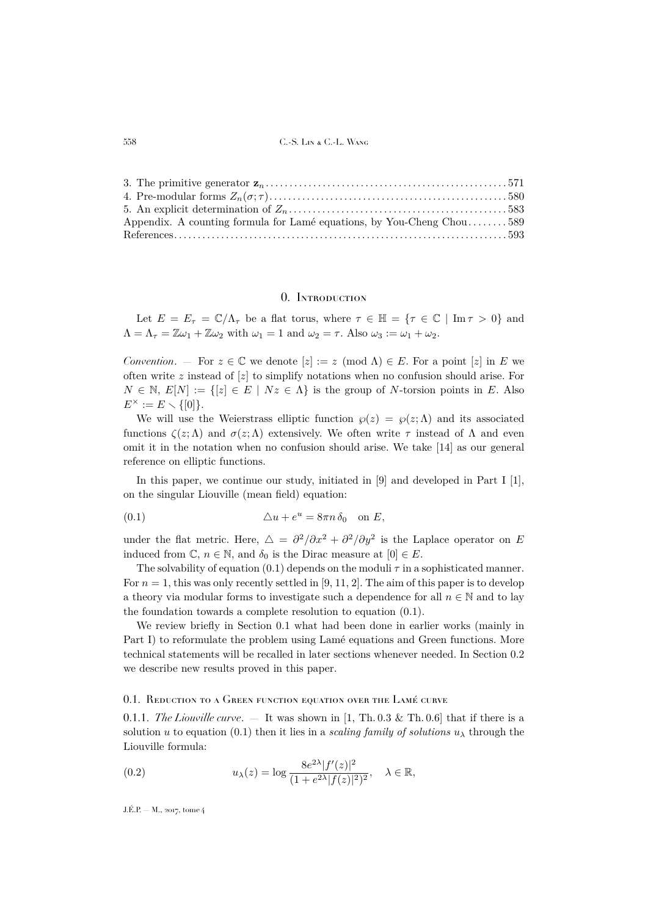| Appendix. A counting formula for Lamé equations, by You-Cheng Chou589 |  |
|-----------------------------------------------------------------------|--|
|                                                                       |  |

### 0. Introduction

<span id="page-2-0"></span>Let  $E = E_{\tau} = \mathbb{C}/\Lambda_{\tau}$  be a flat torus, where  $\tau \in \mathbb{H} = {\tau \in \mathbb{C} \mid \text{Im} \tau > 0}$  and  $\Lambda = \Lambda_{\tau} = \mathbb{Z}\omega_1 + \mathbb{Z}\omega_2$  with  $\omega_1 = 1$  and  $\omega_2 = \tau$ . Also  $\omega_3 := \omega_1 + \omega_2$ .

*Convention.* – For  $z \in \mathbb{C}$  we denote  $[z] := z \pmod{\Lambda} \in E$ . For a point  $[z]$  in E we often write  $z$  instead of  $[z]$  to simplify notations when no confusion should arise. For  $N \in \mathbb{N}, E[N] := \{ [z] \in E \mid Nz \in \Lambda \}$  is the group of N-torsion points in E. Also  $E^{\times} := E \setminus \{ [0] \}.$ 

We will use the Weierstrass elliptic function  $\varphi(z) = \varphi(z; \Lambda)$  and its associated functions  $\zeta(z;\Lambda)$  and  $\sigma(z;\Lambda)$  extensively. We often write  $\tau$  instead of  $\Lambda$  and even omit it in the notation when no confusion should arise. We take [\[14\]](#page-37-2) as our general reference on elliptic functions.

In this paper, we continue our study, initiated in [\[9\]](#page-37-3) and developed in Part I [\[1\]](#page-37-0), on the singular Liouville (mean field) equation:

<span id="page-2-1"></span>(0.1) 
$$
\Delta u + e^u = 8\pi n \delta_0 \quad \text{on } E,
$$

under the flat metric. Here,  $\Delta = \frac{\partial^2}{\partial x^2} + \frac{\partial^2}{\partial y^2}$  is the Laplace operator on E induced from  $\mathbb{C}, n \in \mathbb{N}$ , and  $\delta_0$  is the Dirac measure at  $[0] \in E$ .

The solvability of equation [\(0.1\)](#page-2-1) depends on the moduli  $\tau$  in a sophisticated manner. For  $n = 1$ , this was only recently settled in [\[9,](#page-37-3) [11,](#page-37-4) [2\]](#page-37-5). The aim of this paper is to develop a theory via modular forms to investigate such a dependence for all  $n \in \mathbb{N}$  and to lay the foundation towards a complete resolution to equation [\(0.1\)](#page-2-1).

We review briefly in Section [0.1](#page-2-2) what had been done in earlier works (mainly in Part I) to reformulate the problem using Lamé equations and Green functions. More technical statements will be recalled in later sections whenever needed. In Section [0.2](#page-4-0) we describe new results proved in this paper.

#### <span id="page-2-2"></span>0.1. REDUCTION TO A GREEN FUNCTION EQUATION OVER THE LAMÉ CURVE

<span id="page-2-4"></span>0.1.1. *The Liouville curve.*  $-$  It was shown in [\[1,](#page-37-0) Th. 0.3 & Th. 0.6] that if there is a solution u to equation [\(0.1\)](#page-2-1) then it lies in a *scaling family of solutions*  $u_{\lambda}$  through the Liouville formula:

<span id="page-2-3"></span>(0.2) 
$$
u_{\lambda}(z) = \log \frac{8e^{2\lambda} |f'(z)|^2}{(1 + e^{2\lambda} |f(z)|^2)^2}, \quad \lambda \in \mathbb{R},
$$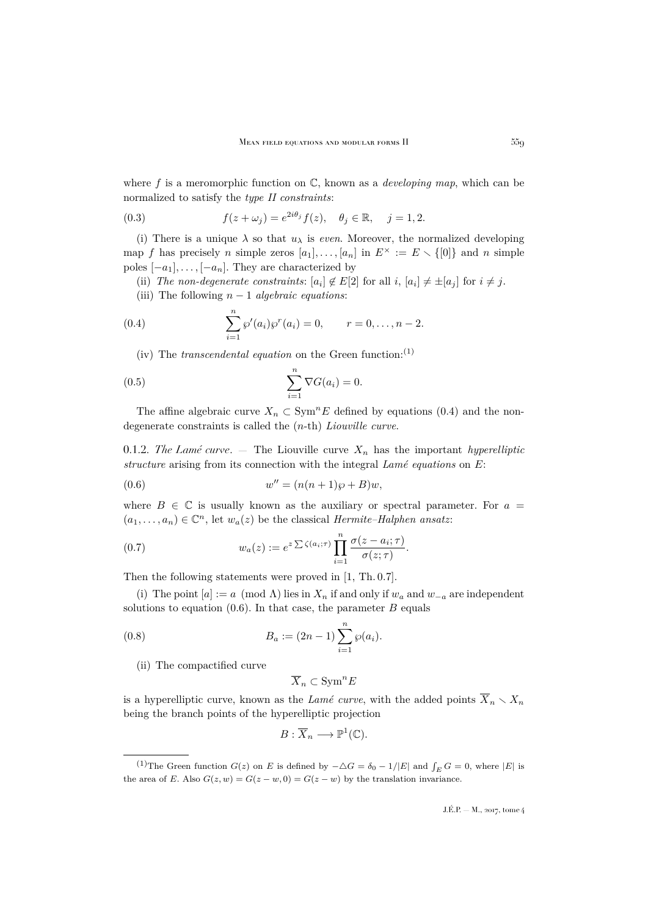where f is a meromorphic function on C, known as a *developing map*, which can be normalized to satisfy the *type II constraints*:

<span id="page-3-4"></span>(0.3) 
$$
f(z + \omega_j) = e^{2i\theta_j} f(z), \quad \theta_j \in \mathbb{R}, \quad j = 1, 2.
$$

(i) There is a unique  $\lambda$  so that  $u_{\lambda}$  is *even*. Moreover, the normalized developing map f has precisely n simple zeros  $[a_1], \ldots, [a_n]$  in  $E^{\times} := E \setminus \{0\}$  and n simple poles  $[-a_1], \ldots, [-a_n]$ . They are characterized by

(ii) The non-degenerate constraints:  $[a_i] \notin E[2]$  for all  $i, [a_i] \neq \pm [a_j]$  for  $i \neq j$ .

<span id="page-3-0"></span>(iii) The following n − 1 *algebraic equations*:

(0.4) 
$$
\sum_{i=1}^{n} \wp'(a_i) \wp^{r}(a_i) = 0, \qquad r = 0, \ldots, n-2.
$$

<span id="page-3-2"></span>(iv) The *transcendental equation* on the Green function:<sup>(1)</sup>

(0.5) 
$$
\sum_{i=1}^{n} \nabla G(a_i) = 0.
$$

The affine algebraic curve  $X_n \text{ }\subset \text{Sym}^n E$  defined by equations [\(0.4\)](#page-3-0) and the nondegenerate constraints is called the (n-th) *Liouville curve*.

<span id="page-3-5"></span>0.1.2. *The Lamé curve.*  $-$  The Liouville curve  $X_n$  has the important *hyperelliptic structure* arising from its connection with the integral *Lamé equations* on E:

<span id="page-3-1"></span>(0.6) 
$$
w'' = (n(n+1)\wp + B)w,
$$

where  $B \in \mathbb{C}$  is usually known as the auxiliary or spectral parameter. For  $a =$  $(a_1, \ldots, a_n) \in \mathbb{C}^n$ , let  $w_a(z)$  be the classical *Hermite–Halphen ansatz*:

<span id="page-3-3"></span>(0.7) 
$$
w_a(z) := e^{z \sum \zeta(a_i;\tau)} \prod_{i=1}^n \frac{\sigma(z-a_i;\tau)}{\sigma(z;\tau)}.
$$

Then the following statements were proved in [\[1,](#page-37-0) Th. 0.7].

(i) The point  $[a] := a \pmod{\Lambda}$  lies in  $X_n$  if and only if  $w_a$  and  $w_{-a}$  are independent solutions to equation  $(0.6)$ . In that case, the parameter  $B$  equals

(0.8) 
$$
B_a := (2n - 1) \sum_{i=1}^n \wp(a_i).
$$

(ii) The compactified curve

$$
\overline{X}_n\subset \mathrm{Sym}^n E
$$

is a hyperelliptic curve, known as the *Lamé curve*, with the added points  $\overline{X}_n \setminus X_n$ being the branch points of the hyperelliptic projection

$$
B:\overline{X}_n\longrightarrow \mathbb{P}^1(\mathbb{C}).
$$

<sup>&</sup>lt;sup>(1)</sup>The Green function  $G(z)$  on E is defined by  $-\triangle G = \delta_0 - 1/|E|$  and  $\int_E G = 0$ , where  $|E|$  is the area of E. Also  $G(z, w) = G(z - w, 0) = G(z - w)$  by the translation invariance.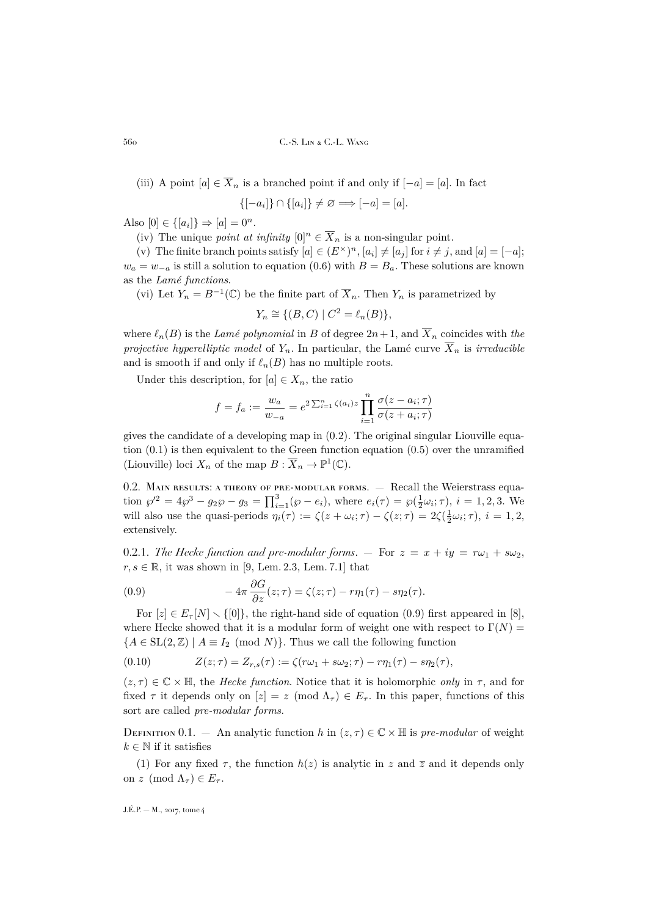(iii) A point  $[a] \in \overline{X}_n$  is a branched point if and only if  $[-a] = [a]$ . In fact

$$
\{[-a_i]\}\cap\{[a_i]\}\neq\varnothing\Longrightarrow [-a]=[a].
$$

Also  $[0] \in \{ [a_i] \} \Rightarrow [a] = 0^n$ .

(iv) The unique *point at infinity*  $[0]^n \in \overline{X}_n$  is a non-singular point.

(v) The finite branch points satisfy  $[a] \in (E^{\times})^n$ ,  $[a_i] \neq [a_j]$  for  $i \neq j$ , and  $[a] = [-a]$ ;  $w_a = w_{-a}$  is still a solution to equation [\(0.6\)](#page-3-1) with  $B = B_a$ . These solutions are known as the *Lamé functions*.

(vi) Let  $Y_n = B^{-1}(\mathbb{C})$  be the finite part of  $\overline{X}_n$ . Then  $Y_n$  is parametrized by

$$
Y_n \cong \{ (B, C) \mid C^2 = \ell_n(B) \},
$$

where  $\ell_n(B)$  is the *Lamé polynomial* in B of degree  $2n+1$ , and  $\overline{X}_n$  coincides with *the projective hyperelliptic model* of  $Y_n$ . In particular, the Lamé curve  $\overline{X}_n$  is *irreducible* and is smooth if and only if  $\ell_n(B)$  has no multiple roots.

Under this description, for  $[a] \in X_n$ , the ratio

$$
f = f_a := \frac{w_a}{w_{-a}} = e^{2\sum_{i=1}^n \zeta(a_i)z} \prod_{i=1}^n \frac{\sigma(z - a_i; \tau)}{\sigma(z + a_i; \tau)}
$$

gives the candidate of a developing map in  $(0.2)$ . The original singular Liouville equation [\(0.1\)](#page-2-1) is then equivalent to the Green function equation [\(0.5\)](#page-3-2) over the unramified (Liouville) loci  $X_n$  of the map  $B: \overline{X}_n \to \mathbb{P}^1(\mathbb{C})$ .

<span id="page-4-0"></span>0.2. MAIN RESULTS: A THEORY OF PRE-MODULAR FORMS. - Recall the Weierstrass equation  $\wp'^2 = 4\wp^3 - g_2\wp - g_3 = \prod_{i=1}^3 (\wp - e_i)$ , where  $e_i(\tau) = \wp(\frac{1}{2}\omega_i; \tau)$ ,  $i = 1, 2, 3$ . We will also use the quasi-periods  $\eta_i(\tau) := \zeta(z + \omega_i; \tau) - \zeta(z; \tau) = 2\zeta(\frac{1}{2}\omega_i; \tau), i = 1, 2,$ extensively.

0.2.1. *The Hecke function and pre-modular forms*.  $-$  For  $z = x + iy = r\omega_1 + s\omega_2$ ,  $r, s \in \mathbb{R}$ , it was shown in [\[9,](#page-37-3) Lem. 2.3, Lem. 7.1] that

<span id="page-4-1"></span>(0.9) 
$$
-4\pi \frac{\partial G}{\partial z}(z;\tau) = \zeta(z;\tau) - r\eta_1(\tau) - s\eta_2(\tau).
$$

For  $[z] \in E_\tau[N] \setminus \{[0]\}$ , the right-hand side of equation [\(0.9\)](#page-4-1) first appeared in [\[8\]](#page-37-6), where Hecke showed that it is a modular form of weight one with respect to  $\Gamma(N)$  =  ${A \in SL(2,\mathbb{Z}) \mid A \equiv I_2 \pmod{N}}$ . Thus we call the following function

<span id="page-4-3"></span>(0.10) 
$$
Z(z; \tau) = Z_{r,s}(\tau) := \zeta(r\omega_1 + s\omega_2; \tau) - r\eta_1(\tau) - s\eta_2(\tau),
$$

 $(z, \tau) \in \mathbb{C} \times \mathbb{H}$ , the *Hecke function*. Notice that it is holomorphic *only* in  $\tau$ , and for fixed  $\tau$  it depends only on  $[z] = z \pmod{\Lambda_{\tau}} \in E_{\tau}$ . In this paper, functions of this sort are called *pre-modular forms*.

<span id="page-4-2"></span>DEFINITION 0.1. — An analytic function h in  $(z, \tau) \in \mathbb{C} \times \mathbb{H}$  is *pre-modular* of weight  $k \in \mathbb{N}$  if it satisfies

(1) For any fixed  $\tau$ , the function  $h(z)$  is analytic in z and  $\overline{z}$  and it depends only on z (mod  $\Lambda_{\tau}$ )  $\in E_{\tau}$ .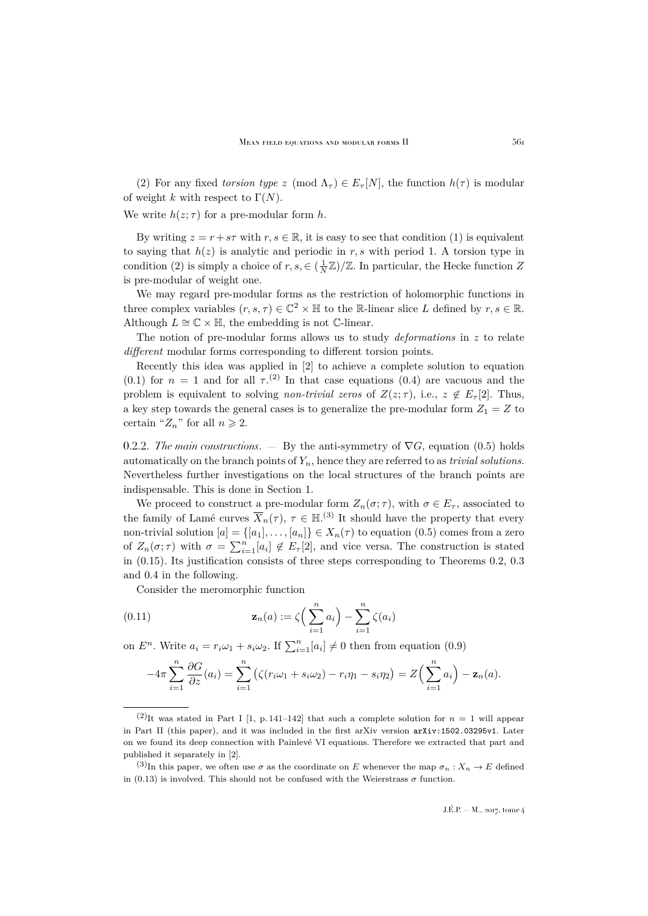(2) For any fixed *torsion type* z (mod  $\Lambda_{\tau}$ )  $\in E_{\tau}[N]$ , the function  $h(\tau)$  is modular of weight k with respect to  $\Gamma(N)$ .

We write  $h(z;\tau)$  for a pre-modular form h.

By writing  $z = r + s\tau$  with  $r, s \in \mathbb{R}$ , it is easy to see that condition (1) is equivalent to saying that  $h(z)$  is analytic and periodic in r, s with period 1. A torsion type in condition (2) is simply a choice of  $r, s \in (\frac{1}{N}\mathbb{Z})/\mathbb{Z}$ . In particular, the Hecke function Z is pre-modular of weight one.

We may regard pre-modular forms as the restriction of holomorphic functions in three complex variables  $(r, s, \tau) \in \mathbb{C}^2 \times \mathbb{H}$  to the R-linear slice L defined by  $r, s \in \mathbb{R}$ . Although  $L \cong \mathbb{C} \times \mathbb{H}$ , the embedding is not C-linear.

The notion of pre-modular forms allows us to study *deformations* in z to relate *different* modular forms corresponding to different torsion points.

Recently this idea was applied in [\[2\]](#page-37-5) to achieve a complete solution to equation [\(0.1\)](#page-2-1) for  $n = 1$  and for all  $\tau^{(2)}$ . In that case equations [\(0.4\)](#page-3-0) are vacuous and the problem is equivalent to solving *non-trivial zeros* of  $Z(z;\tau)$ , i.e.,  $z \notin E_{\tau}[2]$ . Thus, a key step towards the general cases is to generalize the pre-modular form  $Z_1 = Z$  to certain " $Z_n$ " for all  $n \geq 2$ .

0.2.2. *The main constructions*. — By the anti-symmetry of  $\nabla G$ , equation [\(0.5\)](#page-3-2) holds automatically on the branch points of Yn, hence they are referred to as *trivial solutions*. Nevertheless further investigations on the local structures of the branch points are indispensable. This is done in Section [1.](#page-8-0)

We proceed to construct a pre-modular form  $Z_n(\sigma;\tau)$ , with  $\sigma \in E_\tau$ , associated to the family of Lamé curves  $\overline{X}_n(\tau)$ ,  $\tau \in \mathbb{H}^{(3)}$  It should have the property that every non-trivial solution  $[a] = \{[a_1], \ldots, [a_n]\} \in X_n(\tau)$  to equation  $(0.5)$  comes from a zero of  $Z_n(\sigma;\tau)$  with  $\sigma = \sum_{i=1}^n [a_i] \notin E_{\tau}[2]$ , and vice versa. The construction is stated in [\(0.15\)](#page-7-0). Its justification consists of three steps corresponding to Theorems [0.2,](#page-6-0) [0.3](#page-6-1) and [0.4](#page-7-1) in the following.

Consider the meromorphic function

(0.11) 
$$
\mathbf{z}_n(a) := \zeta \left( \sum_{i=1}^n a_i \right) - \sum_{i=1}^n \zeta(a_i)
$$

on  $E^n$ . Write  $a_i = r_i \omega_1 + s_i \omega_2$ . If  $\sum_{i=1}^n [a_i] \neq 0$  then from equation [\(0.9\)](#page-4-1)

<span id="page-5-0"></span>
$$
-4\pi \sum_{i=1}^n \frac{\partial G}{\partial z}(a_i) = \sum_{i=1}^n \left( \zeta(r_i \omega_1 + s_i \omega_2) - r_i \eta_1 - s_i \eta_2 \right) = Z\Big(\sum_{i=1}^n a_i\Big) - \mathbf{z}_n(a).
$$

<sup>&</sup>lt;sup>(2)</sup>It was stated in Part I [\[1,](#page-37-0) p. 141–142] that such a complete solution for  $n = 1$  will appear in Part II (this paper), and it was included in the first arXiv version [arXiv:1502.03295v1](http://arxiv.org/abs/1502.03295v1). Later on we found its deep connection with Painlevé VI equations. Therefore we extracted that part and published it separately in [\[2\]](#page-37-5).

 $(3)$ In this paper, we often use  $\sigma$  as the coordinate on E whenever the map  $\sigma_n: X_n \to E$  defined in [\(0.13\)](#page-6-2) is involved. This should not be confused with the Weierstrass  $\sigma$  function.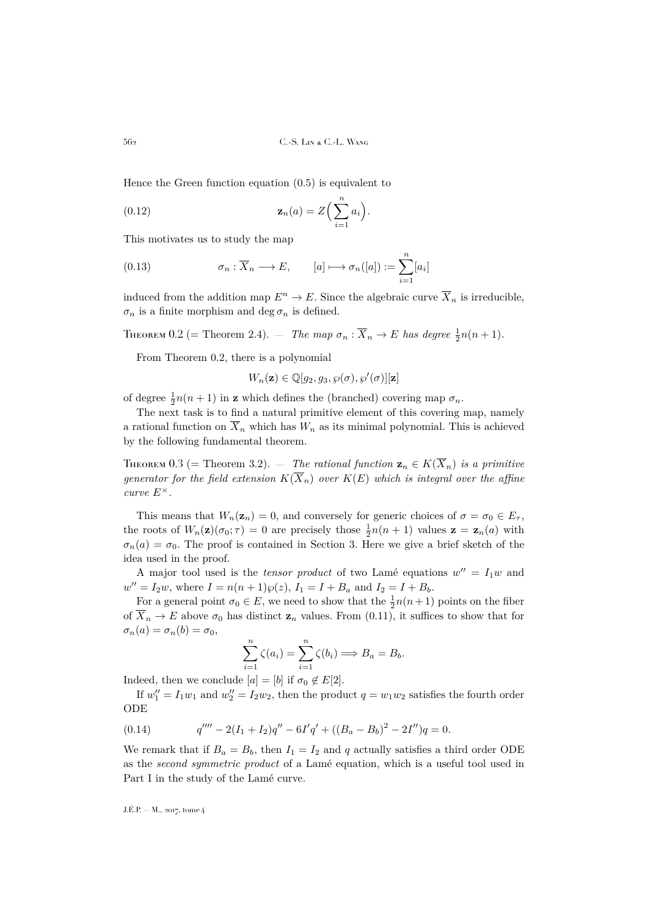Hence the Green function equation [\(0.5\)](#page-3-2) is equivalent to

<span id="page-6-4"></span>(0.12) 
$$
\mathbf{z}_n(a) = Z\Big(\sum_{i=1}^n a_i\Big).
$$

This motivates us to study the map

<span id="page-6-2"></span>(0.13) 
$$
\sigma_n : \overline{X}_n \longrightarrow E, \qquad [a] \longmapsto \sigma_n([a]) := \sum_{i=1}^n [a_i]
$$

induced from the addition map  $E^n \to E$ . Since the algebraic curve  $\overline{X}_n$  is irreducible,  $\sigma_n$  is a finite morphism and deg  $\sigma_n$  is defined.

<span id="page-6-0"></span>THEOREM 0.2 (= Theorem [2.4\)](#page-13-0).  $-$  *The map*  $\sigma_n : \overline{X}_n \to E$  *has degree*  $\frac{1}{2}n(n+1)$ *.* 

From Theorem [0.2,](#page-6-0) there is a polynomial

$$
W_n(\mathbf{z}) \in \mathbb{Q}[g_2, g_3, \wp(\sigma), \wp'(\sigma)][\mathbf{z}]
$$

of degree  $\frac{1}{2}n(n+1)$  in **z** which defines the (branched) covering map  $\sigma_n$ .

The next task is to find a natural primitive element of this covering map, namely a rational function on  $\overline{X}_n$  which has  $W_n$  as its minimal polynomial. This is achieved by the following fundamental theorem.

<span id="page-6-1"></span>THEOREM 0.3 (= Theorem [3.2\)](#page-15-1). — *The rational function*  $\mathbf{z}_n \in K(\overline{X}_n)$  *is a primitive generator for the field extension*  $K(\overline{X}_n)$  *over*  $K(E)$  *which is integral over the affine curve*  $E^{\times}$ *.* 

This means that  $W_n(\mathbf{z}_n) = 0$ , and conversely for generic choices of  $\sigma = \sigma_0 \in E_\tau$ , the roots of  $W_n(\mathbf{z})(\sigma_0; \tau) = 0$  are precisely those  $\frac{1}{2}n(n+1)$  values  $\mathbf{z} = \mathbf{z}_n(a)$  with  $\sigma_n(a) = \sigma_0$ . The proof is contained in Section [3.](#page-15-0) Here we give a brief sketch of the idea used in the proof.

A major tool used is the *tensor product* of two Lamé equations  $w'' = I_1w$  and  $w'' = I_2w$ , where  $I = n(n+1)\wp(z)$ ,  $I_1 = I + B_a$  and  $I_2 = I + B_b$ .

For a general point  $\sigma_0 \in E$ , we need to show that the  $\frac{1}{2}n(n+1)$  points on the fiber of  $\overline{X}_n \to E$  above  $\sigma_0$  has distinct  $\mathbf{z}_n$  values. From [\(0.11\)](#page-5-0), it suffices to show that for  $\sigma_n(a) = \sigma_n(b) = \sigma_0,$ 

$$
\sum_{i=1}^{n} \zeta(a_i) = \sum_{i=1}^{n} \zeta(b_i) \Longrightarrow B_a = B_b.
$$

Indeed, then we conclude  $[a] = [b]$  if  $\sigma_0 \notin E[2]$ .

If  $w_1'' = I_1 w_1$  and  $w_2'' = I_2 w_2$ , then the product  $q = w_1 w_2$  satisfies the fourth order ODE

<span id="page-6-3"></span>(0.14) 
$$
q'''' - 2(I_1 + I_2)q'' - 6I'q' + ((B_a - B_b)^2 - 2I'')q = 0.
$$

We remark that if  $B_a = B_b$ , then  $I_1 = I_2$  and q actually satisfies a third order ODE as the *second symmetric product* of a Lamé equation, which is a useful tool used in Part I in the study of the Lamé curve.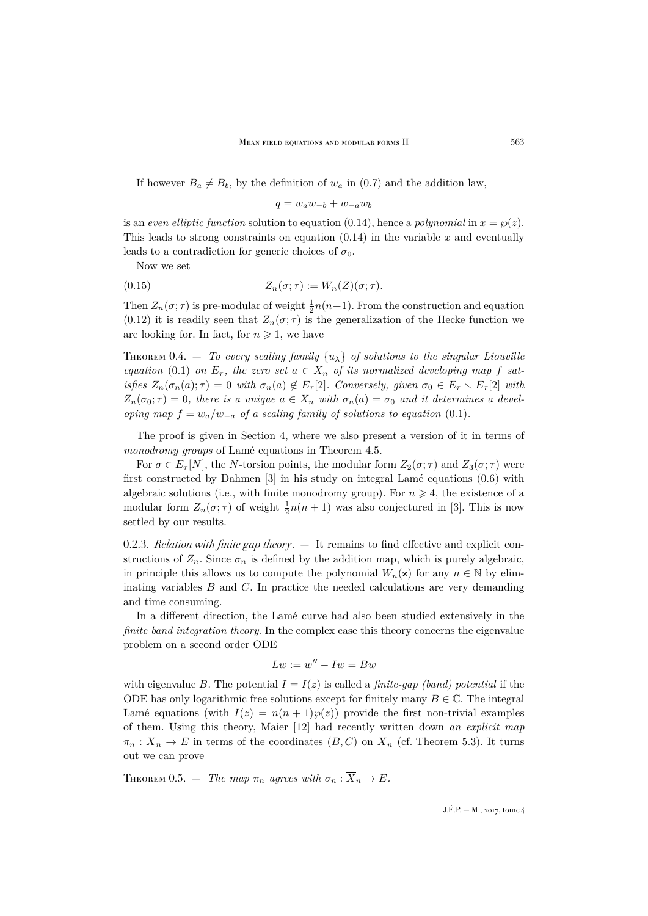If however  $B_a \neq B_b$ , by the definition of  $w_a$  in [\(0.7\)](#page-3-3) and the addition law,

<span id="page-7-0"></span>
$$
q = w_a w_{-b} + w_{-a} w_b
$$

is an *even elliptic function* solution to equation [\(0.14\)](#page-6-3), hence a *polynomial* in  $x = \wp(z)$ . This leads to strong constraints on equation  $(0.14)$  in the variable x and eventually leads to a contradiction for generic choices of  $\sigma_0$ .

Now we set

(0.15) 
$$
Z_n(\sigma;\tau) := W_n(Z)(\sigma;\tau).
$$

Then  $Z_n(\sigma; \tau)$  is pre-modular of weight  $\frac{1}{2}n(n+1)$ . From the construction and equation [\(0.12\)](#page-6-4) it is readily seen that  $Z_n(\sigma;\tau)$  is the generalization of the Hecke function we are looking for. In fact, for  $n \geq 1$ , we have

<span id="page-7-1"></span>THEOREM 0.4.  $-$  *To every scaling family*  $\{u_{\lambda}\}\$  *of solutions to the singular Liouville equation* [\(0.1\)](#page-2-1) *on*  $E_{\tau}$ , the zero set  $a \in X_n$  of its normalized developing map f sat*isfies*  $Z_n(\sigma_n(a); \tau) = 0$  *with*  $\sigma_n(a) \notin E_{\tau}[2]$ *. Conversely, given*  $\sigma_0 \in E_{\tau} \setminus E_{\tau}[2]$  *with*  $Z_n(\sigma_0; \tau) = 0$ , there is a unique  $a \in X_n$  with  $\sigma_n(a) = \sigma_0$  and it determines a devel*oping map*  $f = w_a/w_{-a}$  *of a scaling family of solutions to equation* [\(0.1\)](#page-2-1).

The proof is given in Section [4,](#page-24-0) where we also present a version of it in terms of *monodromy groups* of Lamé equations in Theorem [4.5.](#page-26-0)

For  $\sigma \in E_{\tau}[N]$ , the N-torsion points, the modular form  $Z_2(\sigma;\tau)$  and  $Z_3(\sigma;\tau)$  were first constructed by Dahmen [\[3\]](#page-37-7) in his study on integral Lamé equations [\(0.6\)](#page-3-1) with algebraic solutions (i.e., with finite monodromy group). For  $n \geq 4$ , the existence of a modular form  $Z_n(\sigma; \tau)$  of weight  $\frac{1}{2}n(n + 1)$  was also conjectured in [\[3\]](#page-37-7). This is now settled by our results.

0.2.3. *Relation with finite gap theory*. — It remains to find effective and explicit constructions of  $Z_n$ . Since  $\sigma_n$  is defined by the addition map, which is purely algebraic, in principle this allows us to compute the polynomial  $W_n(\mathbf{z})$  for any  $n \in \mathbb{N}$  by eliminating variables  $B$  and  $C$ . In practice the needed calculations are very demanding and time consuming.

In a different direction, the Lamé curve had also been studied extensively in the *finite band integration theory*. In the complex case this theory concerns the eigenvalue problem on a second order ODE

$$
Lw:=w^{\prime\prime}-Iw=Bw
$$

with eigenvalue B. The potential  $I = I(z)$  is called a *finite-gap (band) potential* if the ODE has only logarithmic free solutions except for finitely many  $B \in \mathbb{C}$ . The integral Lamé equations (with  $I(z) = n(n+1)\wp(z)$ ) provide the first non-trivial examples of them. Using this theory, Maier [\[12\]](#page-37-8) had recently written down *an explicit map*  $\pi_n : \overline{X}_n \to E$  in terms of the coordinates  $(B, C)$  on  $\overline{X}_n$  (cf. Theorem [5.3\)](#page-28-0). It turns out we can prove

THEOREM 0.5. — *The map*  $\pi_n$  *agrees with*  $\sigma_n : \overline{X}_n \to E$ .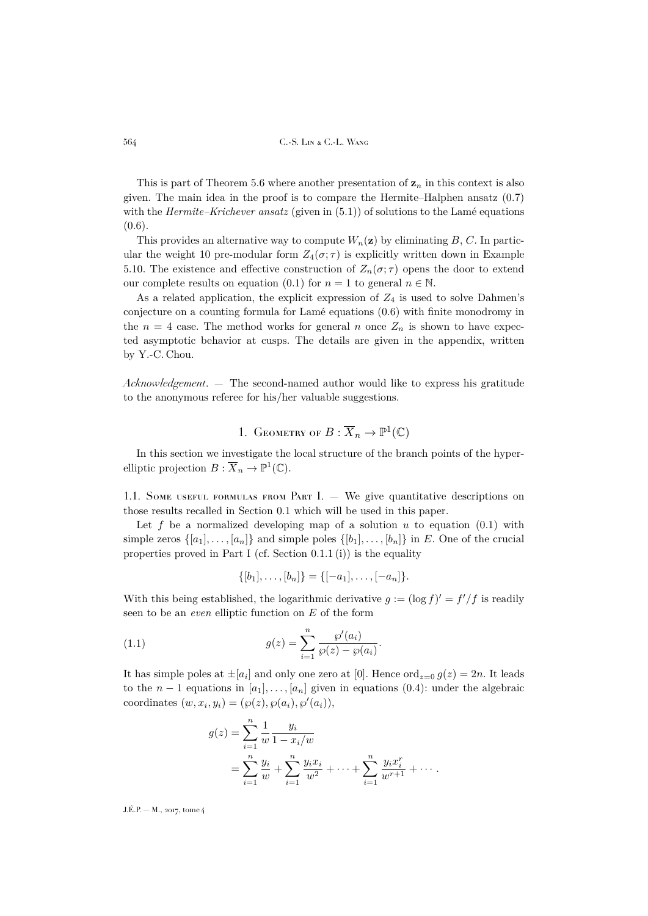This is part of Theorem [5.6](#page-29-0) where another presentation of  $z_n$  in this context is also given. The main idea in the proof is to compare the Hermite–Halphen ansatz [\(0.7\)](#page-3-3) with the *Hermite–Krichever ansatz* (given in  $(5.1)$ ) of solutions to the Lamé equations  $(0.6)$ .

This provides an alternative way to compute  $W_n(\mathbf{z})$  by eliminating B, C. In particular the weight 10 pre-modular form  $Z_4(\sigma;\tau)$  is explicitly written down in Example [5.10.](#page-31-0) The existence and effective construction of  $Z_n(\sigma;\tau)$  opens the door to extend our complete results on equation [\(0.1\)](#page-2-1) for  $n = 1$  to general  $n \in \mathbb{N}$ .

As a related application, the explicit expression of  $Z_4$  is used to solve Dahmen's conjecture on a counting formula for Lamé equations [\(0.6\)](#page-3-1) with finite monodromy in the  $n = 4$  case. The method works for general n once  $Z_n$  is shown to have expected asymptotic behavior at cusps. The details are given in the appendix, written by Y.-C. Chou.

*Acknowledgement*. — The second-named author would like to express his gratitude to the anonymous referee for his/her valuable suggestions.

# 1. GEOMETRY OF  $B: \overline{X}_n \to \mathbb{P}^1(\mathbb{C})$

<span id="page-8-0"></span>In this section we investigate the local structure of the branch points of the hyperelliptic projection  $B: \overline{X}_n \to \mathbb{P}^1(\mathbb{C})$ .

1.1. Some useful formulas from Part I.  $-$  We give quantitative descriptions on those results recalled in Section [0.1](#page-2-2) which will be used in this paper.

Let f be a normalized developing map of a solution u to equation  $(0.1)$  with simple zeros  $\{[a_1], \ldots, [a_n]\}$  and simple poles  $\{[b_1], \ldots, [b_n]\}$  in E. One of the crucial properties proved in Part I (cf. Section  $0.1.1$  (i)) is the equality

$$
\{[b_1], \ldots, [b_n]\} = \{[-a_1], \ldots, [-a_n]\}.
$$

With this being established, the logarithmic derivative  $g := (\log f)' = f'/f$  is readily seen to be an *even* elliptic function on E of the form

<span id="page-8-1"></span>(1.1) 
$$
g(z) = \sum_{i=1}^{n} \frac{\wp'(a_i)}{\wp(z) - \wp(a_i)}.
$$

It has simple poles at  $\pm[a_i]$  and only one zero at [0]. Hence  $\text{ord}_{z=0} g(z) = 2n$ . It leads to the  $n-1$  equations in  $[a_1], \ldots, [a_n]$  given in equations  $(0.4)$ : under the algebraic coordinates  $(w, x_i, y_i) = (\wp(z), \wp(a_i), \wp'(a_i)),$ 

$$
g(z) = \sum_{i=1}^{n} \frac{1}{w} \frac{y_i}{1 - x_i/w}
$$
  
= 
$$
\sum_{i=1}^{n} \frac{y_i}{w} + \sum_{i=1}^{n} \frac{y_i x_i}{w^2} + \dots + \sum_{i=1}^{n} \frac{y_i x_i^r}{w^{r+1}} + \dots
$$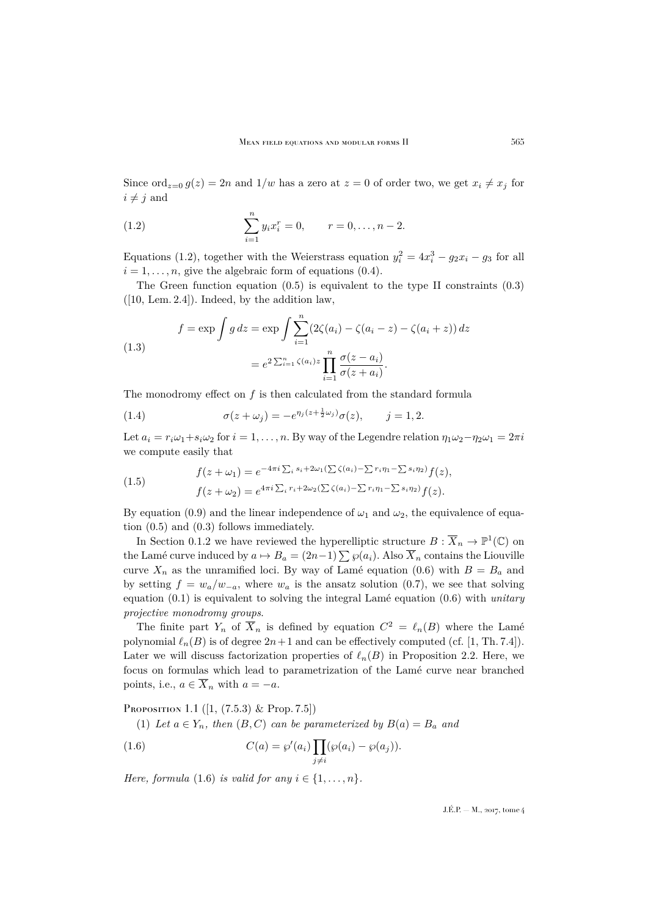Since ord<sub>z=0</sub>  $g(z) = 2n$  and  $1/w$  has a zero at  $z = 0$  of order two, we get  $x_i \neq x_j$  for  $i \neq j$  and

<span id="page-9-0"></span>(1.2) 
$$
\sum_{i=1}^{n} y_i x_i^r = 0, \qquad r = 0, \ldots, n-2.
$$

Equations [\(1.2\)](#page-9-0), together with the Weierstrass equation  $y_i^2 = 4x_i^3 - g_2x_i - g_3$  for all  $i = 1, \ldots, n$ , give the algebraic form of equations [\(0.4\)](#page-3-0).

The Green function equation  $(0.5)$  is equivalent to the type II constraints  $(0.3)$  $([10, \text{ Lem. } 2.4])$  $([10, \text{ Lem. } 2.4])$  $([10, \text{ Lem. } 2.4])$ . Indeed, by the addition law,

(1.3)  

$$
f = \exp \int g \, dz = \exp \int \sum_{i=1}^{n} (2\zeta(a_i) - \zeta(a_i - z) - \zeta(a_i + z)) \, dz
$$

$$
= e^{2\sum_{i=1}^{n} \zeta(a_i)z} \prod_{i=1}^{n} \frac{\sigma(z - a_i)}{\sigma(z + a_i)}.
$$

The monodromy effect on  $f$  is then calculated from the standard formula

<span id="page-9-4"></span>(1.4) 
$$
\sigma(z + \omega_j) = -e^{\eta_j (z + \frac{1}{2}\omega_j)} \sigma(z), \qquad j = 1, 2.
$$

Let  $a_i = r_i \omega_1 + s_i \omega_2$  for  $i = 1, \ldots, n$ . By way of the Legendre relation  $\eta_1 \omega_2 - \eta_2 \omega_1 = 2\pi i$ we compute easily that

<span id="page-9-3"></span>(1.5) 
$$
f(z+\omega_1) = e^{-4\pi i \sum_i s_i + 2\omega_1(\sum \zeta(a_i) - \sum r_i \eta_1 - \sum s_i \eta_2)} f(z),
$$

$$
f(z+\omega_2) = e^{4\pi i \sum_i r_i + 2\omega_2(\sum \zeta(a_i) - \sum r_i \eta_1 - \sum s_i \eta_2)} f(z).
$$

By equation [\(0.9\)](#page-4-1) and the linear independence of  $\omega_1$  and  $\omega_2$ , the equivalence of equation [\(0.5\)](#page-3-2) and [\(0.3\)](#page-3-4) follows immediately.

In Section [0.1.2](#page-3-5) we have reviewed the hyperelliptic structure  $B: \overline{X}_n \to \mathbb{P}^1(\mathbb{C})$  on the Lamé curve induced by  $a \mapsto B_a = (2n-1)\sum \varphi(a_i)$ . Also  $\overline{X}_n$  contains the Liouville curve  $X_n$  as the unramified loci. By way of Lamé equation [\(0.6\)](#page-3-1) with  $B = B_a$  and by setting  $f = w_a/w_{-a}$ , where  $w_a$  is the ansatz solution [\(0.7\)](#page-3-3), we see that solving equation [\(0.1\)](#page-2-1) is equivalent to solving the integral Lamé equation [\(0.6\)](#page-3-1) with *unitary projective monodromy groups*.

The finite part  $Y_n$  of  $\overline{X}_n$  is defined by equation  $C^2 = \ell_n(B)$  where the Lamé polynomial  $\ell_n(B)$  is of degree  $2n+1$  and can be effectively computed (cf. [\[1,](#page-37-0) Th. 7.4]). Later we will discuss factorization properties of  $\ell_n(B)$  in Proposition [2.2.](#page-12-1) Here, we focus on formulas which lead to parametrization of the Lamé curve near branched points, i.e.,  $a \in \overline{X}_n$  with  $a = -a$ .

<span id="page-9-2"></span>PROPOSITION 1.1  $([1, (7.5.3) \& Prop. 7.5])$  $([1, (7.5.3) \& Prop. 7.5])$  $([1, (7.5.3) \& Prop. 7.5])$ 

<span id="page-9-1"></span>(1) Let  $a \in Y_n$ , then  $(B, C)$  can be parameterized by  $B(a) = B_a$  and

(1.6) 
$$
C(a) = \wp'(a_i) \prod_{j \neq i} (\wp(a_i) - \wp(a_j)).
$$

*Here, formula* [\(1.6\)](#page-9-1) *is valid for any*  $i \in \{1, \ldots, n\}$ *.*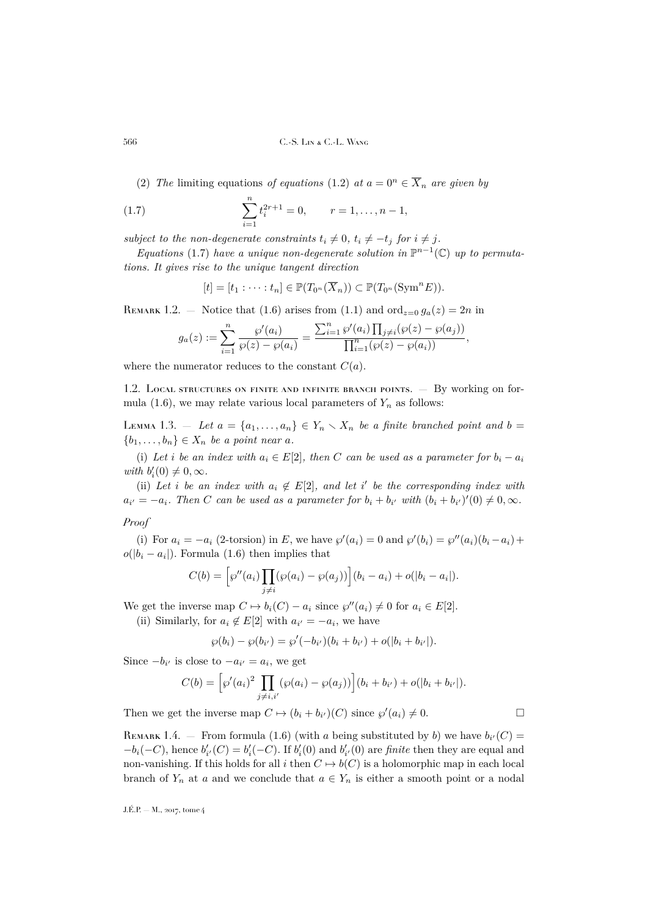(2) *The* limiting equations *of equations* [\(1.2\)](#page-9-0) *at*  $a = 0^n \in \overline{X}_n$  *are given by* 

(1.7) 
$$
\sum_{i=1}^{n} t_i^{2r+1} = 0, \qquad r = 1, \dots, n-1,
$$

*subject to the non-degenerate constraints*  $t_i \neq 0$ ,  $t_i \neq -t_j$  *for*  $i \neq j$ *.* 

*Equations* [\(1.7\)](#page-10-0) *have a unique non-degenerate solution in*  $\mathbb{P}^{n-1}(\mathbb{C})$  *up to permutations. It gives rise to the unique tangent direction*

<span id="page-10-0"></span>
$$
[t] = [t_1 : \cdots : t_n] \in \mathbb{P}(T_{0^n}(\overline{X}_n)) \subset \mathbb{P}(T_{0^n}(\mathrm{Sym}^n E)).
$$

REMARK 1.2. – Notice that [\(1.6\)](#page-9-1) arises from [\(1.1\)](#page-8-1) and  $\text{ord}_{z=0} g_a(z) = 2n$  in

$$
g_a(z) := \sum_{i=1}^n \frac{\wp'(a_i)}{\wp(z) - \wp(a_i)} = \frac{\sum_{i=1}^n \wp'(a_i) \prod_{j \neq i} (\wp(z) - \wp(a_j))}{\prod_{i=1}^n (\wp(z) - \wp(a_i))},
$$

where the numerator reduces to the constant  $C(a)$ .

1.2. LOCAL STRUCTURES ON FINITE AND INFINITE BRANCH POINTS. — By working on for-mula [\(1.6\)](#page-9-1), we may relate various local parameters of  $Y_n$  as follows:

<span id="page-10-1"></span>LEMMA 1.3. – Let  $a = \{a_1, \ldots, a_n\} \in Y_n \setminus X_n$  be a finite branched point and  $b =$  ${b_1, \ldots, b_n} \in X_n$  *be a point near a.* 

(i) Let *i* be an index with  $a_i \in E[2]$ , then C can be used as a parameter for  $b_i - a_i$ *with*  $b_i'(0) \neq 0, \infty$ *.* 

(ii) Let *i* be an index with  $a_i \notin E[2]$ , and let *i*' be the corresponding index with  $a_{i'} = -a_i$ . Then C can be used as a parameter for  $b_i + b_{i'}$  with  $(b_i + b_{i'})'(0) \neq 0, \infty$ .

*Proof*

(i) For  $a_i = -a_i$  (2-torsion) in E, we have  $\wp'(a_i) = 0$  and  $\wp'(b_i) = \wp''(a_i)(b_i - a_i) +$  $o(|b_i - a_i|)$ . Formula [\(1.6\)](#page-9-1) then implies that

$$
C(b) = \left[ \wp''(a_i) \prod_{j \neq i} (\wp(a_i) - \wp(a_j)) \right] (b_i - a_i) + o(|b_i - a_i|).
$$

We get the inverse map  $C \mapsto b_i(C) - a_i$  since  $\wp''(a_i) \neq 0$  for  $a_i \in E[2]$ .

(ii) Similarly, for  $a_i \notin E[2]$  with  $a_{i'} = -a_i$ , we have

$$
\wp(b_i) - \wp(b_{i'}) = \wp'(-b_{i'})(b_i + b_{i'}) + o(|b_i + b_{i'}|).
$$

Since  $-b_{i'}$  is close to  $-a_{i'} = a_i$ , we get

$$
C(b) = [s'(a_i)^2 \prod_{j \neq i,i'} (s(a_i) - s(a_j))] (b_i + b_{i'}) + o(|b_i + b_{i'}|).
$$

Then we get the inverse map  $C \mapsto (b_i + b_{i'})(C)$  since  $\wp'(a_i) \neq 0$ .

REMARK 1.4. – From formula [\(1.6\)](#page-9-1) (with a being substituted by b) we have  $b_{i'}(C)$  $-b_i(-C)$ , hence  $b'_{i'}(C) = b'_{i}(-C)$ . If  $b'_{i}(0)$  and  $b'_{i'}(0)$  are *finite* then they are equal and non-vanishing. If this holds for all i then  $C \mapsto b(C)$  is a holomorphic map in each local branch of  $Y_n$  at a and we conclude that  $a \in Y_n$  is either a smooth point or a nodal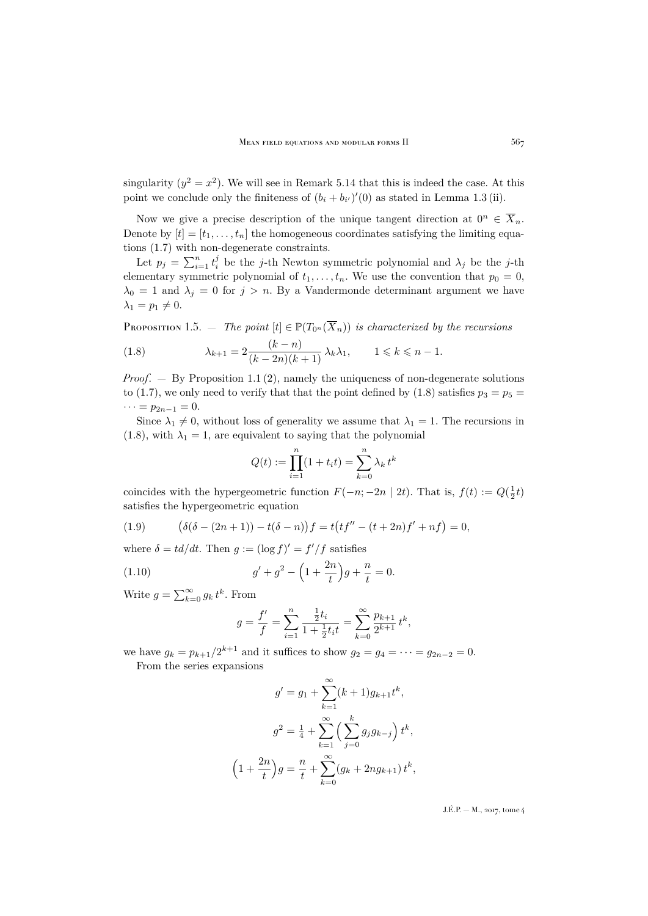singularity  $(y^2 = x^2)$ . We will see in Remark [5.14](#page-32-0) that this is indeed the case. At this point we conclude only the finiteness of  $(b_i + b_{i'})'(0)$  as stated in Lemma [1.3](#page-10-1) (ii).

Now we give a precise description of the unique tangent direction at  $0^n \in \overline{X}_n$ . Denote by  $[t] = [t_1, \ldots, t_n]$  the homogeneous coordinates satisfying the limiting equations [\(1.7\)](#page-10-0) with non-degenerate constraints.

Let  $p_j = \sum_{i=1}^n t_i^j$  be the *j*-th Newton symmetric polynomial and  $\lambda_j$  be the *j*-th elementary symmetric polynomial of  $t_1, \ldots, t_n$ . We use the convention that  $p_0 = 0$ ,  $\lambda_0 = 1$  and  $\lambda_j = 0$  for  $j > n$ . By a Vandermonde determinant argument we have  $\lambda_1 = p_1 \neq 0.$ 

<span id="page-11-2"></span>PROPOSITION 1.5. — *The point*  $[t] \in \mathbb{P}(T_{0^n}(\overline{X}_n))$  *is characterized by the recursions* 

<span id="page-11-0"></span>(1.8) 
$$
\lambda_{k+1} = 2 \frac{(k-n)}{(k-2n)(k+1)} \lambda_k \lambda_1, \qquad 1 \leq k \leq n-1.
$$

*Proof*. — By Proposition [1.1](#page-9-2) (2), namely the uniqueness of non-degenerate solutions to [\(1.7\)](#page-10-0), we only need to verify that that the point defined by [\(1.8\)](#page-11-0) satisfies  $p_3 = p_5$  =  $\cdots = p_{2n-1} = 0.$ 

Since  $\lambda_1 \neq 0$ , without loss of generality we assume that  $\lambda_1 = 1$ . The recursions in  $(1.8)$ , with  $\lambda_1 = 1$ , are equivalent to saying that the polynomial

$$
Q(t) := \prod_{i=1}^{n} (1 + t_i t) = \sum_{k=0}^{n} \lambda_k t^k
$$

coincides with the hypergeometric function  $F(-n; -2n \mid 2t)$ . That is,  $f(t) := Q(\frac{1}{2}t)$ satisfies the hypergeometric equation

(1.9) 
$$
(\delta(\delta - (2n+1)) - t(\delta - n))f = t(t f'' - (t + 2n)f' + nf) = 0,
$$

where  $\delta = td/dt$ . Then  $g := (\log f)' = f'/f$  satisfies

(1.10) 
$$
g' + g^2 - \left(1 + \frac{2n}{t}\right)g + \frac{n}{t} = 0.
$$

Write  $g = \sum_{k=0}^{\infty} g_k t^k$ . From

<span id="page-11-1"></span>
$$
g = \frac{f'}{f} = \sum_{i=1}^{n} \frac{\frac{1}{2}t_i}{1 + \frac{1}{2}t_i t} = \sum_{k=0}^{\infty} \frac{p_{k+1}}{2^{k+1}} t^k,
$$

we have  $g_k = p_{k+1}/2^{k+1}$  and it suffices to show  $g_2 = g_4 = \cdots = g_{2n-2} = 0$ . From the series expansions

$$
g' = g_1 + \sum_{k=1}^{\infty} (k+1)g_{k+1}t^k,
$$
  

$$
g^2 = \frac{1}{4} + \sum_{k=1}^{\infty} \left(\sum_{j=0}^k g_j g_{k-j}\right) t^k,
$$
  

$$
\left(1 + \frac{2n}{t}\right)g = \frac{n}{t} + \sum_{k=0}^{\infty} (g_k + 2ng_{k+1}) t^k,
$$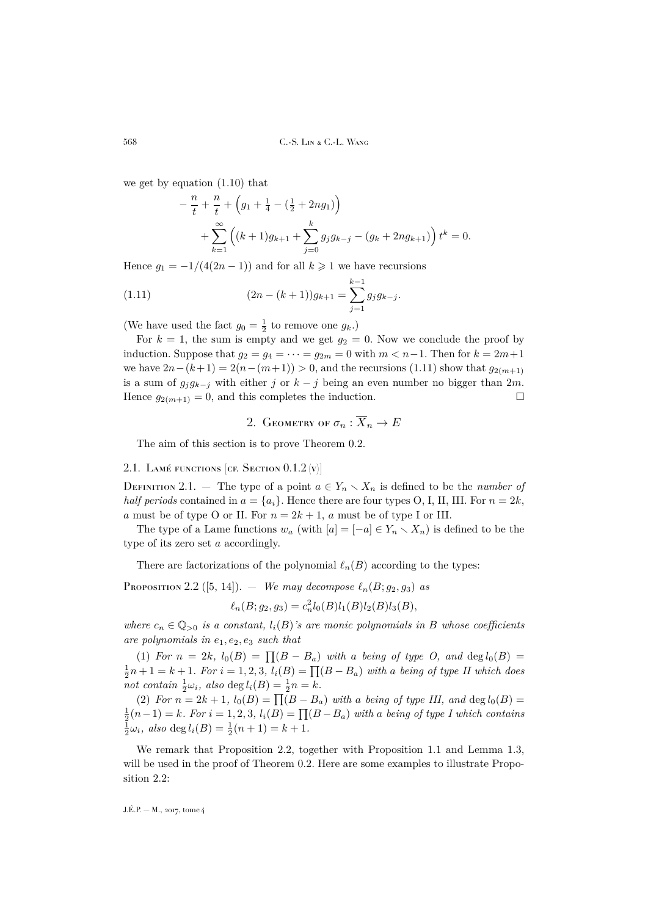we get by equation [\(1.10\)](#page-11-1) that

<span id="page-12-2"></span>
$$
-\frac{n}{t} + \frac{n}{t} + \left(g_1 + \frac{1}{4} - \left(\frac{1}{2} + 2ng_1\right)\right)
$$
  
+ 
$$
\sum_{k=1}^{\infty} \left( (k+1)g_{k+1} + \sum_{j=0}^{k} g_j g_{k-j} - (g_k + 2ng_{k+1}) \right) t^k = 0.
$$

Hence  $g_1 = -1/(4(2n-1))$  and for all  $k \geq 1$  we have recursions

(1.11) 
$$
(2n - (k+1))g_{k+1} = \sum_{j=1}^{k-1} g_j g_{k-j}.
$$

(We have used the fact  $g_0 = \frac{1}{2}$  to remove one  $g_k$ .)

For  $k = 1$ , the sum is empty and we get  $g_2 = 0$ . Now we conclude the proof by induction. Suppose that  $g_2 = g_4 = \cdots = g_{2m} = 0$  with  $m < n-1$ . Then for  $k = 2m+1$ we have  $2n-(k+1) = 2(n-(m+1)) > 0$ , and the recursions [\(1.11\)](#page-12-2) show that  $g_{2(m+1)}$ is a sum of  $g_j g_{k-j}$  with either j or  $k - j$  being an even number no bigger than 2m. Hence  $g_{2(m+1)} = 0$ , and this completes the induction.

2. GEOMETRY OF  $\sigma_n : \overline{X}_n \to E$ 

<span id="page-12-0"></span>The aim of this section is to prove Theorem [0.2.](#page-6-0)

# <span id="page-12-3"></span>2.1. LAMÉ FUNCTIONS [CF. SECTION  $0.1.2$  (v)]

DEFINITION 2.1. — The type of a point  $a \in Y_n \setminus X_n$  is defined to be the *number of half periods* contained in  $a = \{a_i\}$ . Hence there are four types O, I, II, III. For  $n = 2k$ , a must be of type O or II. For  $n = 2k + 1$ , a must be of type I or III.

The type of a Lame functions  $w_a$  (with  $[a] = [-a] \in Y_n \setminus X_n$ ) is defined to be the type of its zero set a accordingly.

There are factorizations of the polynomial  $\ell_n(B)$  according to the types:

<span id="page-12-1"></span>**PROPOSITION** 2.2 ([\[5,](#page-37-10) [14\]](#page-37-2)). — *We may decompose*  $\ell_n(B; g_2, g_3)$  *as* 

$$
\ell_n(B; g_2, g_3) = c_n^2 l_0(B) l_1(B) l_2(B) l_3(B),
$$

*where*  $c_n \in \mathbb{Q}_{>0}$  *is a constant,*  $l_i(B)$ *'s are monic polynomials in* B whose coefficients *are polynomials in* e1, e2, e<sup>3</sup> *such that*

(1) For  $n = 2k$ ,  $l_0(B) = \prod (B - B_a)$  with a being of type O, and  $\deg l_0(B) =$  $\frac{1}{2}n+1 = k+1$ . For  $i = 1, 2, 3$ ,  $l_i(B) = \prod(B - B_a)$  with a being of type II which does not contain  $\frac{1}{2}\omega_i$ , also deg  $l_i(B) = \frac{1}{2}n = k$ .

(2) For  $n = 2k + 1$ ,  $l_0(B) = \prod (B - B_a)$  with a being of type III, and  $\deg l_0(B) =$  $\frac{1}{2}(n-1) = k$ . For  $i = 1, 2, 3$ ,  $l_i(B) = \prod(B - B_a)$  with a being of type I which contains  $\frac{1}{2}\omega_i$ *, also* deg  $l_i(B) = \frac{1}{2}(n+1) = k+1$ *.* 

We remark that Proposition [2.2,](#page-12-1) together with Proposition [1.1](#page-9-2) and Lemma [1.3,](#page-10-1) will be used in the proof of Theorem [0.2.](#page-6-0) Here are some examples to illustrate Proposition [2.2:](#page-12-1)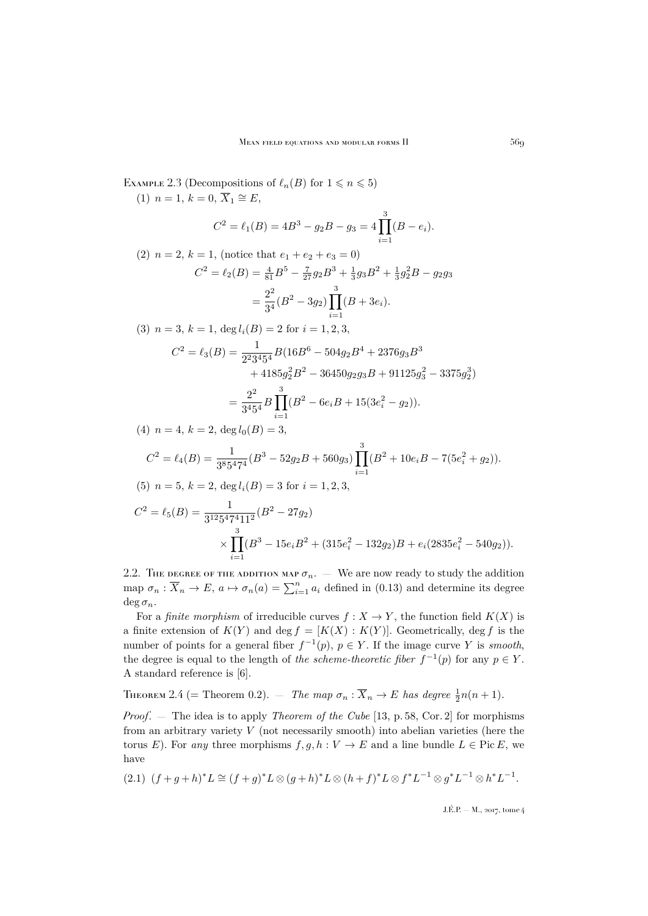<span id="page-13-2"></span>EXAMPLE 2.3 (Decompositions of  $\ell_n(B)$  for  $1 \leq n \leq 5$ ) (1)  $n = 1, k = 0, \overline{X}_1 \cong E$ ,  $C^2 = \ell_1(B) = 4B^3 - g_2B - g_3 = 4\prod^3$  $i=1$  $(B-e_i).$ (2)  $n = 2, k = 1$ , (notice that  $e_1 + e_2 + e_3 = 0$ )  $C^2 = \ell_2(B) = \frac{4}{81}B^5 - \frac{7}{27}g_2B^3 + \frac{1}{3}g_3B^2 + \frac{1}{3}g_2^2B - g_2g_3$  $=\frac{2^2}{34}$  $\frac{2^2}{3^4}(B^2-3g_2)\prod_{i=1}^3$  $i=1$  $(B + 3e_i).$ (3)  $n = 3, k = 1, \deg l_i(B) = 2$  for  $i = 1, 2, 3$ ,  $C^2 = \ell_3(B) = \frac{1}{2^2 3^4 5^4} B(16B^6 - 504g_2B^4 + 2376g_3B^3)$  $+ 4185g_2^2B^2 - 36450g_2g_3B + 91125g_3^2 - 3375g_2^3$  $=\frac{2^2}{245}$  $\frac{2^2}{3^4 5^4} B \prod_{1}^3$  $i=1$  $(B^2 - 6e_iB + 15(3e_i^2 - g_2)).$ (4)  $n = 4, k = 2, \text{deg } l_0(B) = 3,$  $C^2 = \ell_4(B) = \frac{1}{3^8 5^4 7^4} (B^3 - 52g_2B + 560g_3) \prod_{i=1}^3$  $i=1$  $(B^2 + 10e_iB - 7(5e_i^2 + g_2)).$ (5)  $n = 5, k = 2, \text{deg } l_i(B) = 3 \text{ for } i = 1, 2, 3$  $C^2 = \ell_5(B) = \frac{1}{3^{12}5^4 7^4 11^2} (B^2 - 27g_2)$  $\times \prod_{ }^{3}$  $i=1$  $(B^3 - 15e_iB^2 + (315e_i^2 - 132g_2)B + e_i(2835e_i^2 - 540g_2)).$ 

2.2. The degree of the addition map  $\sigma_n$ . — We are now ready to study the addition map  $\sigma_n : \overline{X}_n \to E$ ,  $a \mapsto \sigma_n(a) = \sum_{i=1}^n a_i$  defined in [\(0.13\)](#page-6-2) and determine its degree  $\deg \sigma_n$ .

For a *finite morphism* of irreducible curves  $f : X \to Y$ , the function field  $K(X)$  is a finite extension of  $K(Y)$  and deg  $f = [K(X) : K(Y)]$ . Geometrically, deg f is the number of points for a general fiber  $f^{-1}(p)$ ,  $p \in Y$ . If the image curve Y is *smooth*, the degree is equal to the length of *the scheme-theoretic fiber*  $f^{-1}(p)$  for any  $p \in Y$ . A standard reference is [\[6\]](#page-37-11).

<span id="page-13-0"></span>THEOREM 2.4 (= Theorem [0.2\)](#page-6-0).  $-$  The map  $\sigma_n : \overline{X}_n \to E$  has degree  $\frac{1}{2}n(n+1)$ .

*Proof*. — The idea is to apply *Theorem of the Cube* [\[13,](#page-37-12) p. 58, Cor. 2] for morphisms from an arbitrary variety  $V$  (not necessarily smooth) into abelian varieties (here the torus E). For *any* three morphisms  $f, g, h : V \to E$  and a line bundle  $L \in Pic E$ , we have

<span id="page-13-1"></span>
$$
(2.1) (f+g+h)^*L \cong (f+g)^*L \otimes (g+h)^*L \otimes (h+f)^*L \otimes f^*L^{-1} \otimes g^*L^{-1} \otimes h^*L^{-1}.
$$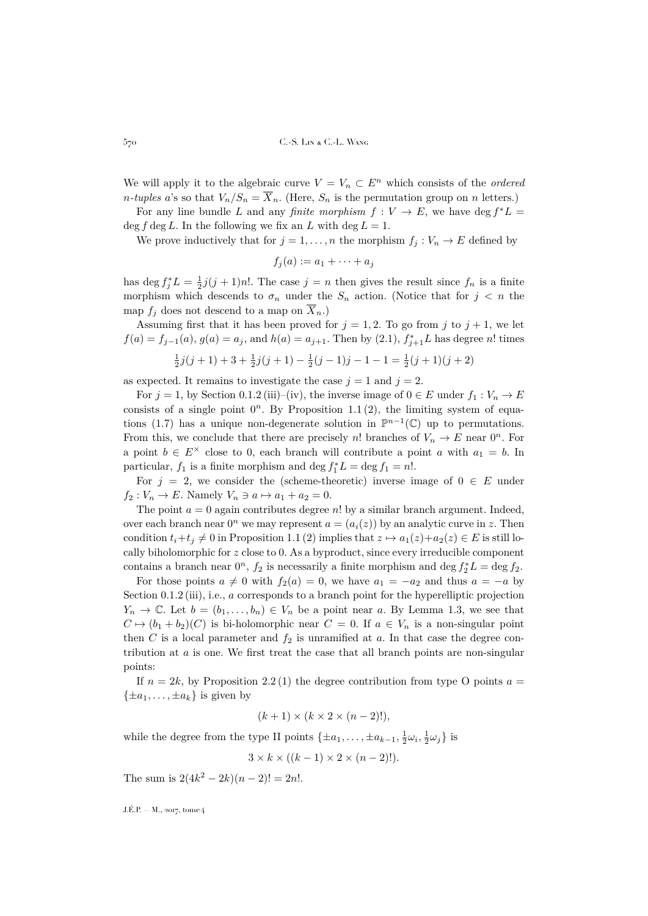We will apply it to the algebraic curve  $V = V_n \subset E^n$  which consists of the *ordered n-tuples* a's so that  $V_n/S_n = \overline{X}_n$ . (Here,  $S_n$  is the permutation group on n letters.)

For any line bundle L and any *finite morphism*  $f: V \to E$ , we have deg  $f^*L =$ deg f deg L. In the following we fix an L with deg  $L = 1$ .

We prove inductively that for  $j = 1, ..., n$  the morphism  $f_i : V_n \to E$  defined by

$$
f_j(a) := a_1 + \cdots + a_j
$$

has deg  $f_j^*L = \frac{1}{2}j(j+1)n!$ . The case  $j = n$  then gives the result since  $f_n$  is a finite morphism which descends to  $\sigma_n$  under the  $S_n$  action. (Notice that for  $j \leq n$  the map  $f_j$  does not descend to a map on  $\overline{X}_n$ .

Assuming first that it has been proved for  $j = 1, 2$ . To go from j to  $j + 1$ , we let  $f(a) = f_{j-1}(a), g(a) = a_j$ , and  $h(a) = a_{j+1}$ . Then by [\(2.1\)](#page-13-1),  $f_{j+1}^* L$  has degree n! times  $\frac{1}{2}j(j+1)+3+\frac{1}{2}j(j+1)-\frac{1}{2}(j-1)j-1-1=\frac{1}{2}(j+1)(j+2)$ 

$$
2^{J(J+1) + J + J + 2^{J(J+1)}}
$$
  $2^{J(J+1) + J + 1}$   $2^{J(J+1) + J}$ 

as expected. It remains to investigate the case  $j = 1$  and  $j = 2$ .

For  $j = 1$ , by Section [0.1.2](#page-3-5) (iii)–(iv), the inverse image of  $0 \in E$  under  $f_1 : V_n \to E$ consists of a single point  $0^n$ . By Proposition [1.1](#page-9-2)(2), the limiting system of equa-tions [\(1.7\)](#page-10-0) has a unique non-degenerate solution in  $\mathbb{P}^{n-1}(\mathbb{C})$  up to permutations. From this, we conclude that there are precisely n! branches of  $V_n \to E$  near  $0^n$ . For a point  $b \in E^{\times}$  close to 0, each branch will contribute a point a with  $a_1 = b$ . In particular,  $f_1$  is a finite morphism and deg  $f_1^*L = \deg f_1 = n!$ .

For  $j = 2$ , we consider the (scheme-theoretic) inverse image of  $0 \in E$  under  $f_2 : V_n \to E$ . Namely  $V_n \ni a \mapsto a_1 + a_2 = 0$ .

The point  $a = 0$  again contributes degree n! by a similar branch argument. Indeed, over each branch near  $0^n$  we may represent  $a = (a_i(z))$  by an analytic curve in z. Then condition  $t_i+t_j\neq 0$  in Proposition [1.1](#page-9-2) (2) implies that  $z\mapsto a_1(z)+a_2(z)\in E$  is still locally biholomorphic for z close to 0. As a byproduct, since every irreducible component contains a branch near  $0^n$ ,  $f_2$  is necessarily a finite morphism and  $\deg f_2^*L = \deg f_2$ .

For those points  $a \neq 0$  with  $f_2(a) = 0$ , we have  $a_1 = -a_2$  and thus  $a = -a$  by Section [0.1.2](#page-3-5) (iii), i.e., a corresponds to a branch point for the hyperelliptic projection  $Y_n \to \mathbb{C}$ . Let  $b = (b_1, \ldots, b_n) \in V_n$  be a point near a. By Lemma [1.3,](#page-10-1) we see that  $C \mapsto (b_1 + b_2)(C)$  is bi-holomorphic near  $C = 0$ . If  $a \in V_n$  is a non-singular point then C is a local parameter and  $f_2$  is unramified at a. In that case the degree contribution at  $a$  is one. We first treat the case that all branch points are non-singular points:

If  $n = 2k$ , by Proposition [2.2](#page-12-1)(1) the degree contribution from type O points  $a =$  $\{\pm a_1, \ldots, \pm a_k\}$  is given by

$$
(k+1) \times (k \times 2 \times (n-2)!),
$$

while the degree from the type II points  $\{\pm a_1, \ldots, \pm a_{k-1}, \frac{1}{2}\omega_i, \frac{1}{2}\omega_j\}$  is

 $3 \times k \times ((k-1) \times 2 \times (n-2)!).$ 

The sum is  $2(4k^2 - 2k)(n-2)! = 2n!$ .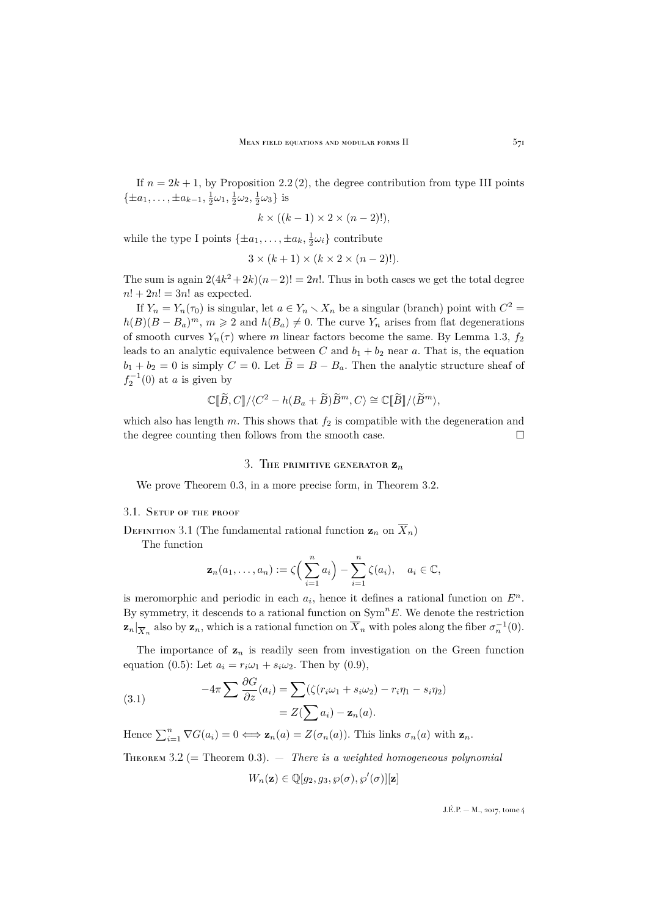If  $n = 2k + 1$ , by Proposition [2.2](#page-12-1)(2), the degree contribution from type III points  $\{\pm a_1, \ldots, \pm a_{k-1}, \frac{1}{2}\omega_1, \frac{1}{2}\omega_2, \frac{1}{2}\omega_3\}$  is

$$
k \times ((k-1) \times 2 \times (n-2)!),
$$

while the type I points  $\{\pm a_1, \ldots, \pm a_k, \frac{1}{2}\omega_i\}$  contribute

$$
3 \times (k+1) \times (k \times 2 \times (n-2)!).
$$

The sum is again  $2(4k^2+2k)(n-2)! = 2n!$ . Thus in both cases we get the total degree  $n! + 2n! = 3n!$  as expected.

If  $Y_n = Y_n(\tau_0)$  is singular, let  $a \in Y_n \setminus X_n$  be a singular (branch) point with  $C^2 =$  $h(B)(B - B_a)^m$ ,  $m \geq 2$  and  $h(B_a) \neq 0$ . The curve  $Y_n$  arises from flat degenerations of smooth curves  $Y_n(\tau)$  where m linear factors become the same. By Lemma [1.3,](#page-10-1)  $f_2$ leads to an analytic equivalence between C and  $b_1 + b_2$  near a. That is, the equation  $b_1 + b_2 = 0$  is simply  $C = 0$ . Let  $\tilde{B} = B - B_a$ . Then the analytic structure sheaf of  $f_2^{-1}(0)$  at a is given by

$$
\mathbb{C}[\widetilde{B},C]/\langle C^2 - h(B_a + \widetilde{B})\widetilde{B}^m, C\rangle \cong \mathbb{C}[\widetilde{B}]/\langle \widetilde{B}^m \rangle,
$$

which also has length m. This shows that  $f_2$  is compatible with the degeneration and the degree counting then follows from the smooth case.  $\Box$ 

## 3. The primitive generator  $\mathbf{z}_n$

<span id="page-15-0"></span>We prove Theorem [0.3,](#page-6-1) in a more precise form, in Theorem [3.2.](#page-15-1)

#### 3.1. Setup of the proof

DEFINITION 3.1 (The fundamental rational function  $\mathbf{z}_n$  on  $\overline{X}_n$ )

The function

$$
\mathbf{z}_n(a_1,\ldots,a_n):=\zeta\Big(\sum_{i=1}^n a_i\Big)-\sum_{i=1}^n \zeta(a_i),\quad a_i\in\mathbb{C},
$$

is meromorphic and periodic in each  $a_i$ , hence it defines a rational function on  $E^n$ . By symmetry, it descends to a rational function on  $\text{Sym}^n E$ . We denote the restriction  $\mathbf{z}_n|_{\overline{X}_n}$  also by  $\mathbf{z}_n$ , which is a rational function on  $\overline{X}_n$  with poles along the fiber  $\sigma_n^{-1}(0)$ .

The importance of  $z_n$  is readily seen from investigation on the Green function equation [\(0.5\)](#page-3-2): Let  $a_i = r_i \omega_1 + s_i \omega_2$ . Then by [\(0.9\)](#page-4-1),

<span id="page-15-2"></span>(3.1) 
$$
-4\pi \sum \frac{\partial G}{\partial z}(a_i) = \sum (\zeta(r_i\omega_1 + s_i\omega_2) - r_i\eta_1 - s_i\eta_2)
$$

$$
= Z(\sum a_i) - \mathbf{z}_n(a).
$$

Hence  $\sum_{i=1}^{n} \nabla G(a_i) = 0 \Longleftrightarrow \mathbf{z}_n(a) = Z(\sigma_n(a))$ . This links  $\sigma_n(a)$  with  $\mathbf{z}_n$ .

<span id="page-15-1"></span>Theorem 3.2 (= Theorem [0.3\)](#page-6-1). — *There is a weighted homogeneous polynomial*

$$
W_n(\mathbf{z}) \in \mathbb{Q}[g_2, g_3, \wp(\sigma), \wp'(\sigma)][\mathbf{z}]
$$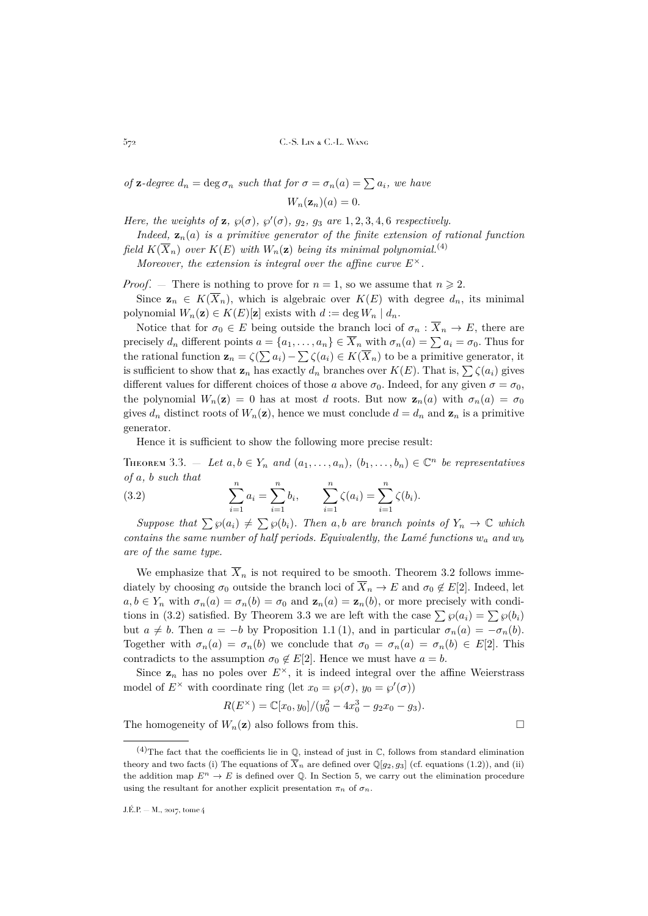*of* **z**-degree  $d_n = \deg \sigma_n$  *such that for*  $\sigma = \sigma_n(a) = \sum a_i$ *, we have* 

 $W_n(\mathbf{z}_n)(a) = 0.$ 

*Here, the weights of*  $\mathbf{z}$ *,*  $\wp(\sigma)$ *,*  $\wp'(\sigma)$ *,*  $g_2$ *,*  $g_3$  *are* 1, 2, 3, 4, 6 *respectively.* 

*Indeed,*  $z_n(a)$  *is a primitive generator of the finite extension of rational function field*  $K(\overline{X}_n)$  *over*  $K(E)$  *with*  $W_n(\mathbf{z})$  *being its minimal polynomial.*<sup>(4)</sup>

*Moreover, the extension is integral over the affine curve*  $E^{\times}$ .

*Proof.* – There is nothing to prove for  $n = 1$ , so we assume that  $n \ge 2$ .

Since  $\mathbf{z}_n \in K(\overline{X}_n)$ , which is algebraic over  $K(E)$  with degree  $d_n$ , its minimal polynomial  $W_n(\mathbf{z}) \in K(E)[\mathbf{z}]$  exists with  $d := \deg W_n \mid d_n$ .

Notice that for  $\sigma_0 \in E$  being outside the branch loci of  $\sigma_n : \overline{X}_n \to E$ , there are precisely  $d_n$  different points  $a = \{a_1, \ldots, a_n\} \in \overline{X}_n$  with  $\sigma_n(a) = \sum a_i = \sigma_0$ . Thus for the rational function  $\mathbf{z}_n = \zeta(\sum a_i) - \sum \zeta(a_i) \in K(\overline{X}_n)$  to be a primitive generator, it is sufficient to show that  $\mathbf{z}_n$  has exactly  $d_n$  branches over  $K(E)$ . That is,  $\sum \zeta(a_i)$  gives different values for different choices of those a above  $\sigma_0$ . Indeed, for any given  $\sigma = \sigma_0$ , the polynomial  $W_n(\mathbf{z}) = 0$  has at most d roots. But now  $\mathbf{z}_n(a)$  with  $\sigma_n(a) = \sigma_0$ gives  $d_n$  distinct roots of  $W_n(\mathbf{z})$ , hence we must conclude  $d = d_n$  and  $\mathbf{z}_n$  is a primitive generator.

<span id="page-16-0"></span>Hence it is sufficient to show the following more precise result:

<span id="page-16-1"></span>THEOREM 3.3. – Let  $a, b \in Y_n$  and  $(a_1, \ldots, a_n)$ ,  $(b_1, \ldots, b_n) \in \mathbb{C}^n$  be representatives *of* a*,* b *such that*  $\overline{\mathbf{r}}$  $\overline{\mathbf{r}}$ 

(3.2) 
$$
\sum_{i=1}^{n} a_i = \sum_{i=1}^{n} b_i, \qquad \sum_{i=1}^{n} \zeta(a_i) = \sum_{i=1}^{n} \zeta(b_i).
$$

*Suppose that*  $\sum \wp(a_i) \neq \sum \wp(b_i)$ *. Then* a, b are branch points of  $Y_n \to \mathbb{C}$  which *contains the same number of half periods. Equivalently, the Lamé functions*  $w_a$  and  $w_b$ *are of the same type.*

We emphasize that  $\overline{X}_n$  is not required to be smooth. Theorem [3.2](#page-15-1) follows immediately by choosing  $\sigma_0$  outside the branch loci of  $\overline{X}_n \to E$  and  $\sigma_0 \notin E[2]$ . Indeed, let  $a, b \in Y_n$  with  $\sigma_n(a) = \sigma_n(b) = \sigma_0$  and  $\mathbf{z}_n(a) = \mathbf{z}_n(b)$ , or more precisely with condi-tions in [\(3.2\)](#page-16-0) satisfied. By Theorem [3.3](#page-16-1) we are left with the case  $\sum \wp(a_i) = \sum \wp(b_i)$ but  $a \neq b$ . Then  $a = -b$  by Proposition [1.1](#page-9-2) (1), and in particular  $\sigma_n(a) = -\sigma_n(b)$ . Together with  $\sigma_n(a) = \sigma_n(b)$  we conclude that  $\sigma_0 = \sigma_n(a) = \sigma_n(b) \in E[2]$ . This contradicts to the assumption  $\sigma_0 \notin E[2]$ . Hence we must have  $a = b$ .

Since  $z_n$  has no poles over  $E^{\times}$ , it is indeed integral over the affine Weierstrass model of  $E^{\times}$  with coordinate ring (let  $x_0 = \wp(\sigma)$ ,  $y_0 = \wp'(\sigma)$ )

$$
R(E^{\times}) = \mathbb{C}[x_0, y_0]/(y_0^2 - 4x_0^3 - g_2x_0 - g_3).
$$

The homogeneity of  $W_n(\mathbf{z})$  also follows from this.

<sup>&</sup>lt;sup>(4)</sup>The fact that the coefficients lie in  $\mathbb{Q}$ , instead of just in  $\mathbb{C}$ , follows from standard elimination theory and two facts (i) The equations of  $\overline{X}_n$  are defined over  $\mathbb{Q}[g_2, g_3]$  (cf. equations [\(1.2\)](#page-9-0)), and (ii) the addition map  $E^n \to E$  is defined over Q. In Section [5,](#page-27-0) we carry out the elimination procedure using the resultant for another explicit presentation  $\pi_n$  of  $\sigma_n$ .

J.É.P. — M., 2017, tome 4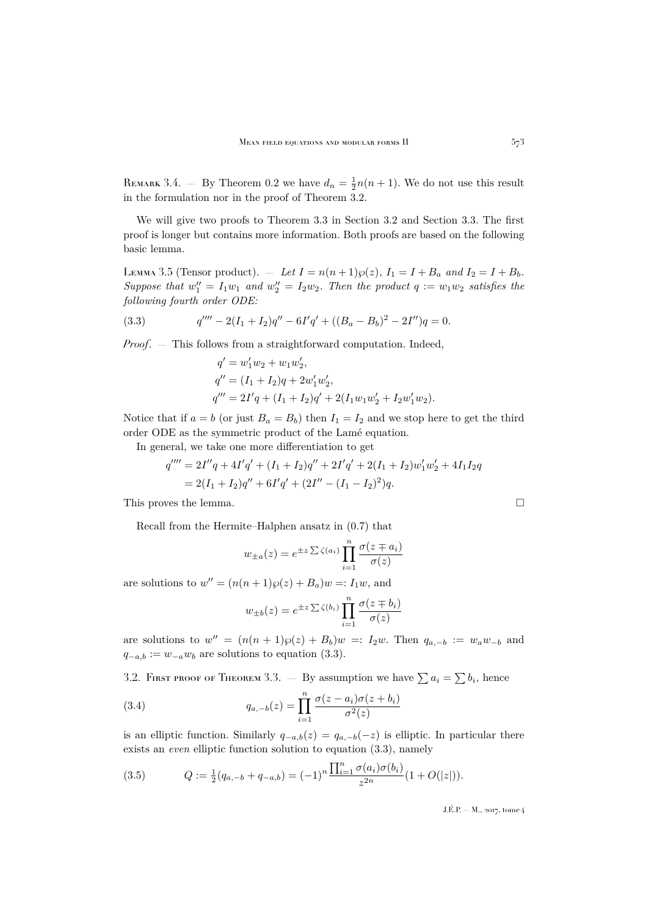REMARK 3.4. – By Theorem [0.2](#page-6-0) we have  $d_n = \frac{1}{2}n(n+1)$ . We do not use this result in the formulation nor in the proof of Theorem [3.2.](#page-15-1)

We will give two proofs to Theorem [3.3](#page-16-1) in Section [3.2](#page-17-0) and Section [3.3.](#page-22-0) The first proof is longer but contains more information. Both proofs are based on the following basic lemma.

<span id="page-17-3"></span>LEMMA 3.5 (Tensor product).  $-$  *Let*  $I = n(n+1)\wp(z)$ ,  $I_1 = I + B_a$  *and*  $I_2 = I + B_b$ *.* Suppose that  $w''_1 = I_1w_1$  and  $w''_2 = I_2w_2$ . Then the product  $q := w_1w_2$  satisfies the *following fourth order ODE:*

(3.3) 
$$
q'''' - 2(I_1 + I_2)q'' - 6I'q' + ((B_a - B_b)^2 - 2I'')q = 0.
$$

*Proof.* — This follows from a straightforward computation. Indeed,

<span id="page-17-1"></span>
$$
q' = w'_1 w_2 + w_1 w'_2,
$$
  
\n
$$
q'' = (I_1 + I_2)q + 2w'_1 w'_2,
$$
  
\n
$$
q''' = 2I'q + (I_1 + I_2)q' + 2(I_1 w_1 w'_2 + I_2 w'_1 w_2).
$$

Notice that if  $a = b$  (or just  $B_a = B_b$ ) then  $I_1 = I_2$  and we stop here to get the third order ODE as the symmetric product of the Lamé equation.

In general, we take one more differentiation to get

$$
q'''' = 2I''q + 4I'q' + (I_1 + I_2)q'' + 2I'q' + 2(I_1 + I_2)w'_1w'_2 + 4I_1I_2q
$$
  
= 2(I\_1 + I\_2)q'' + 6I'q' + (2I'' - (I\_1 - I\_2)^2)q.

This proves the lemma.

Recall from the Hermite–Halphen ansatz in [\(0.7\)](#page-3-3) that

$$
w_{\pm a}(z) = e^{\pm z \sum \zeta(a_i)} \prod_{i=1}^n \frac{\sigma(z \mp a_i)}{\sigma(z)}
$$

are solutions to  $w'' = (n(n+1)\wp(z) + B_a)w =: I_1w$ , and

<span id="page-17-2"></span>
$$
w_{\pm b}(z) = e^{\pm z \sum \zeta(b_i)} \prod_{i=1}^n \frac{\sigma(z \mp b_i)}{\sigma(z)}
$$

are solutions to  $w'' = (n(n+1)\wp(z) + B_b)w =: I_2w$ . Then  $q_{a,-b} := w_a w_{-b}$  and  $q_{-a,b} := w_{-a}w_b$  are solutions to equation [\(3.3\)](#page-17-1).

<span id="page-17-0"></span>3.2. FIRST PROOF OF THEOREM [3.3.](#page-16-1)  $-$  By assumption we have  $\sum a_i = \sum b_i$ , hence

(3.4) 
$$
q_{a,-b}(z) = \prod_{i=1}^{n} \frac{\sigma(z - a_i)\sigma(z + b_i)}{\sigma^2(z)}
$$

is an elliptic function. Similarly  $q_{-a,b}(z) = q_{a,-b}(-z)$  is elliptic. In particular there exists an *even* elliptic function solution to equation [\(3.3\)](#page-17-1), namely

<span id="page-17-4"></span>(3.5) 
$$
Q := \frac{1}{2}(q_{a,-b} + q_{-a,b}) = (-1)^n \frac{\prod_{i=1}^n \sigma(a_i) \sigma(b_i)}{z^{2n}} (1 + O(|z|)).
$$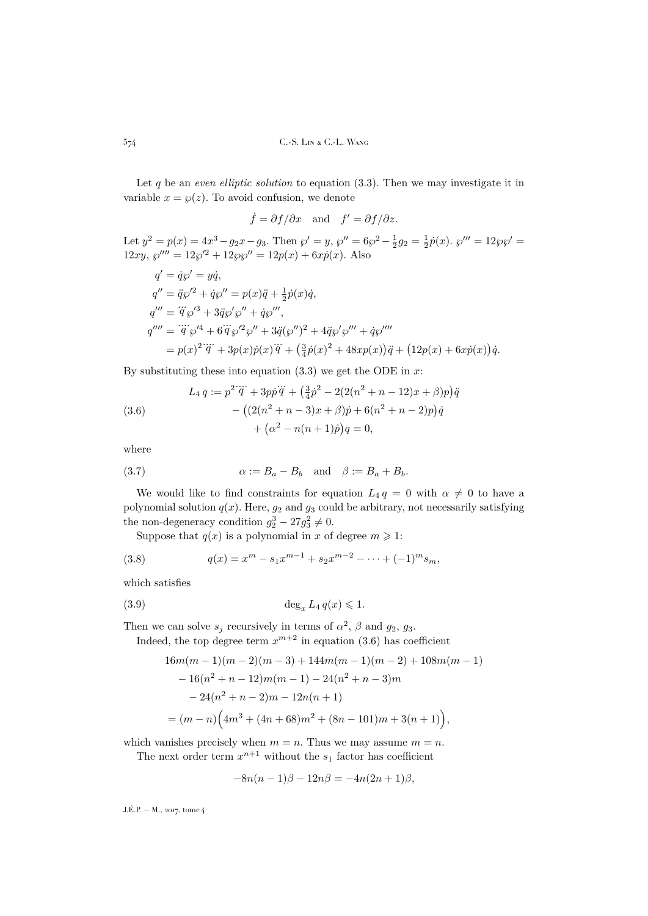Let q be an *even elliptic solution* to equation [\(3.3\)](#page-17-1). Then we may investigate it in variable  $x = \varphi(z)$ . To avoid confusion, we denote

$$
\dot{f} = \partial f / \partial x
$$
 and  $f' = \partial f / \partial z$ .

Let  $y^2 = p(x) = 4x^3 - g_2x - g_3$ . Then  $\wp' = y$ ,  $\wp'' = 6\wp^2 - \frac{1}{2}g_2 = \frac{1}{2}\dot{p}(x)$ .  $\wp''' = 12\wp\wp' =$  $12xy, \, \wp''' = 12\wp'^2 + 12\wp\wp'' = 12p(x) + 6x\dot{p}(x)$ . Also

$$
q' = \dot{q}\wp' = y\dot{q},
$$
  
\n
$$
q'' = \ddot{q}\wp'^2 + \dot{q}\wp'' = p(x)\ddot{q} + \frac{1}{2}\dot{p}(x)\dot{q},
$$
  
\n
$$
q''' = \dddot{q}\wp'^3 + 3\ddot{q}\wp'\wp'' + \dot{q}\wp''',
$$
  
\n
$$
q'''' = \dddot{q}\wp'^4 + 6\dddot{q}\wp'^2\wp'' + 3\ddot{q}(\wp'')^2 + 4\ddot{q}\wp'\wp''' + \dot{q}\wp''''
$$
  
\n
$$
= p(x)^2 \dddot{q} + 3p(x)\dot{p}(x)\dddot{q} + (\frac{3}{4}\dot{p}(x)^2 + 48xp(x))\ddot{q} + (12p(x) + 6xp(x))\dot{q}.
$$

By substituting these into equation  $(3.3)$  we get the ODE in x:

<span id="page-18-0"></span>(3.6)  
\n
$$
L_4 q := p^2 \dddot{q} + 3p\dot{p}\ddot{q} + \left(\frac{3}{4}\dot{p}^2 - 2(2(n^2 + n - 12)x + \beta)p\right)\ddot{q} - \left((2(n^2 + n - 3)x + \beta)\dot{p} + 6(n^2 + n - 2)p\right)\dot{q} + \left(\alpha^2 - n(n + 1)\dot{p}\right)q = 0,
$$

where

(3.7) 
$$
\alpha := B_a - B_b \quad \text{and} \quad \beta := B_a + B_b.
$$

We would like to find constraints for equation  $L_4 q = 0$  with  $\alpha \neq 0$  to have a polynomial solution  $q(x)$ . Here,  $g_2$  and  $g_3$  could be arbitrary, not necessarily satisfying the non-degeneracy condition  $g_2^3 - 27g_3^2 \neq 0$ .

Suppose that  $q(x)$  is a polynomial in x of degree  $m \geq 1$ :

(3.8) 
$$
q(x) = x^m - s_1 x^{m-1} + s_2 x^{m-2} - \dots + (-1)^m s_m,
$$

which satisfies

$$
(3.9) \t\t \t\t deg_x L_4 q(x) \leq 1.
$$

Then we can solve  $s_j$  recursively in terms of  $\alpha^2$ ,  $\beta$  and  $g_2$ ,  $g_3$ .

Indeed, the top degree term  $x^{m+2}$  in equation [\(3.6\)](#page-18-0) has coefficient

<span id="page-18-1"></span>
$$
16m(m-1)(m-2)(m-3) + 144m(m-1)(m-2) + 108m(m-1)
$$
  
- 16(n<sup>2</sup> + n - 12)m(m - 1) - 24(n<sup>2</sup> + n - 3)m  
- 24(n<sup>2</sup> + n - 2)m - 12n(n + 1)  
= (m - n) (4m<sup>3</sup> + (4n + 68)m<sup>2</sup> + (8n - 101)m + 3(n + 1)),

which vanishes precisely when  $m = n$ . Thus we may assume  $m = n$ .

The next order term  $x^{n+1}$  without the  $s_1$  factor has coefficient

$$
-8n(n-1)\beta - 12n\beta = -4n(2n+1)\beta,
$$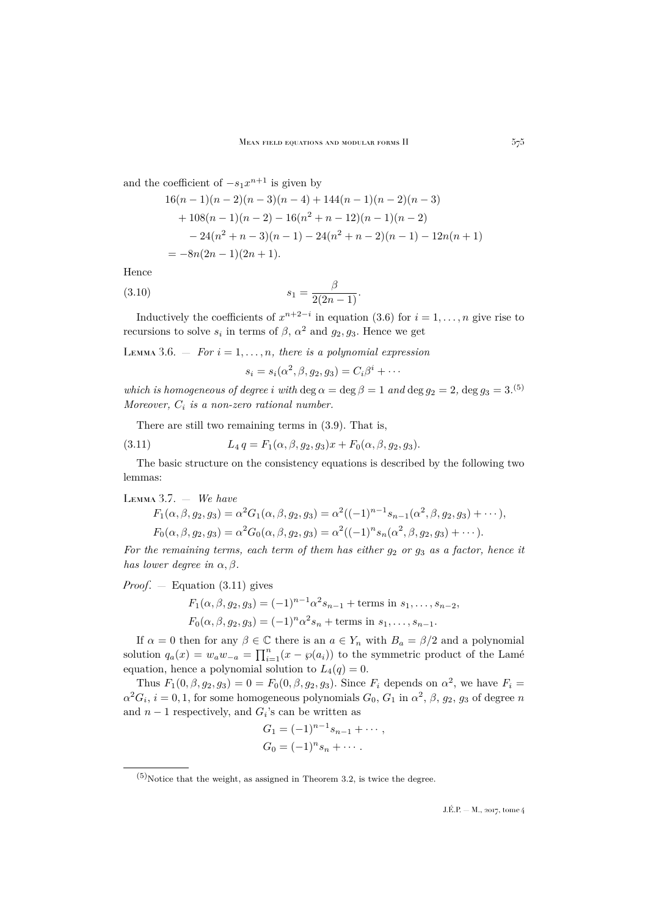and the coefficient of  $-s_1x^{n+1}$  is given by

$$
16(n - 1)(n - 2)(n - 3)(n - 4) + 144(n - 1)(n - 2)(n - 3)
$$
  
+ 108(n - 1)(n - 2) - 16(n<sup>2</sup> + n - 12)(n - 1)(n - 2)  
- 24(n<sup>2</sup> + n - 3)(n - 1) - 24(n<sup>2</sup> + n - 2)(n - 1) - 12n(n + 1)  
= -8n(2n - 1)(2n + 1).

Hence

(3.10) 
$$
s_1 = \frac{\beta}{2(2n-1)}.
$$

Inductively the coefficients of  $x^{n+2-i}$  in equation [\(3.6\)](#page-18-0) for  $i = 1, ..., n$  give rise to recursions to solve  $s_i$  in terms of  $\beta$ ,  $\alpha^2$  and  $g_2, g_3$ . Hence we get

<span id="page-19-2"></span>LEMMA 3.6.  $-$  *For*  $i = 1, ..., n$ , there is a polynomial expression

<span id="page-19-0"></span>
$$
s_i = s_i(\alpha^2, \beta, g_2, g_3) = C_i \beta^i + \cdots
$$

*which is homogeneous of degree i with* deg  $\alpha = \text{deg }\beta = 1$  *and*  $\text{deg } g_2 = 2$ ,  $\text{deg } g_3 = 3$ .<sup>(5)</sup> *Moreover,* C<sup>i</sup> *is a non-zero rational number.*

There are still two remaining terms in [\(3.9\)](#page-18-1). That is,

(3.11) 
$$
L_4 q = F_1(\alpha, \beta, g_2, g_3) x + F_0(\alpha, \beta, g_2, g_3).
$$

The basic structure on the consistency equations is described by the following two lemmas:

<span id="page-19-1"></span>Lemma 3.7. — *We have*

$$
F_1(\alpha, \beta, g_2, g_3) = \alpha^2 G_1(\alpha, \beta, g_2, g_3) = \alpha^2 ((-1)^{n-1} s_{n-1}(\alpha^2, \beta, g_2, g_3) + \cdots),
$$
  
\n
$$
F_0(\alpha, \beta, g_2, g_3) = \alpha^2 G_0(\alpha, \beta, g_2, g_3) = \alpha^2 ((-1)^n s_n(\alpha^2, \beta, g_2, g_3) + \cdots).
$$

*For the remaining terms, each term of them has either*  $g_2$  *or*  $g_3$  *as a factor, hence it has lower degree in*  $\alpha, \beta$ *.* 

*Proof*. — Equation [\(3.11\)](#page-19-0) gives

$$
F_1(\alpha, \beta, g_2, g_3) = (-1)^{n-1} \alpha^2 s_{n-1} + \text{terms in } s_1, \dots, s_{n-2},
$$
  

$$
F_0(\alpha, \beta, g_2, g_3) = (-1)^n \alpha^2 s_n + \text{terms in } s_1, \dots, s_{n-1}.
$$

If  $\alpha = 0$  then for any  $\beta \in \mathbb{C}$  there is an  $a \in Y_n$  with  $B_a = \beta/2$  and a polynomial solution  $q_a(x) = w_a w_{-a} = \prod_{i=1}^n (x - \wp(a_i))$  to the symmetric product of the Lamé equation, hence a polynomial solution to  $L_4(q) = 0$ .

Thus  $F_1(0, \beta, g_2, g_3) = 0 = F_0(0, \beta, g_2, g_3)$ . Since  $F_i$  depends on  $\alpha^2$ , we have  $F_i =$  $\alpha^2 G_i$ ,  $i = 0, 1$ , for some homogeneous polynomials  $G_0$ ,  $G_1$  in  $\alpha^2$ ,  $\beta$ ,  $g_2$ ,  $g_3$  of degree n and  $n-1$  respectively, and  $G_i$ 's can be written as

$$
G_1 = (-1)^{n-1} s_{n-1} + \cdots ,
$$
  
\n
$$
G_0 = (-1)^n s_n + \cdots .
$$

 $(5)$ Notice that the weight, as assigned in Theorem [3.2,](#page-15-1) is twice the degree.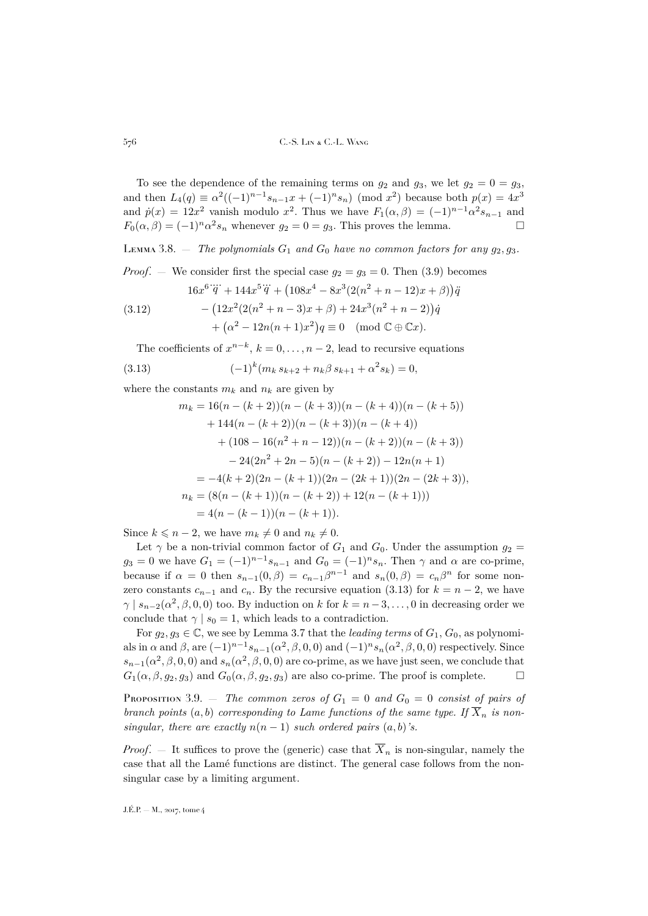To see the dependence of the remaining terms on  $g_2$  and  $g_3$ , we let  $g_2 = 0 = g_3$ , and then  $L_4(q) \equiv \alpha^2((-1)^{n-1}s_{n-1}x + (-1)^n s_n) \pmod{x^2}$  because both  $p(x) = 4x^3$ and  $\dot{p}(x) = 12x^2$  vanish modulo  $x^2$ . Thus we have  $F_1(\alpha, \beta) = (-1)^{n-1} \alpha^2 s_{n-1}$  and  $F_0(\alpha, \beta) = (-1)^n \alpha^2 s_n$  whenever  $g_2 = 0 = g_3$ . This proves the lemma.

<span id="page-20-1"></span>LEMMA 3.8.  $-$  *The polynomials*  $G_1$  *and*  $G_0$  *have no common factors for any*  $g_2, g_3$ *.* 

*Proof.* — We consider first the special case  $g_2 = g_3 = 0$ . Then [\(3.9\)](#page-18-1) becomes

$$
16x^{6}\dddot{q} + 144x^{5}\dddot{q} + (108x^{4} - 8x^{3}(2(n^{2} + n - 12)x + \beta))\ddot{q}
$$

(3.12) 
$$
- (12x^{2}(2(n^{2} + n - 3)x + \beta) + 24x^{3}(n^{2} + n - 2))\dot{q} + (\alpha^{2} - 12n(n + 1)x^{2})q \equiv 0 \pmod{\mathbb{C} \oplus \mathbb{C} x}.
$$

The coefficients of  $x^{n-k}$ ,  $k = 0, \ldots, n-2$ , lead to recursive equations

(3.13) 
$$
(-1)^k (m_k s_{k+2} + n_k \beta s_{k+1} + \alpha^2 s_k) = 0,
$$

where the constants  $m_k$  and  $n_k$  are given by

<span id="page-20-0"></span>
$$
m_k = 16(n - (k+2))(n - (k+3))(n - (k+4))(n - (k+5))
$$
  
+ 144(n - (k+2))(n - (k+3))(n - (k+4))  
+ (108 - 16(n<sup>2</sup> + n - 12))(n - (k+2))(n - (k+3))  
- 24(2n<sup>2</sup> + 2n - 5)(n - (k+2)) - 12n(n + 1)  
= -4(k+2)(2n - (k+1))(2n - (2k+1))(2n - (2k+3)),  

$$
n_k = (8(n - (k+1))(n - (k+2)) + 12(n - (k+1)))
$$
  
= 4(n - (k-1))(n - (k+1)).

Since  $k \leq n-2$ , we have  $m_k \neq 0$  and  $n_k \neq 0$ .

Let  $\gamma$  be a non-trivial common factor of  $G_1$  and  $G_0$ . Under the assumption  $g_2 =$  $g_3 = 0$  we have  $G_1 = (-1)^{n-1} s_{n-1}$  and  $G_0 = (-1)^n s_n$ . Then  $\gamma$  and  $\alpha$  are co-prime, because if  $\alpha = 0$  then  $s_{n-1}(0, \beta) = c_{n-1}\beta^{n-1}$  and  $s_n(0, \beta) = c_n\beta^n$  for some nonzero constants  $c_{n-1}$  and  $c_n$ . By the recursive equation [\(3.13\)](#page-20-0) for  $k = n-2$ , we have  $\gamma | s_{n-2}(\alpha^2, \beta, 0, 0)$  too. By induction on k for  $k = n-3, \ldots, 0$  in decreasing order we conclude that  $\gamma | s_0 = 1$ , which leads to a contradiction.

For  $g_2, g_3 \in \mathbb{C}$ , we see by Lemma [3.7](#page-19-1) that the *leading terms* of  $G_1, G_0$ , as polynomials in  $\alpha$  and  $\beta$ , are  $(-1)^{n-1} s_{n-1}(\alpha^2, \beta, 0, 0)$  and  $(-1)^n s_n(\alpha^2, \beta, 0, 0)$  respectively. Since  $s_{n-1}(\alpha^2, \beta, 0, 0)$  and  $s_n(\alpha^2, \beta, 0, 0)$  are co-prime, as we have just seen, we conclude that  $G_1(\alpha, \beta, g_2, g_3)$  and  $G_0(\alpha, \beta, g_2, g_3)$  are also co-prime. The proof is complete.  $\Box$ 

<span id="page-20-2"></span>PROPOSITION 3.9. – *The common zeros of*  $G_1 = 0$  *and*  $G_0 = 0$  *consist of pairs of branch points*  $(a, b)$  *corresponding to Lame functions of the same type. If*  $\overline{X}_n$  *is nonsingular, there are exactly*  $n(n-1)$  *such ordered pairs*  $(a, b)$ *'s.* 

*Proof.* – It suffices to prove the (generic) case that  $\overline{X}_n$  is non-singular, namely the case that all the Lamé functions are distinct. The general case follows from the nonsingular case by a limiting argument.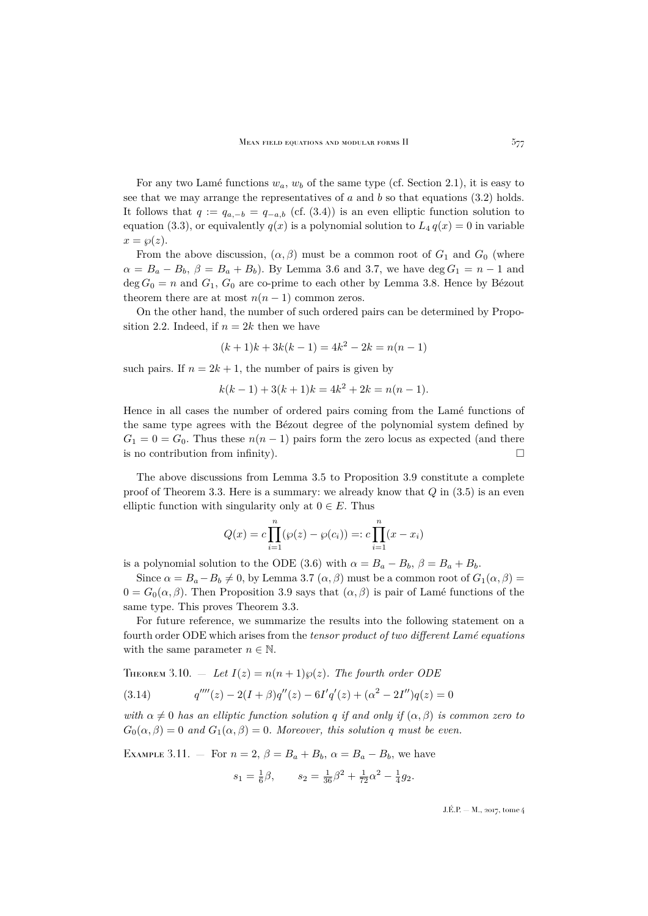For any two Lamé functions  $w_a$ ,  $w_b$  of the same type (cf. Section [2.1\)](#page-12-3), it is easy to see that we may arrange the representatives of  $a$  and  $b$  so that equations [\(3.2\)](#page-16-0) holds. It follows that  $q := q_{a,-b} = q_{-a,b}$  (cf. [\(3.4\)](#page-17-2)) is an even elliptic function solution to equation [\(3.3\)](#page-17-1), or equivalently  $q(x)$  is a polynomial solution to  $L_4 q(x) = 0$  in variable  $x = \wp(z).$ 

From the above discussion,  $(\alpha, \beta)$  must be a common root of  $G_1$  and  $G_0$  (where  $\alpha = B_a - B_b$ ,  $\beta = B_a + B_b$ ). By Lemma [3.6](#page-19-2) and [3.7,](#page-19-1) we have deg  $G_1 = n - 1$  and deg  $G_0 = n$  and  $G_1$ ,  $G_0$  are co-prime to each other by Lemma [3.8.](#page-20-1) Hence by Bézout theorem there are at most  $n(n-1)$  common zeros.

On the other hand, the number of such ordered pairs can be determined by Propo-sition [2.2.](#page-12-1) Indeed, if  $n = 2k$  then we have

$$
(k+1)k + 3k(k-1) = 4k^2 - 2k = n(n-1)
$$

such pairs. If  $n = 2k + 1$ , the number of pairs is given by

$$
k(k-1) + 3(k+1)k = 4k^2 + 2k = n(n-1).
$$

Hence in all cases the number of ordered pairs coming from the Lamé functions of the same type agrees with the Bézout degree of the polynomial system defined by  $G_1 = 0 = G_0$ . Thus these  $n(n-1)$  pairs form the zero locus as expected (and there is no contribution from infinity).  $\Box$ 

The above discussions from Lemma [3.5](#page-17-3) to Proposition [3.9](#page-20-2) constitute a complete proof of Theorem [3.3.](#page-16-1) Here is a summary: we already know that  $Q$  in  $(3.5)$  is an even elliptic function with singularity only at  $0 \in E$ . Thus

$$
Q(x) = c \prod_{i=1}^{n} (\wp(z) - \wp(c_i)) =: c \prod_{i=1}^{n} (x - x_i)
$$

is a polynomial solution to the ODE [\(3.6\)](#page-18-0) with  $\alpha = B_a - B_b$ ,  $\beta = B_a + B_b$ .

Since  $\alpha = B_a - B_b \neq 0$ , by Lemma [3.7](#page-19-1)  $(\alpha, \beta)$  must be a common root of  $G_1(\alpha, \beta)$  =  $0 = G_0(\alpha, \beta)$ . Then Proposition [3.9](#page-20-2) says that  $(\alpha, \beta)$  is pair of Lamé functions of the same type. This proves Theorem [3.3.](#page-16-1)

For future reference, we summarize the results into the following statement on a fourth order ODE which arises from the *tensor product of two different Lamé equations* with the same parameter  $n \in \mathbb{N}$ .

THEOREM 3.10. — Let  $I(z) = n(n+1)\wp(z)$ . The fourth order ODE

<span id="page-21-0"></span>(3.14) 
$$
q''''(z) - 2(I + \beta)q''(z) - 6I'q'(z) + (\alpha^2 - 2I'')q(z) = 0
$$

*with*  $\alpha \neq 0$  *has an elliptic function solution* q *if and only if*  $(\alpha, \beta)$  *is common zero to*  $G_0(\alpha, \beta) = 0$  and  $G_1(\alpha, \beta) = 0$ . Moreover, this solution q must be even.

EXAMPLE 3.11. — For  $n = 2$ ,  $\beta = B_a + B_b$ ,  $\alpha = B_a - B_b$ , we have

$$
s_1 = \frac{1}{6}\beta
$$
,  $s_2 = \frac{1}{36}\beta^2 + \frac{1}{72}\alpha^2 - \frac{1}{4}g_2$ .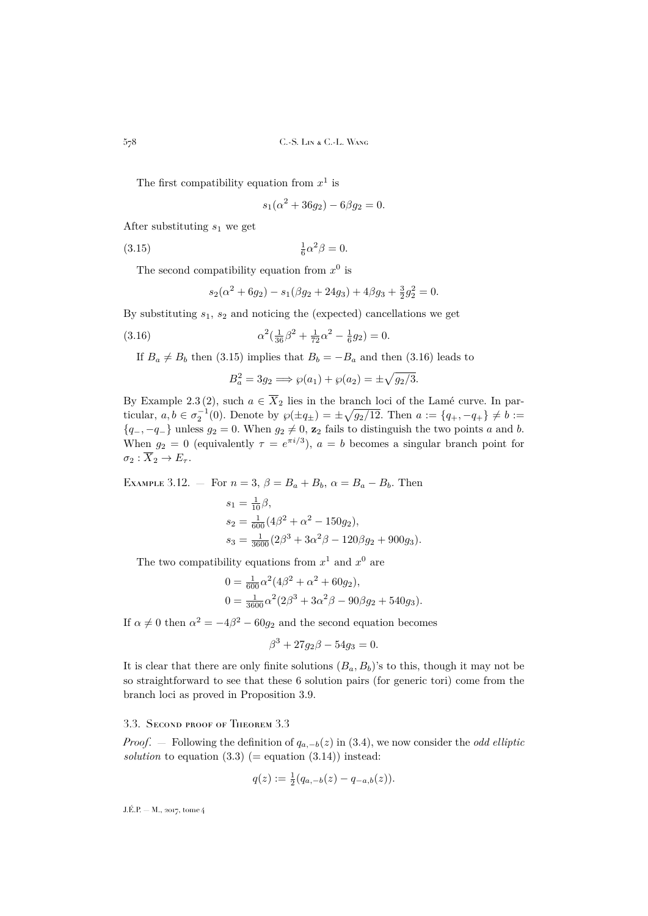The first compatibility equation from  $x^1$  is

<span id="page-22-1"></span>
$$
s_1(\alpha^2 + 36g_2) - 6\beta g_2 = 0.
$$

After substituting  $s_1$  we get

 $(3.15)$  $\frac{1}{6}\alpha^2\beta=0.$ 

The second compatibility equation from  $x^0$  is

$$
s_2(\alpha^2 + 6g_2) - s_1(\beta g_2 + 24g_3) + 4\beta g_3 + \frac{3}{2}g_2^2 = 0.
$$

By substituting  $s_1$ ,  $s_2$  and noticing the (expected) cancellations we get

(3.16) 
$$
\alpha^2(\frac{1}{36}\beta^2 + \frac{1}{72}\alpha^2 - \frac{1}{6}g_2) = 0.
$$

If  $B_a \neq B_b$  then [\(3.15\)](#page-22-1) implies that  $B_b = -B_a$  and then [\(3.16\)](#page-22-2) leads to

<span id="page-22-2"></span>
$$
B_a^2 = 3g_2 \Longrightarrow \wp(a_1) + \wp(a_2) = \pm \sqrt{g_2/3}.
$$

By Example [2.3](#page-13-2) (2), such  $a \in \overline{X}_2$  lies in the branch loci of the Lamé curve. In particular,  $a, b \in \sigma_2^{-1}(0)$ . Denote by  $\wp(\pm q_{\pm}) = \pm \sqrt{g_2/12}$ . Then  $a := \{q_+, -q_+\} \neq b :=$  ${q_-, -q_-\}$  unless  $g_2 = 0$ . When  $g_2 \neq 0$ ,  $z_2$  fails to distinguish the two points a and b. When  $g_2 = 0$  (equivalently  $\tau = e^{\pi i/3}$ ),  $a = b$  becomes a singular branch point for  $\sigma_2 : \overline{X}_2 \to E_\tau.$ 

EXAMPLE 3.12. — For  $n = 3$ ,  $\beta = B_a + B_b$ ,  $\alpha = B_a - B_b$ . Then

$$
s_1 = \frac{1}{10}\beta,
$$
  
\n
$$
s_2 = \frac{1}{600}(4\beta^2 + \alpha^2 - 150g_2),
$$
  
\n
$$
s_3 = \frac{1}{3600}(2\beta^3 + 3\alpha^2\beta - 120\beta g_2 + 900g_3).
$$

The two compatibility equations from  $x^1$  and  $x^0$  are

$$
0 = \frac{1}{600} \alpha^2 (4\beta^2 + \alpha^2 + 60g_2),
$$
  
\n
$$
0 = \frac{1}{3600} \alpha^2 (2\beta^3 + 3\alpha^2 \beta - 90\beta g_2 + 540g_3).
$$

If  $\alpha \neq 0$  then  $\alpha^2 = -4\beta^2 - 60g_2$  and the second equation becomes

$$
\beta^3 + 27g_2\beta - 54g_3 = 0.
$$

It is clear that there are only finite solutions  $(B_a, B_b)$ 's to this, though it may not be so straightforward to see that these 6 solution pairs (for generic tori) come from the branch loci as proved in Proposition [3.9.](#page-20-2)

## <span id="page-22-0"></span>3.3. Second proof of Theorem [3.3](#page-16-1)

*Proof.* — Following the definition of  $q_{a,-b}(z)$  in [\(3.4\)](#page-17-2), we now consider the *odd elliptic solution* to equation  $(3.3)$  (= equation  $(3.14)$ ) instead:

$$
q(z) := \frac{1}{2}(q_{a,-b}(z) - q_{-a,b}(z)).
$$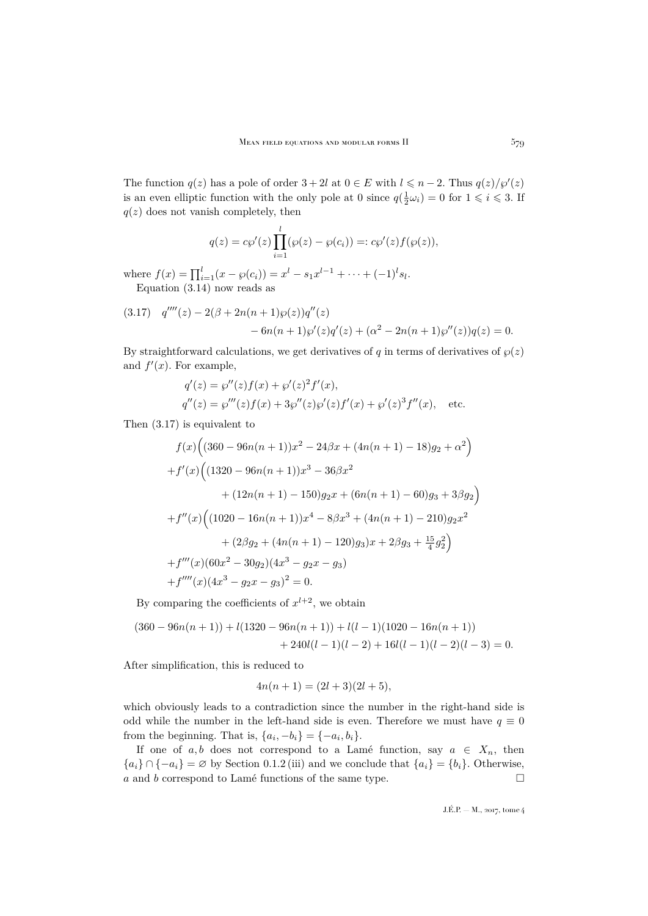The function  $q(z)$  has a pole of order  $3 + 2l$  at  $0 \in E$  with  $l \leq n - 2$ . Thus  $q(z)/\wp'(z)$ is an even elliptic function with the only pole at 0 since  $q(\frac{1}{2}\omega_i) = 0$  for  $1 \leq i \leq 3$ . If  $q(z)$  does not vanish completely, then

$$
q(z) = c\wp'(z) \prod_{i=1}^{l} (\wp(z) - \wp(c_i)) =: c\wp'(z) f(\wp(z)),
$$

where  $f(x) = \prod_{i=1}^{l} (x - \wp(c_i)) = x^l - s_1 x^{l-1} + \cdots + (-1)^l s_l$ . Equation [\(3.14\)](#page-21-0) now reads as

<span id="page-23-0"></span>(3.17) 
$$
q'''(z) - 2(\beta + 2n(n+1)\wp(z))q''(z)
$$
  
-  $6n(n+1)\wp'(z)q'(z) + (\alpha^2 - 2n(n+1)\wp''(z))q(z) = 0.$ 

By straightforward calculations, we get derivatives of q in terms of derivatives of  $\wp(z)$ and  $f'(x)$ . For example,

$$
q'(z) = \wp''(z)f(x) + \wp'(z)^2 f'(x),
$$
  
\n
$$
q''(z) = \wp'''(z)f(x) + 3\wp''(z)\wp'(z)f'(x) + \wp'(z)^3 f''(x),
$$
 etc.

Then [\(3.17\)](#page-23-0) is equivalent to

$$
f(x)\Big((360 - 96n(n+1))x^2 - 24\beta x + (4n(n+1) - 18)g_2 + \alpha^2\Big) + f'(x)\Big((1320 - 96n(n+1))x^3 - 36\beta x^2 + (12n(n+1) - 150)g_2x + (6n(n+1) - 60)g_3 + 3\beta g_2\Big) + f''(x)\Big((1020 - 16n(n+1))x^4 - 8\beta x^3 + (4n(n+1) - 210)g_2x^2 + (2\beta g_2 + (4n(n+1) - 120)g_3)x + 2\beta g_3 + \frac{15}{4}g_2^2\Big) + f'''(x)(60x^2 - 30g_2)(4x^3 - g_2x - g_3) + f''''(x)(4x^3 - g_2x - g_3)^2 = 0.
$$

By comparing the coefficients of  $x^{l+2}$ , we obtain

$$
(360 - 96n(n+1)) + l(1320 - 96n(n+1)) + l(l-1)(1020 - 16n(n+1))
$$
  
+ 240l(l-1)(l-2) + 16l(l-1)(l-2)(l-3) = 0.

After simplification, this is reduced to

$$
4n(n+1) = (2l+3)(2l+5),
$$

which obviously leads to a contradiction since the number in the right-hand side is odd while the number in the left-hand side is even. Therefore we must have  $q \equiv 0$ from the beginning. That is,  $\{a_i, -b_i\} = \{-a_i, b_i\}.$ 

If one of a, b does not correspond to a Lamé function, say  $a \in X_n$ , then  ${a_i} \cap {-a_i} = \emptyset$  by Section [0.1.2](#page-3-5) (iii) and we conclude that  ${a_i} = {b_i}$ . Otherwise,  $a$  and  $b$  correspond to Lamé functions of the same type.  $\hfill \Box$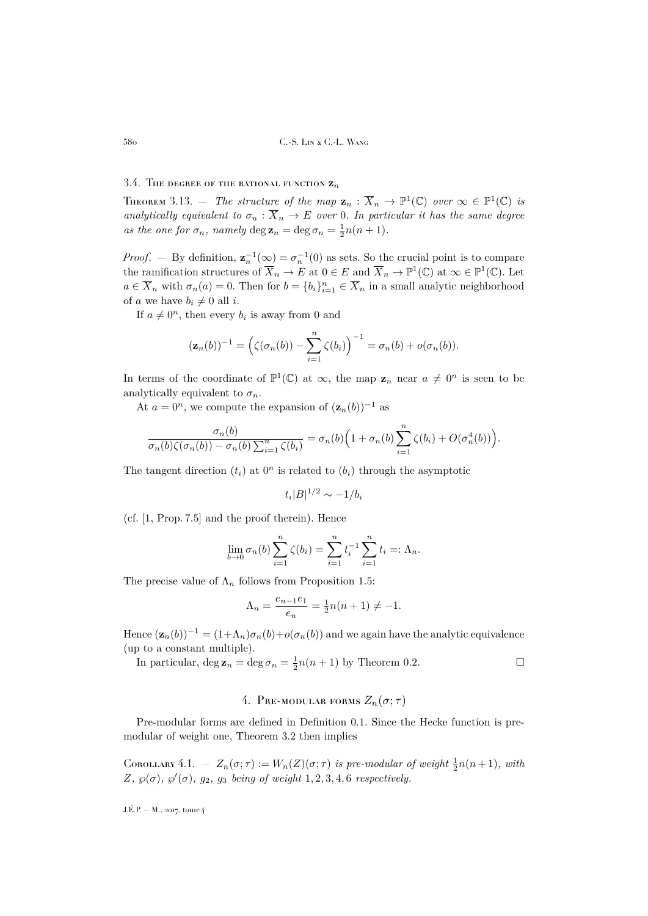## 3.4. The degree of the rational function  $z_n$

<span id="page-24-1"></span>THEOREM 3.13. — *The structure of the map*  $\mathbf{z}_n : \overline{X}_n \to \mathbb{P}^1(\mathbb{C})$  *over*  $\infty \in \mathbb{P}^1(\mathbb{C})$  *is analytically equivalent to*  $\sigma_n : \overline{X}_n \to E$  *over* 0*. In particular it has the same degree* as the one for  $\sigma_n$ , namely  $\deg \mathbf{z}_n = \deg \sigma_n = \frac{1}{2}n(n+1)$ .

*Proof.* – By definition,  $z_n^{-1}(\infty) = \sigma_n^{-1}(0)$  as sets. So the crucial point is to compare the ramification structures of  $\overline{X}_n \to E$  at  $0 \in E$  and  $\overline{X}_n \to \mathbb{P}^1(\mathbb{C})$  at  $\infty \in \mathbb{P}^1(\mathbb{C})$ . Let  $a \in \overline{X}_n$  with  $\sigma_n(a) = 0$ . Then for  $b = \{b_i\}_{i=1}^n \in \overline{X}_n$  in a small analytic neighborhood of a we have  $b_i \neq 0$  all i.

If  $a \neq 0^n$ , then every  $b_i$  is away from 0 and

$$
(\mathbf{z}_n(b))^{-1} = \left(\zeta(\sigma_n(b)) - \sum_{i=1}^n \zeta(b_i)\right)^{-1} = \sigma_n(b) + o(\sigma_n(b)).
$$

In terms of the coordinate of  $\mathbb{P}^1(\mathbb{C})$  at  $\infty$ , the map  $z_n$  near  $a \neq 0^n$  is seen to be analytically equivalent to  $\sigma_n$ .

At  $a = 0^n$ , we compute the expansion of  $(\mathbf{z}_n(b))^{-1}$  as

$$
\frac{\sigma_n(b)}{\sigma_n(b)\zeta(\sigma_n(b)) - \sigma_n(b)\sum_{i=1}^n \zeta(b_i)} = \sigma_n(b)\Big(1 + \sigma_n(b)\sum_{i=1}^n \zeta(b_i) + O(\sigma_n^4(b))\Big).
$$

The tangent direction  $(t_i)$  at  $0^n$  is related to  $(b_i)$  through the asymptotic

$$
t_i|B|^{1/2} \sim -1/b_i
$$

(cf. [\[1,](#page-37-0) Prop. 7.5] and the proof therein). Hence

$$
\lim_{b \to 0} \sigma_n(b) \sum_{i=1}^n \zeta(b_i) = \sum_{i=1}^n t_i^{-1} \sum_{i=1}^n t_i =: \Lambda_n.
$$

The precise value of  $\Lambda_n$  follows from Proposition [1.5:](#page-11-2)

$$
\Lambda_n = \frac{e_{n-1}e_1}{e_n} = \frac{1}{2}n(n+1) \neq -1.
$$

Hence  $(\mathbf{z}_n(b))^{-1} = (1+\Lambda_n)\sigma_n(b)+o(\sigma_n(b))$  and we again have the analytic equivalence (up to a constant multiple).

In particular,  $\deg \mathbf{z}_n = \deg \sigma_n = \frac{1}{2}n(n+1)$  by Theorem [0.2.](#page-6-0)

# 4. PRE-MODULAR FORMS  $Z_n(\sigma;\tau)$

<span id="page-24-0"></span>Pre-modular forms are defined in Definition [0.1.](#page-4-2) Since the Hecke function is premodular of weight one, Theorem [3.2](#page-15-1) then implies

COROLLARY 4.1.  $- Z_n(\sigma; \tau) := W_n(Z)(\sigma; \tau)$  *is pre-modular of weight*  $\frac{1}{2}n(n+1)$ *, with*  $Z, \wp(\sigma), \wp'(\sigma), g_2, g_3$  *being of weight*  $1, 2, 3, 4, 6$  *respectively.*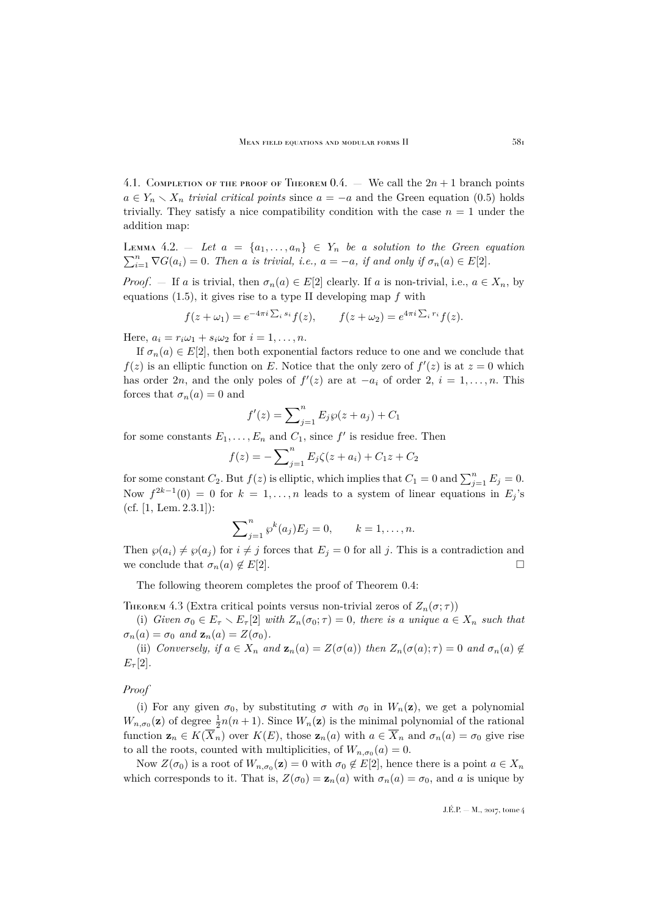4.1. COMPLETION OF THE PROOF OF THEOREM [0.4.](#page-7-1) — We call the  $2n + 1$  branch points  $a \in Y_n \setminus X_n$  *trivial critical points* since  $a = -a$  and the Green equation [\(0.5\)](#page-3-2) holds trivially. They satisfy a nice compatibility condition with the case  $n = 1$  under the addition map:

<span id="page-25-0"></span>LEMMA 4.2. – Let  $a = \{a_1, \ldots, a_n\} \in Y_n$  be a solution to the Green equation  $\sum_{i=1}^{n} \nabla G(a_i) = 0$ *. Then* a *is trivial, i.e.,*  $a = -a$ *, if and only if*  $\sigma_n(a) \in E[2]$ *.* 

*Proof.* — If a is trivial, then  $\sigma_n(a) \in E[2]$  clearly. If a is non-trivial, i.e.,  $a \in X_n$ , by equations  $(1.5)$ , it gives rise to a type II developing map f with

$$
f(z + \omega_1) = e^{-4\pi i \sum_i s_i} f(z), \qquad f(z + \omega_2) = e^{4\pi i \sum_i r_i} f(z).
$$

Here,  $a_i = r_i \omega_1 + s_i \omega_2$  for  $i = 1, \ldots, n$ .

If  $\sigma_n(a) \in E[2]$ , then both exponential factors reduce to one and we conclude that  $f(z)$  is an elliptic function on E. Notice that the only zero of  $f'(z)$  is at  $z = 0$  which has order 2n, and the only poles of  $f'(z)$  are at  $-a_i$  of order 2,  $i = 1, ..., n$ . This forces that  $\sigma_n(a) = 0$  and

$$
f'(z) = \sum_{j=1}^{n} E_j \wp(z + a_j) + C_1
$$

for some constants  $E_1, \ldots, E_n$  and  $C_1$ , since  $f'$  is residue free. Then

$$
f(z) = -\sum_{j=1}^{n} E_j \zeta(z + a_i) + C_1 z + C_2
$$

for some constant  $C_2$ . But  $f(z)$  is elliptic, which implies that  $C_1 = 0$  and  $\sum_{j=1}^{n} E_j = 0$ . Now  $f^{2k-1}(0) = 0$  for  $k = 1, ..., n$  leads to a system of linear equations in  $E_j$ 's (cf. [\[1,](#page-37-0) Lem. 2.3.1]):

$$
\sum_{j=1}^{n} \wp^{k}(a_j) E_j = 0, \qquad k = 1, \dots, n.
$$

Then  $\wp(a_i) \neq \wp(a_j)$  for  $i \neq j$  forces that  $E_j = 0$  for all j. This is a contradiction and we conclude that  $\sigma_n(a) \notin E[2]$ .

The following theorem completes the proof of Theorem [0.4:](#page-7-1)

<span id="page-25-1"></span>THEOREM 4.3 (Extra critical points versus non-trivial zeros of  $Z_n(\sigma;\tau)$ )

(i) *Given*  $\sigma_0 \in E_\tau \setminus E_\tau[2]$  *with*  $Z_n(\sigma_0; \tau) = 0$ *, there is a unique*  $a \in X_n$  *such that*  $\sigma_n(a) = \sigma_0$  *and*  $\mathbf{z}_n(a) = Z(\sigma_0)$ *.* 

(ii) *Conversely, if*  $a \in X_n$  *and*  $\mathbf{z}_n(a) = Z(\sigma(a))$  *then*  $Z_n(\sigma(a); \tau) = 0$  *and*  $\sigma_n(a) \notin \mathbb{R}$  $E_\tau[2]$ .

## *Proof*

(i) For any given  $\sigma_0$ , by substituting  $\sigma$  with  $\sigma_0$  in  $W_n(\mathbf{z})$ , we get a polynomial  $W_{n,\sigma_0}(\mathbf{z})$  of degree  $\frac{1}{2}n(n+1)$ . Since  $W_n(\mathbf{z})$  is the minimal polynomial of the rational function  $\mathbf{z}_n \in K(\overline{X}_n)$  over  $K(E)$ , those  $\mathbf{z}_n(a)$  with  $a \in \overline{X}_n$  and  $\sigma_n(a) = \sigma_0$  give rise to all the roots, counted with multiplicities, of  $W_{n,\sigma_0}(a) = 0$ .

Now  $Z(\sigma_0)$  is a root of  $W_{n,\sigma_0}(\mathbf{z})=0$  with  $\sigma_0 \notin E[2]$ , hence there is a point  $a \in X_n$ which corresponds to it. That is,  $Z(\sigma_0) = \mathbf{z}_n(a)$  with  $\sigma_n(a) = \sigma_0$ , and a is unique by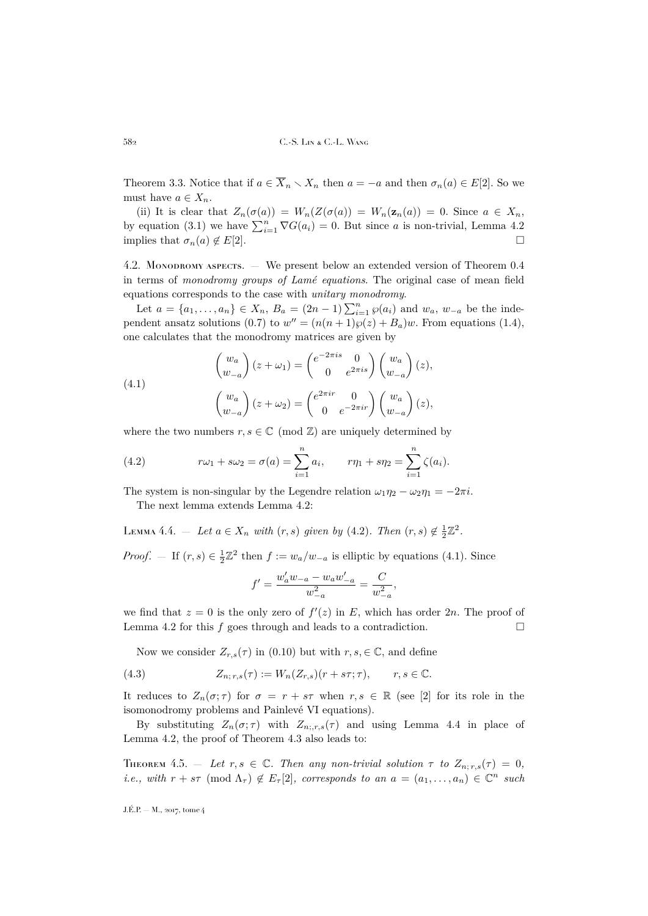Theorem [3.3.](#page-16-1) Notice that if  $a \in \overline{X}_n \setminus X_n$  then  $a = -a$  and then  $\sigma_n(a) \in E[2]$ . So we must have  $a \in X_n$ .

(ii) It is clear that  $Z_n(\sigma(a)) = W_n(Z(\sigma(a)) = W_n(\mathbf{z}_n(a)) = 0$ . Since  $a \in X_n$ , by equation [\(3.1\)](#page-15-2) we have  $\sum_{i=1}^{n} \nabla G(a_i) = 0$ . But since a is non-trivial, Lemma [4.2](#page-25-0) implies that  $\sigma_n(a) \notin E[2]$ .

4.2. Monopromy aspects. — We present below an extended version of Theorem [0.4](#page-7-1) in terms of *monodromy groups of Lamé equations*. The original case of mean field equations corresponds to the case with *unitary monodromy*.

Let  $a = \{a_1, ..., a_n\} \in X_n$ ,  $B_a = (2n - 1) \sum_{i=1}^n \wp(a_i)$  and  $w_a$ ,  $w_{-a}$  be the inde-pendent ansatz solutions [\(0.7\)](#page-3-3) to  $w'' = (n(n+1)\wp(z) + B_a)w$ . From equations [\(1.4\)](#page-9-4), one calculates that the monodromy matrices are given by

<span id="page-26-2"></span>(4.1)  

$$
\begin{pmatrix} w_a \\ w_{-a} \end{pmatrix} (z + \omega_1) = \begin{pmatrix} e^{-2\pi i s} & 0 \\ 0 & e^{2\pi i s} \end{pmatrix} \begin{pmatrix} w_a \\ w_{-a} \end{pmatrix} (z),
$$

$$
\begin{pmatrix} w_a \\ w_{-a} \end{pmatrix} (z + \omega_2) = \begin{pmatrix} e^{2\pi i r} & 0 \\ 0 & e^{-2\pi i r} \end{pmatrix} \begin{pmatrix} w_a \\ w_{-a} \end{pmatrix} (z),
$$

where the two numbers  $r, s \in \mathbb{C} \pmod{\mathbb{Z}}$  are uniquely determined by

<span id="page-26-1"></span>(4.2) 
$$
r\omega_1 + s\omega_2 = \sigma(a) = \sum_{i=1}^n a_i, \qquad r\eta_1 + s\eta_2 = \sum_{i=1}^n \zeta(a_i).
$$

The system is non-singular by the Legendre relation  $\omega_1 \eta_2 - \omega_2 \eta_1 = -2\pi i$ .

The next lemma extends Lemma [4.2:](#page-25-0)

<span id="page-26-3"></span>LEMMA 4.4. – Let  $a \in X_n$  with  $(r, s)$  given by [\(4.2\)](#page-26-1). Then  $(r, s) \notin \frac{1}{2}\mathbb{Z}^2$ .

*Proof.* – If  $(r, s) \in \frac{1}{2}\mathbb{Z}^2$  then  $f := w_a/w_{-a}$  is elliptic by equations [\(4.1\)](#page-26-2). Since

$$
f' = \frac{w'_a w_{-a} - w_a w'_{-a}}{w_{-a}^2} = \frac{C}{w_{-a}^2},
$$

we find that  $z = 0$  is the only zero of  $f'(z)$  in E, which has order 2n. The proof of Lemma [4.2](#page-25-0) for this  $f$  goes through and leads to a contradiction.  $\Box$ 

Now we consider  $Z_{r,s}(\tau)$  in [\(0.10\)](#page-4-3) but with  $r, s \in \mathbb{C}$ , and define

(4.3) 
$$
Z_{n; r, s}(\tau) := W_n(Z_{r, s})(r + s\tau; \tau), \qquad r, s \in \mathbb{C}.
$$

It reduces to  $Z_n(\sigma;\tau)$  for  $\sigma = r + s\tau$  when  $r,s \in \mathbb{R}$  (see [\[2\]](#page-37-5) for its role in the isomonodromy problems and Painlevé VI equations).

By substituting  $Z_n(\sigma;\tau)$  with  $Z_{n;r,s}(\tau)$  and using Lemma [4.4](#page-26-3) in place of Lemma [4.2,](#page-25-0) the proof of Theorem [4.3](#page-25-1) also leads to:

<span id="page-26-0"></span>THEOREM 4.5.  $-$  Let  $r, s \in \mathbb{C}$ . Then any non-trivial solution  $\tau$  to  $Z_{n; r, s}(\tau) = 0$ , *i.e., with*  $r + s\tau \pmod{\Lambda_{\tau}} \notin E_{\tau}[2]$ , corresponds to an  $a = (a_1, \ldots, a_n) \in \mathbb{C}^n$  such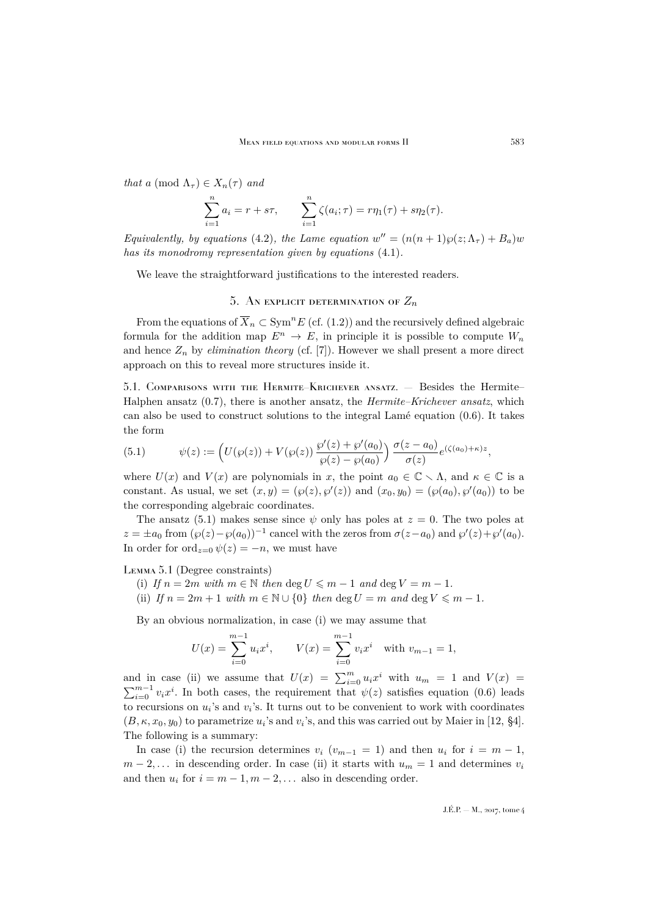*that* a (mod  $\Lambda_{\tau}$ )  $\in X_n(\tau)$  *and* 

$$
\sum_{i=1}^{n} a_i = r + s\tau, \qquad \sum_{i=1}^{n} \zeta(a_i; \tau) = r\eta_1(\tau) + s\eta_2(\tau).
$$

*Equivalently, by equations* [\(4.2\)](#page-26-1)*, the Lame equation*  $w'' = (n(n+1)\wp(z; \Lambda_\tau) + B_a)w$ *has its monodromy representation given by equations* [\(4.1\)](#page-26-2)*.*

We leave the straightforward justifications to the interested readers.

# 5. AN EXPLICIT DETERMINATION OF  $Z_n$

<span id="page-27-0"></span>From the equations of  $\overline{X}_n \subset \mathrm{Sym}^n E$  (cf. [\(1.2\)](#page-9-0)) and the recursively defined algebraic formula for the addition map  $E^n \to E$ , in principle it is possible to compute  $W_n$ and hence  $Z_n$  by *elimination theory* (cf. [\[7\]](#page-37-13)). However we shall present a more direct approach on this to reveal more structures inside it.

5.1. Comparisons with the Hermite–Krichever ansatz. — Besides the Hermite– Halphen ansatz [\(0.7\)](#page-3-3), there is another ansatz, the *Hermite–Krichever ansatz*, which can also be used to construct solutions to the integral Lamé equation [\(0.6\)](#page-3-1). It takes the form

<span id="page-27-1"></span>(5.1) 
$$
\psi(z) := \left( U(\wp(z)) + V(\wp(z)) \frac{\wp'(z) + \wp'(a_0)}{\wp(z) - \wp(a_0)} \right) \frac{\sigma(z - a_0)}{\sigma(z)} e^{(\zeta(a_0) + \kappa)z},
$$

where  $U(x)$  and  $V(x)$  are polynomials in x, the point  $a_0 \in \mathbb{C} \setminus \Lambda$ , and  $\kappa \in \mathbb{C}$  is a constant. As usual, we set  $(x, y) = (\wp(z), \wp'(z))$  and  $(x_0, y_0) = (\wp(a_0), \wp'(a_0))$  to be the corresponding algebraic coordinates.

The ansatz [\(5.1\)](#page-27-1) makes sense since  $\psi$  only has poles at  $z = 0$ . The two poles at  $z = \pm a_0$  from  $(\wp(z) - \wp(a_0))^{-1}$  cancel with the zeros from  $\sigma(z - a_0)$  and  $\wp'(z) + \wp'(a_0)$ . In order for ord<sub> $z=0$ </sub>  $\psi(z) = -n$ , we must have

Lemma 5.1 (Degree constraints)

- (i) If  $n = 2m$  with  $m \in \mathbb{N}$  then  $\deg U \leq m 1$  and  $\deg V = m 1$ .
- (ii) *If*  $n = 2m + 1$  *with*  $m \in \mathbb{N} \cup \{0\}$  *then* deg  $U = m$  *and* deg  $V \leq m 1$ *.*

By an obvious normalization, in case (i) we may assume that

$$
U(x) = \sum_{i=0}^{m-1} u_i x^i, \qquad V(x) = \sum_{i=0}^{m-1} v_i x^i \quad \text{with } v_{m-1} = 1,
$$

and in case (ii) we assume that  $U(x) = \sum_{i=0}^{m} u_i x^i$  with  $u_m = 1$  and  $V(x) =$  $\sum_{i=0}^{m-1} v_i x^i$ . In both cases, the requirement that  $\psi(z)$  satisfies equation [\(0.6\)](#page-3-1) leads to recursions on  $u_i$ 's and  $v_i$ 's. It turns out to be convenient to work with coordinates  $(B, \kappa, x_0, y_0)$  to parametrize  $u_i$ 's and  $v_i$ 's, and this was carried out by Maier in [\[12,](#page-37-8) §4]. The following is a summary:

In case (i) the recursion determines  $v_i$  ( $v_{m-1} = 1$ ) and then  $u_i$  for  $i = m-1$ ,  $m-2,...$  in descending order. In case (ii) it starts with  $u_m = 1$  and determines  $v_i$ and then  $u_i$  for  $i = m - 1, m - 2, \dots$  also in descending order.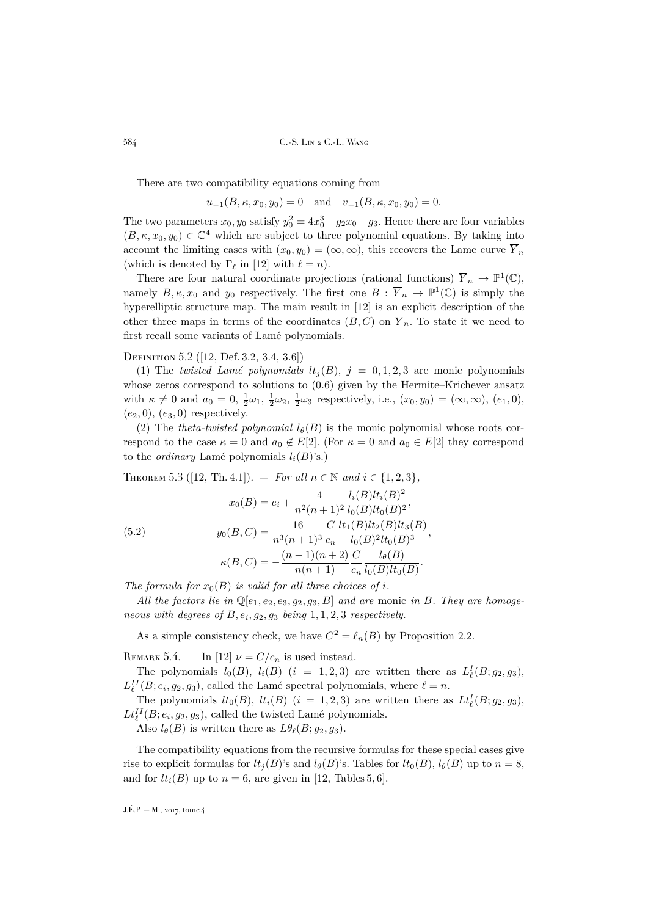There are two compatibility equations coming from

 $u_{-1}(B, \kappa, x_0, y_0) = 0$  and  $v_{-1}(B, \kappa, x_0, y_0) = 0.$ 

The two parameters  $x_0, y_0$  satisfy  $y_0^2 = 4x_0^3 - g_2x_0 - g_3$ . Hence there are four variables  $(B, \kappa, x_0, y_0) \in \mathbb{C}^4$  which are subject to three polynomial equations. By taking into account the limiting cases with  $(x_0, y_0) = (\infty, \infty)$ , this recovers the Lame curve  $\overline{Y}_n$ (which is denoted by  $\Gamma_{\ell}$  in [\[12\]](#page-37-8) with  $\ell = n$ ).

There are four natural coordinate projections (rational functions)  $\overline{Y}_n \to \mathbb{P}^1(\mathbb{C}),$ namely  $B, \kappa, x_0$  and  $y_0$  respectively. The first one  $B : \overline{Y}_n \to \mathbb{P}^1(\mathbb{C})$  is simply the hyperelliptic structure map. The main result in [\[12\]](#page-37-8) is an explicit description of the other three maps in terms of the coordinates  $(B, C)$  on  $\overline{Y}_n$ . To state it we need to first recall some variants of Lamé polynomials.

#### Definition 5.2 ([\[12,](#page-37-8) Def. 3.2, 3.4, 3.6])

(1) The *twisted Lamé polynomials*  $lt_j(B)$ ,  $j = 0, 1, 2, 3$  are monic polynomials whose zeros correspond to solutions to  $(0.6)$  given by the Hermite–Krichever ansatz with  $\kappa \neq 0$  and  $a_0 = 0, \frac{1}{2}\omega_1, \frac{1}{2}\omega_2, \frac{1}{2}\omega_3$  respectively, i.e.,  $(x_0, y_0) = (\infty, \infty), (e_1, 0),$  $(e_2, 0), (e_3, 0)$  respectively.

(2) The *theta-twisted polynomial*  $l_{\theta}(B)$  is the monic polynomial whose roots correspond to the case  $\kappa = 0$  and  $a_0 \notin E[2]$ . (For  $\kappa = 0$  and  $a_0 \in E[2]$  they correspond to the *ordinary* Lamé polynomials  $l_i(B)$ 's.)

<span id="page-28-1"></span><span id="page-28-0"></span>THEOREM 5.3 ([\[12,](#page-37-8) Th. 4.1]). — *For all*  $n \in \mathbb{N}$  and  $i \in \{1, 2, 3\}$ ,  $x_0(B) = e_i + \frac{4}{r^2}$  $n^2(n+1)^2$  $l_i(B)$  $lt_i(B)^2$  $\frac{\overline{u(B)vt(B)}}{l_0(B)lt_0(B)^2},$  $y_0(B, C) = \frac{16}{n^3(n+1)^3}$  $\mathcal{C}$  $\overline{c}_n$  $lt_1(B)lt_2(B)lt_3(B)$  $\frac{(D)^{iv_2}(D)^{iv_3}(D)}{l_0(B)^2lt_0(B)^3},$  $\kappa(B, C) = -\frac{(n-1)(n+2)}{(n+1)}$  $n(n+1)$  $\mathcal{C}$  $\overline{c}_n$  $l_\theta(B)$  $\frac{v_{\theta}(\mathbf{B})}{l_0(B)l t_0(B)}$ . (5.2)

The formula for  $x_0(B)$  *is valid for all three choices of i.* 

All the factors lie in  $\mathbb{Q}[e_1, e_2, e_3, q_2, q_3, B]$  and are monic in B. They are homoge*neous with degrees of*  $B, e_i, g_2, g_3$  *being*  $1, 1, 2, 3$  *respectively.* 

As a simple consistency check, we have  $C^2 = \ell_n(B)$  by Proposition [2.2.](#page-12-1)

REMARK 5.4. — In [\[12\]](#page-37-8)  $\nu = C/c_n$  is used instead.

The polynomials  $l_0(B)$ ,  $l_i(B)$   $(i = 1, 2, 3)$  are written there as  $L^I_{\ell}(B; g_2, g_3)$ ,  $L_{\ell}^{II}(B; e_i, g_2, g_3)$ , called the Lamé spectral polynomials, where  $\ell = n$ .

The polynomials  $lt_0(B)$ ,  $lt_i(B)$   $(i = 1, 2, 3)$  are written there as  $Lt_{\ell}^{I}(B; g_2, g_3)$ ,  $Lt_{\ell}^{II}(B; e_i, g_2, g_3)$ , called the twisted Lamé polynomials.

Also  $l_\theta(B)$  is written there as  $L\theta_\ell(B; g_2, g_3)$ .

The compatibility equations from the recursive formulas for these special cases give rise to explicit formulas for  $lt_i(B)$ 's and  $l_\theta(B)$ 's. Tables for  $lt_0(B)$ ,  $l_\theta(B)$  up to  $n = 8$ , and for  $lt_i(B)$  up to  $n = 6$ , are given in [\[12,](#page-37-8) Tables 5, 6].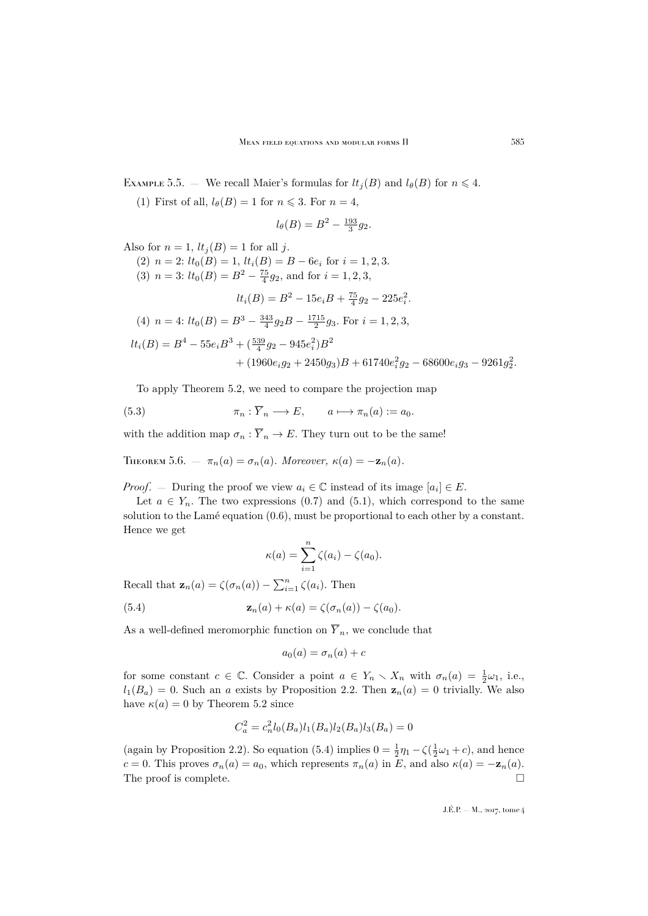<span id="page-29-2"></span>EXAMPLE 5.5. — We recall Maier's formulas for  $lt_i(B)$  and  $l_\theta(B)$  for  $n \leq 4$ .

(1) First of all,  $l_\theta(B) = 1$  for  $n \leq 3$ . For  $n = 4$ ,

$$
l_{\theta}(B) = B^2 - \frac{193}{3}g_2.
$$

Also for  $n = 1$ ,  $lt_i (B) = 1$  for all j.

- (2)  $n = 2$ :  $lt_0(B) = 1$ ,  $lt_i(B) = B 6e_i$  for  $i = 1, 2, 3$ .
- (3)  $n = 3$ :  $lt_0(B) = B^2 \frac{75}{4}g_2$ , and for  $i = 1, 2, 3$ ,

$$
lt_i(B) = B^2 - 15e_iB + \frac{75}{4}g_2 - 225e_i^2.
$$

(4) 
$$
n = 4
$$
:  $lt_0(B) = B^3 - \frac{343}{4}g_2B - \frac{1715}{2}g_3$ . For  $i = 1, 2, 3$ ,  
\n $lt_i(B) = B^4 - 55e_iB^3 + (\frac{539}{4}g_2 - 945e_i^2)B^2$   
\n $+ (1960e_ig_2 + 2450g_3)B + 61740e_i^2g_2 - 68600e_ig_3 - 9261g_2^2$ .

To apply Theorem [5.2,](#page-28-1) we need to compare the projection map

(5.3) 
$$
\pi_n : \overline{Y}_n \longrightarrow E, \qquad a \longmapsto \pi_n(a) := a_0.
$$

with the addition map  $\sigma_n : \overline{Y}_n \to E$ . They turn out to be the same!

<span id="page-29-0"></span>THEOREM 5.6. —  $\pi_n(a) = \sigma_n(a)$ *. Moreover,*  $\kappa(a) = -\mathbf{z}_n(a)$ *.* 

*Proof.* – During the proof we view  $a_i \in \mathbb{C}$  instead of its image  $[a_i] \in E$ .

Let  $a \in Y_n$ . The two expressions [\(0.7\)](#page-3-3) and [\(5.1\)](#page-27-1), which correspond to the same solution to the Lamé equation [\(0.6\)](#page-3-1), must be proportional to each other by a constant. Hence we get

<span id="page-29-1"></span>
$$
\kappa(a) = \sum_{i=1}^n \zeta(a_i) - \zeta(a_0).
$$

Recall that  $\mathbf{z}_n(a) = \zeta(\sigma_n(a)) - \sum_{i=1}^n \zeta(a_i)$ . Then

(5.4) 
$$
\mathbf{z}_n(a) + \kappa(a) = \zeta(\sigma_n(a)) - \zeta(a_0).
$$

As a well-defined meromorphic function on  $\overline{Y}_n$ , we conclude that

$$
a_0(a) = \sigma_n(a) + c
$$

for some constant  $c \in \mathbb{C}$ . Consider a point  $a \in Y_n \setminus X_n$  with  $\sigma_n(a) = \frac{1}{2}\omega_1$ , i.e.,  $l_1(B_a) = 0$ . Such an a exists by Proposition [2.2.](#page-12-1) Then  $z_n(a) = 0$  trivially. We also have  $\kappa(a) = 0$  by Theorem [5.2](#page-28-1) since

$$
C_a^2 = c_n^2 l_0(B_a) l_1(B_a) l_2(B_a) l_3(B_a) = 0
$$

(again by Proposition [2.2\)](#page-12-1). So equation [\(5.4\)](#page-29-1) implies  $0 = \frac{1}{2}\eta_1 - \zeta(\frac{1}{2}\omega_1 + c)$ , and hence c = 0. This proves  $\sigma_n(a) = a_0$ , which represents  $\pi_n(a)$  in E, and also  $\kappa(a) = -\mathbf{z}_n(a)$ . The proof is complete.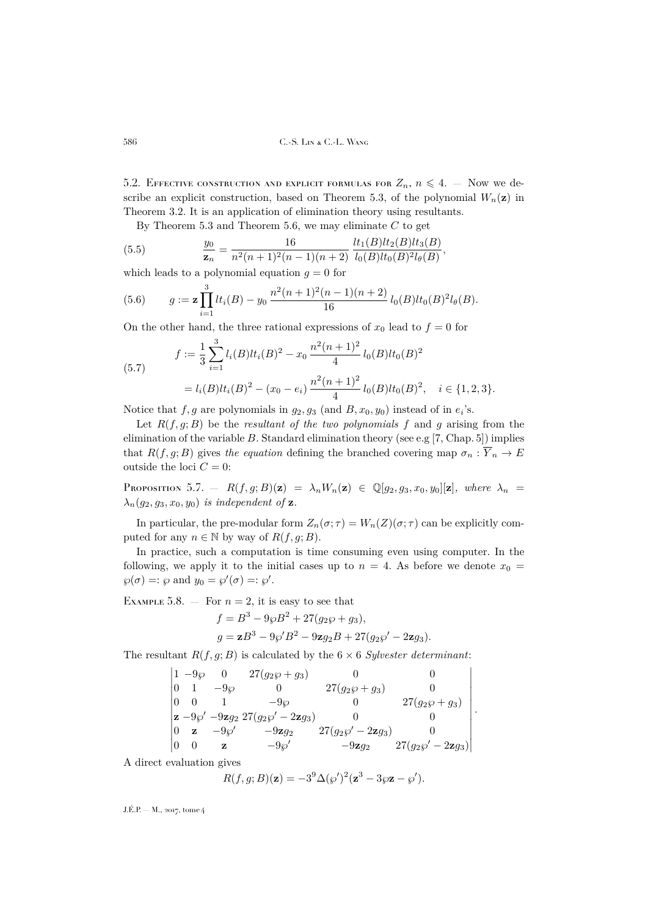5.2. EFFECTIVE CONSTRUCTION AND EXPLICIT FORMULAS FOR  $Z_n$ ,  $n \leq 4$ . – Now we de-scribe an explicit construction, based on Theorem [5.3,](#page-28-0) of the polynomial  $W_n(\mathbf{z})$  in Theorem [3.2.](#page-15-1) It is an application of elimination theory using resultants.

,

.

By Theorem [5.3](#page-28-0) and Theorem [5.6,](#page-29-0) we may eliminate  $C$  to get

(5.5) 
$$
\frac{y_0}{\mathbf{z}_n} = \frac{16}{n^2(n+1)^2(n-1)(n+2)} \frac{lt_1(B)lt_2(B)lt_3(B)}{l_0(B)lt_0(B)^2l_\theta(B)}
$$

which leads to a polynomial equation  $g = 0$  for

<span id="page-30-1"></span>(5.6) 
$$
g := \mathbf{z} \prod_{i=1}^{3} lt_i(B) - y_0 \frac{n^2(n+1)^2(n-1)(n+2)}{16} l_0(B)lt_0(B)^2 l_{\theta}(B).
$$

On the other hand, the three rational expressions of  $x_0$  lead to  $f = 0$  for

<span id="page-30-0"></span>(5.7) 
$$
f := \frac{1}{3} \sum_{i=1}^{3} l_i(B) l t_i(B)^2 - x_0 \frac{n^2(n+1)^2}{4} l_0(B) l t_0(B)^2
$$

$$
= l_i(B) l t_i(B)^2 - (x_0 - e_i) \frac{n^2(n+1)^2}{4} l_0(B) l t_0(B)^2, \quad i \in \{1, 2, 3\}.
$$

Notice that  $f, g$  are polynomials in  $g_2, g_3$  (and  $B, x_0, y_0$ ) instead of in  $e_i$ 's.

Let  $R(f, g; B)$  be the *resultant of the two polynomials* f and g arising from the elimination of the variable  $B$ . Standard elimination theory (see e.g [\[7,](#page-37-13) Chap. 5]) implies that  $R(f, g; B)$  gives the equation defining the branched covering map  $\sigma_n : \overline{Y}_n \to E$ outside the loci  $C = 0$ :

PROPOSITION 5.7. —  $R(f,g;B)(\mathbf{z}) = \lambda_n W_n(\mathbf{z}) \in \mathbb{Q}[g_2,g_3,x_0,y_0][\mathbf{z}],$  where  $\lambda_n =$  $\lambda_n(g_2, g_3, x_0, y_0)$  *is independent of* **z**.

In particular, the pre-modular form  $Z_n(\sigma;\tau) = W_n(Z)(\sigma;\tau)$  can be explicitly computed for any  $n \in \mathbb{N}$  by way of  $R(f, g; B)$ .

In practice, such a computation is time consuming even using computer. In the following, we apply it to the initial cases up to  $n = 4$ . As before we denote  $x_0 =$  $\wp(\sigma) =: \wp \text{ and } y_0 = \wp'(\sigma) =: \wp'.$ 

EXAMPLE 5.8.  $-$  For  $n = 2$ , it is easy to see that

$$
f = B3 - 9\wp B2 + 27(g_2\wp + g_3),
$$
  
\n
$$
g = \mathbf{z}B3 - 9\wp'B2 - 9\mathbf{z}g_2B + 27(g_2\wp' - 2\mathbf{z}g_3).
$$

The resultant  $R(f, g; B)$  is calculated by the  $6 \times 6$  *Sylvester determinant*:

$$
\begin{vmatrix}\n1 & -9\wp & 0 & 27(g_2\wp + g_3) & 0 & 0 \\
0 & 1 & -9\wp & 0 & 27(g_2\wp + g_3) & 0 \\
0 & 0 & 1 & -9\wp & 0 & 27(g_2\wp + g_3) \\
z - 9\wp' & -9zg_2 & 27(g_2\wp' - 2zg_3) & 0 & 0 \\
0 & z & -9\wp' & -9zg_2 & 27(g_2\wp' - 2zg_3) & 0 \\
0 & 0 & z & -9\wp' & -9zg_2 & 27(g_2\wp' - 2zg_3)\n\end{vmatrix}
$$

A direct evaluation gives

$$
R(f,g;B)(\mathbf{z})=-3^{9}\Delta(\wp')^{2}(\mathbf{z}^{3}-3\wp\mathbf{z}-\wp').
$$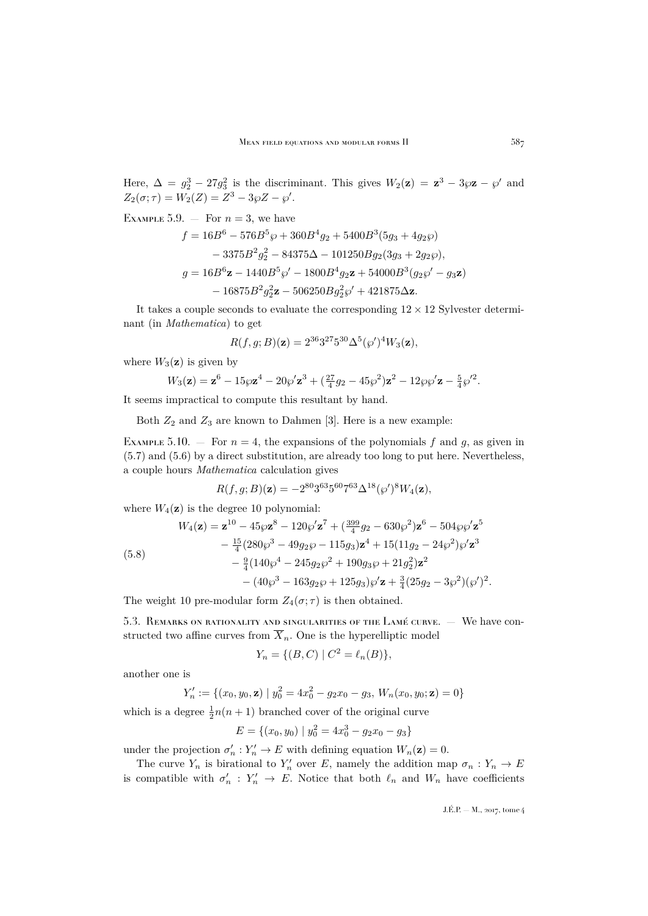Here,  $\Delta = g_2^3 - 27g_3^2$  is the discriminant. This gives  $W_2(\mathbf{z}) = \mathbf{z}^3 - 3\wp \mathbf{z} - \wp'$  and  $Z_2(\sigma; \tau) = W_2(Z) = Z^3 - 3\wp Z - \wp'.$ 

EXAMPLE 5.9.  $-$  For  $n = 3$ , we have

$$
f = 16B^{6} - 576B^{5}\wp + 360B^{4}g_{2} + 5400B^{3}(5g_{3} + 4g_{2}\wp)
$$
  
- 3375B<sup>2</sup>g<sub>2</sub><sup>2</sup> - 84375\Delta - 101250Bg<sub>2</sub>(3g\_{3} + 2g\_{2}\wp),  

$$
g = 16B^{6}\mathbf{z} - 1440B^{5}\wp' - 1800B^{4}g_{2}\mathbf{z} + 54000B^{3}(g_{2}\wp' - g_{3}\mathbf{z})
$$
  
- 16875B<sup>2</sup>g<sub>2</sub><sup>2</sup> $\mathbf{z} - 506250Bg_{2}^{2}\wp' + 421875\Delta \mathbf{z}.$ 

It takes a couple seconds to evaluate the corresponding  $12 \times 12$  Sylvester determinant (in *Mathematica*) to get

$$
R(f,g;B)(z) = 2^{36}3^{27}5^{30}\Delta^{5}(\wp')^4W_3(z),
$$

where  $W_3(z)$  is given by

$$
W_3(\mathbf{z}) = \mathbf{z}^6 - 15\wp \mathbf{z}^4 - 20\wp' \mathbf{z}^3 + \left(\frac{27}{4}g_2 - 45\wp^2\right) \mathbf{z}^2 - 12\wp \wp' \mathbf{z} - \frac{5}{4}\wp'^2.
$$

It seems impractical to compute this resultant by hand.

Both  $Z_2$  and  $Z_3$  are known to Dahmen [\[3\]](#page-37-7). Here is a new example:

<span id="page-31-0"></span>EXAMPLE 5.10. – For  $n = 4$ , the expansions of the polynomials f and g, as given in [\(5.7\)](#page-30-0) and [\(5.6\)](#page-30-1) by a direct substitution, are already too long to put here. Nevertheless, a couple hours *Mathematica* calculation gives

$$
R(f,g;B)(\mathbf{z}) = -2^{80}3^{63}5^{60}7^{63}\Delta^{18}(\wp')^8 W_4(\mathbf{z}),
$$

where  $W_4(\mathbf{z})$  is the degree 10 polynomial:

<span id="page-31-1"></span>(5.8)  
\n
$$
W_4(\mathbf{z}) = \mathbf{z}^{10} - 45\wp \mathbf{z}^8 - 120\wp' \mathbf{z}^7 + (\frac{399}{4}g_2 - 630\wp^2) \mathbf{z}^6 - 504\wp \wp' \mathbf{z}^5 - \frac{15}{4}(280\wp^3 - 49g_2\wp - 115g_3)\mathbf{z}^4 + 15(11g_2 - 24\wp^2)\wp' \mathbf{z}^3 - \frac{9}{4}(140\wp^4 - 245g_2\wp^2 + 190g_3\wp + 21g_2^2)\mathbf{z}^2 - (40\wp^3 - 163g_2\wp + 125g_3)\wp' \mathbf{z} + \frac{3}{4}(25g_2 - 3\wp^2)(\wp')^2.
$$

The weight 10 pre-modular form  $Z_4(\sigma;\tau)$  is then obtained.

5.3. Remarks on rationality and singularities of the Lamé curve. — We have constructed two affine curves from  $\overline{X}_n$ . One is the hyperelliptic model

$$
Y_n = \{ (B, C) \mid C^2 = \ell_n(B) \},
$$

another one is

$$
Y'_n := \{(x_0, y_0, \mathbf{z}) \mid y_0^2 = 4x_0^2 - g_2x_0 - g_3, W_n(x_0, y_0; \mathbf{z}) = 0\}
$$

which is a degree  $\frac{1}{2}n(n + 1)$  branched cover of the original curve

$$
E = \{(x_0, y_0) \mid y_0^2 = 4x_0^3 - g_2x_0 - g_3\}
$$

under the projection  $\sigma'_n : Y'_n \to E$  with defining equation  $W_n(\mathbf{z}) = 0$ .

The curve  $Y_n$  is birational to  $Y'_n$  over E, namely the addition map  $\sigma_n: Y_n \to E$ is compatible with  $\sigma'_n : Y'_n \to E$ . Notice that both  $\ell_n$  and  $W_n$  have coefficients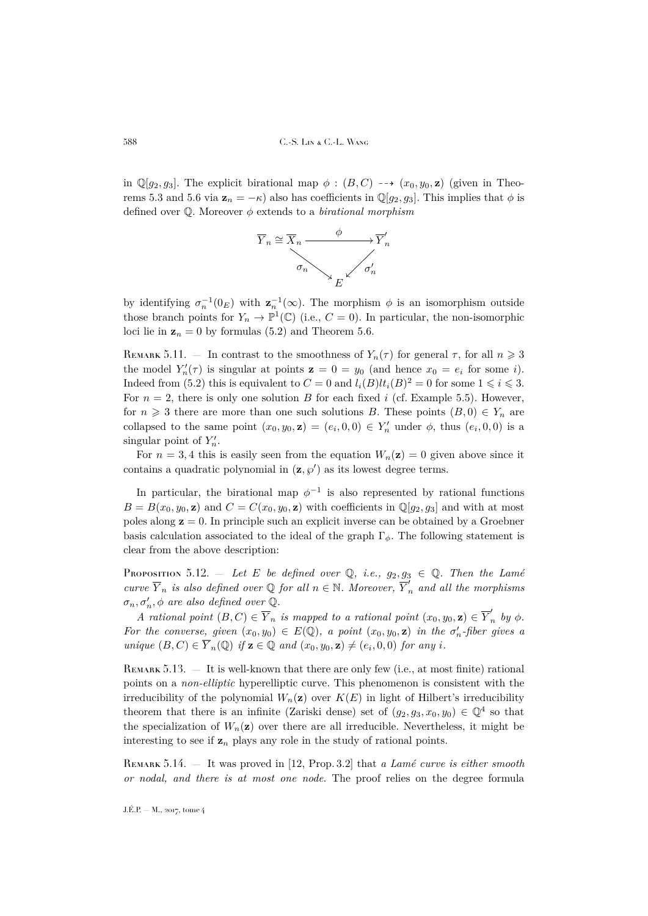in  $\mathbb{Q}[g_2, g_3]$ . The explicit birational map  $\phi : (B, C) \dashrightarrow (x_0, y_0, \mathbf{z})$  (given in Theo-rems [5.3](#page-28-0) and [5.6](#page-29-0) via  $\mathbf{z}_n = -\kappa$ ) also has coefficients in  $\mathbb{Q}[q_2, q_3]$ . This implies that  $\phi$  is defined over Q. Moreover φ extends to a *birational morphism*



by identifying  $\sigma_n^{-1}(0_E)$  with  $\mathbf{z}_n^{-1}(\infty)$ . The morphism  $\phi$  is an isomorphism outside those branch points for  $Y_n \to \mathbb{P}^1(\mathbb{C})$  (i.e.,  $C = 0$ ). In particular, the non-isomorphic loci lie in  $z_n = 0$  by formulas [\(5.2\)](#page-28-1) and Theorem [5.6.](#page-29-0)

REMARK 5.11. – In contrast to the smoothness of  $Y_n(\tau)$  for general  $\tau$ , for all  $n \geq 3$ the model  $Y'_n(\tau)$  is singular at points  $z = 0 = y_0$  (and hence  $x_0 = e_i$  for some i). Indeed from [\(5.2\)](#page-28-1) this is equivalent to  $C = 0$  and  $l_i(B)l_i(B)^2 = 0$  for some  $1 \leq i \leq 3$ . For  $n = 2$ , there is only one solution B for each fixed i (cf. Example [5.5\)](#page-29-2). However, for  $n \geq 3$  there are more than one such solutions B. These points  $(B, 0) \in Y_n$  are collapsed to the same point  $(x_0, y_0, \mathbf{z}) = (e_i, 0, 0) \in Y'_n$  under  $\phi$ , thus  $(e_i, 0, 0)$  is a singular point of  $Y'_n$ .

For  $n = 3, 4$  this is easily seen from the equation  $W_n(\mathbf{z}) = 0$  given above since it contains a quadratic polynomial in  $(\mathbf{z}, \varphi')$  as its lowest degree terms.

In particular, the birational map  $\phi^{-1}$  is also represented by rational functions  $B = B(x_0, y_0, \mathbf{z})$  and  $C = C(x_0, y_0, \mathbf{z})$  with coefficients in  $\mathbb{Q}[g_2, g_3]$  and with at most poles along  $z = 0$ . In principle such an explicit inverse can be obtained by a Groebner basis calculation associated to the ideal of the graph  $\Gamma_{\phi}$ . The following statement is clear from the above description:

PROPOSITION 5.12. — Let E be defined over  $\mathbb{Q}$ , *i.e.*,  $g_2, g_3 \in \mathbb{Q}$ . Then the Lamé *curve*  $\overline{Y}_n$  *is also defined over*  $\mathbb{Q}$  *for all*  $n \in \mathbb{N}$ *. Moreover*,  $\overline{Y}_n'$  *and all the morphisms*  $\sigma_n, \sigma'_n, \phi$  are also defined over  $\mathbb{Q}$ .

*A* rational point  $(B, C) \in \overline{Y}_n$  is mapped to a rational point  $(x_0, y_0, \mathbf{z}) \in \overline{Y}'_n$  $\int_{n}^{\prime}$  *by*  $\phi$ . *For the converse, given*  $(x_0, y_0) \in E(\mathbb{Q})$ , a point  $(x_0, y_0, \mathbf{z})$  in the  $\sigma'_n$ -fiber gives a *unique*  $(B, C) \in \overline{Y}_n(\mathbb{Q})$  *if*  $z \in \mathbb{Q}$  *and*  $(x_0, y_0, z) \neq (e_i, 0, 0)$  *for any i*.

REMARK 5.13. — It is well-known that there are only few (i.e., at most finite) rational points on a *non-elliptic* hyperelliptic curve. This phenomenon is consistent with the irreducibility of the polynomial  $W_n(\mathbf{z})$  over  $K(E)$  in light of Hilbert's irreducibility theorem that there is an infinite (Zariski dense) set of  $(g_2, g_3, x_0, y_0) \in \mathbb{Q}^4$  so that the specialization of  $W_n(\mathbf{z})$  over there are all irreducible. Nevertheless, it might be interesting to see if  $z_n$  plays any role in the study of rational points.

<span id="page-32-0"></span>Remark 5.14. — It was proved in [\[12,](#page-37-8) Prop. 3.2] that *a Lamé curve is either smooth or nodal, and there is at most one node*. The proof relies on the degree formula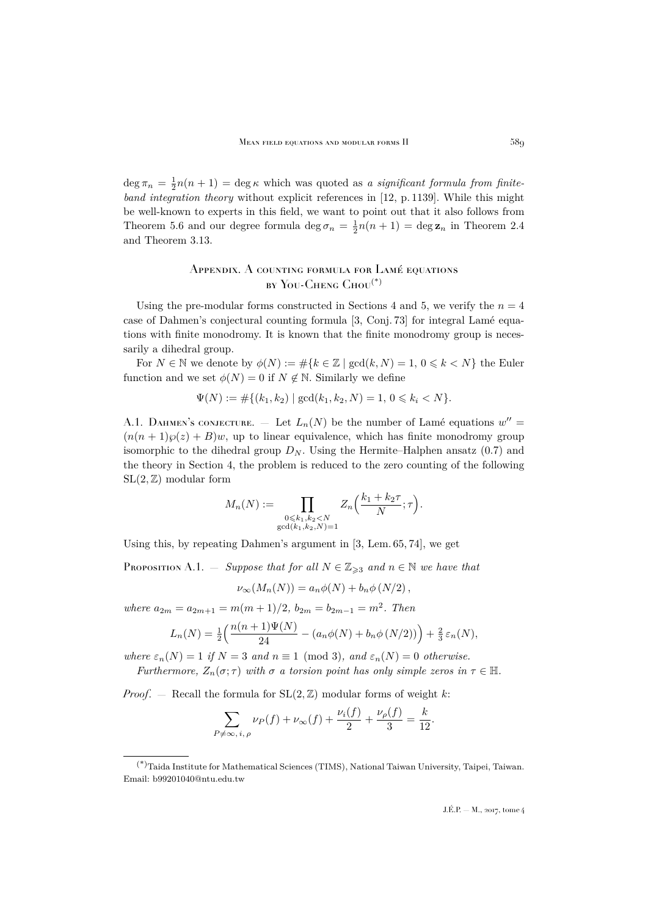$\deg \pi_n = \frac{1}{2}n(n+1) = \deg \kappa$  which was quoted as *a significant formula from finiteband integration theory* without explicit references in [\[12,](#page-37-8) p. 1139]. While this might be well-known to experts in this field, we want to point out that it also follows from Theorem [5.6](#page-29-0) and our degree formula  $\deg \sigma_n = \frac{1}{2}n(n+1) = \deg \mathbf{z}_n$  in Theorem [2.4](#page-13-0) and Theorem [3.13.](#page-24-1)

# <span id="page-33-0"></span>Appendix. A counting formula for Lamé equations by You-Cheng Chou<sup>(\*)</sup>

Using the pre-modular forms constructed in Sections [4](#page-24-0) and [5,](#page-27-0) we verify the  $n = 4$ case of Dahmen's conjectural counting formula [\[3,](#page-37-7) Conj. 73] for integral Lamé equations with finite monodromy. It is known that the finite monodromy group is necessarily a dihedral group.

For  $N \in \mathbb{N}$  we denote by  $\phi(N) := \#\{k \in \mathbb{Z} \mid \gcd(k, N) = 1, 0 \leq k \leq N\}$  the Euler function and we set  $\phi(N) = 0$  if  $N \notin \mathbb{N}$ . Similarly we define

$$
\Psi(N) := \#\{(k_1, k_2) \mid \gcd(k_1, k_2, N) = 1, 0 \le k_i < N\}.
$$

A.1. DAHMEN's CONJECTURE.  $-$  Let  $L_n(N)$  be the number of Lamé equations  $w'' =$  $(n(n+1)\wp(z) + B)w$ , up to linear equivalence, which has finite monodromy group isomorphic to the dihedral group  $D_N$ . Using the Hermite–Halphen ansatz [\(0.7\)](#page-3-3) and the theory in Section [4,](#page-24-0) the problem is reduced to the zero counting of the following  $SL(2, \mathbb{Z})$  modular form

$$
M_n(N) := \prod_{\substack{0 \le k_1, k_2 < N \\ \gcd(k_1, k_2, N) = 1}} Z_n\left(\frac{k_1 + k_2 \tau}{N}; \tau\right).
$$

Using this, by repeating Dahmen's argument in [\[3,](#page-37-7) Lem. 65, 74], we get

<span id="page-33-1"></span>**PROPOSITION** A.1. — *Suppose that for all*  $N \in \mathbb{Z}_{\geq 3}$  *and*  $n \in \mathbb{N}$  *we have that* 

$$
\nu_{\infty}(M_n(N)) = a_n \phi(N) + b_n \phi(N/2),
$$

*where*  $a_{2m} = a_{2m+1} = m(m+1)/2$ ,  $b_{2m} = b_{2m-1} = m^2$ . Then

$$
L_n(N) = \frac{1}{2} \left( \frac{n(n+1)\Psi(N)}{24} - (a_n \phi(N) + b_n \phi(N/2)) \right) + \frac{2}{3} \varepsilon_n(N),
$$

*where*  $\varepsilon_n(N) = 1$  *if*  $N = 3$  *and*  $n \equiv 1 \pmod{3}$ *, and*  $\varepsilon_n(N) = 0$  *otherwise. Furthermore,*  $Z_n(\sigma; \tau)$  *with*  $\sigma$  *a torsion point has only simple zeros in*  $\tau \in \mathbb{H}$ .

*Proof.* – Recall the formula for  $SL(2, \mathbb{Z})$  modular forms of weight k:

$$
\sum_{P \neq \infty, i, \rho} \nu_P(f) + \nu_\infty(f) + \frac{\nu_i(f)}{2} + \frac{\nu_\rho(f)}{3} = \frac{k}{12}.
$$

<sup>(\*)</sup>Taida Institute for Mathematical Sciences (TIMS), National Taiwan University, Taipei, Taiwan. Email: b99201040@ntu.edu.tw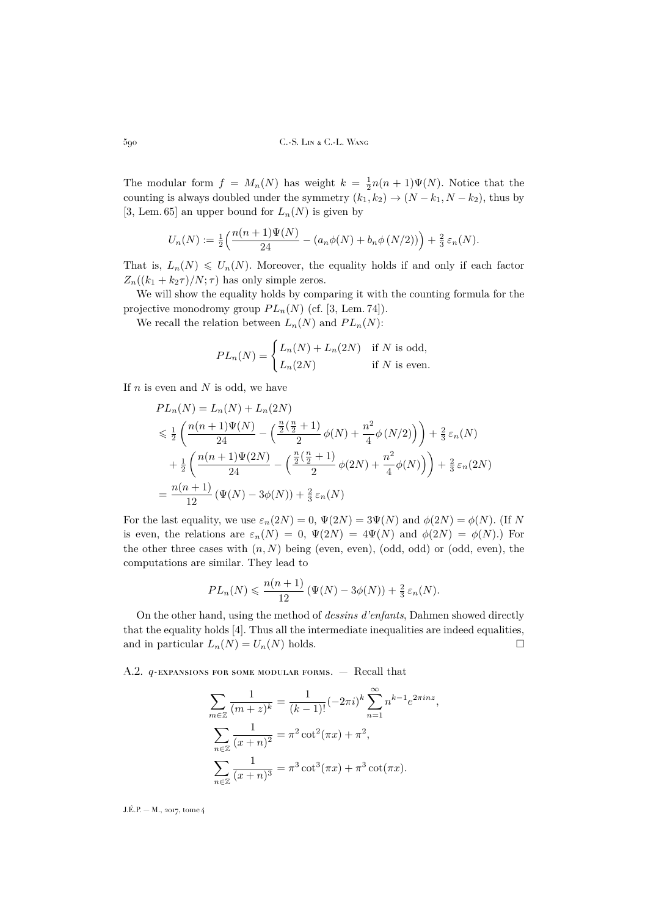The modular form  $f = M_n(N)$  has weight  $k = \frac{1}{2}n(n+1)\Psi(N)$ . Notice that the counting is always doubled under the symmetry  $(k_1, k_2) \rightarrow (N - k_1, N - k_2)$ , thus by [\[3,](#page-37-7) Lem. 65] an upper bound for  $L_n(N)$  is given by

$$
U_n(N) := \frac{1}{2} \left( \frac{n(n+1)\Psi(N)}{24} - (a_n \phi(N) + b_n \phi(N/2)) \right) + \frac{2}{3} \varepsilon_n(N).
$$

That is,  $L_n(N) \leq U_n(N)$ . Moreover, the equality holds if and only if each factor  $Z_n((k_1 + k_2\tau)/N; \tau)$  has only simple zeros.

We will show the equality holds by comparing it with the counting formula for the projective monodromy group  $PL_n(N)$  (cf. [\[3,](#page-37-7) Lem. 74]).

We recall the relation between  $L_n(N)$  and  $PL_n(N)$ :

$$
PL_n(N) = \begin{cases} L_n(N) + L_n(2N) & \text{if } N \text{ is odd,} \\ L_n(2N) & \text{if } N \text{ is even.} \end{cases}
$$

If  $n$  is even and  $N$  is odd, we have

$$
PL_n(N) = L_n(N) + L_n(2N)
$$
  
\n
$$
\leq \frac{1}{2} \left( \frac{n(n+1)\Psi(N)}{24} - \left( \frac{\frac{n}{2}(\frac{n}{2}+1)}{2} \phi(N) + \frac{n^2}{4} \phi(N/2) \right) \right) + \frac{2}{3} \varepsilon_n(N)
$$
  
\n
$$
+ \frac{1}{2} \left( \frac{n(n+1)\Psi(2N)}{24} - \left( \frac{\frac{n}{2}(\frac{n}{2}+1)}{2} \phi(2N) + \frac{n^2}{4} \phi(N) \right) \right) + \frac{2}{3} \varepsilon_n(2N)
$$
  
\n
$$
= \frac{n(n+1)}{12} (\Psi(N) - 3\phi(N)) + \frac{2}{3} \varepsilon_n(N)
$$

For the last equality, we use  $\varepsilon_n(2N) = 0$ ,  $\Psi(2N) = 3\Psi(N)$  and  $\phi(2N) = \phi(N)$ . (If N is even, the relations are  $\varepsilon_n(N) = 0$ ,  $\Psi(2N) = 4\Psi(N)$  and  $\phi(2N) = \phi(N)$ .) For the other three cases with  $(n, N)$  being (even, even), (odd, odd) or (odd, even), the computations are similar. They lead to

$$
PL_n(N) \leq \frac{n(n+1)}{12} (\Psi(N) - 3\phi(N)) + \frac{2}{3} \varepsilon_n(N).
$$

On the other hand, using the method of *dessins d'enfants*, Dahmen showed directly that the equality holds [\[4\]](#page-37-14). Thus all the intermediate inequalities are indeed equalities, and in particular  $L_n(N) = U_n(N)$  holds.

<span id="page-34-0"></span>A.2. *q*-expansions for some modular forms. – Recall that

$$
\sum_{m \in \mathbb{Z}} \frac{1}{(m+z)^k} = \frac{1}{(k-1)!} (-2\pi i)^k \sum_{n=1}^{\infty} n^{k-1} e^{2\pi i n z},
$$

$$
\sum_{n \in \mathbb{Z}} \frac{1}{(x+n)^2} = \pi^2 \cot^2(\pi x) + \pi^2,
$$

$$
\sum_{n \in \mathbb{Z}} \frac{1}{(x+n)^3} = \pi^3 \cot^3(\pi x) + \pi^3 \cot(\pi x).
$$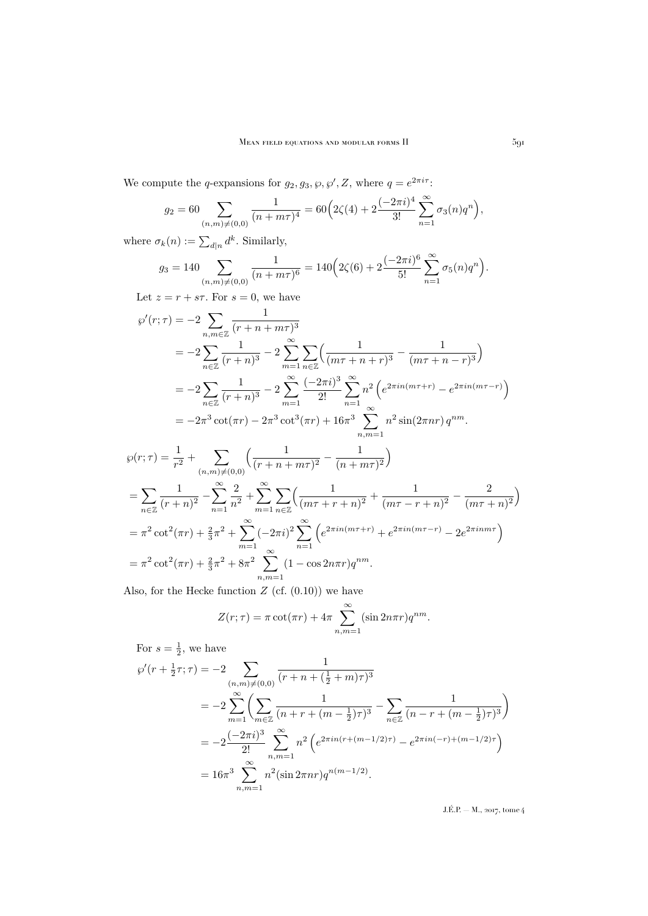We compute the q-expansions for  $g_2, g_3, \varphi, \varphi', Z$ , where  $q = e^{2\pi i \tau}$ :

$$
g_2 = 60 \sum_{(n,m)\neq(0,0)} \frac{1}{(n+m\tau)^4} = 60 \Big( 2\zeta(4) + 2 \frac{(-2\pi i)^4}{3!} \sum_{n=1}^{\infty} \sigma_3(n) q^n \Big),
$$

where  $\sigma_k(n) := \sum_{d|n} d^k$ . Similarly,

$$
g_3 = 140 \sum_{(n,m)\neq(0,0)} \frac{1}{(n+m\tau)^6} = 140 \Big( 2\zeta(6) + 2 \frac{(-2\pi i)^6}{5!} \sum_{n=1}^{\infty} \sigma_5(n) q^n \Big).
$$

Let  $z = r + s\tau$ . For  $s = 0$ , we have

$$
\varphi'(r;\tau) = -2 \sum_{n,m \in \mathbb{Z}} \frac{1}{(r+n+m\tau)^3}
$$
  
=  $-2 \sum_{n \in \mathbb{Z}} \frac{1}{(r+n)^3} - 2 \sum_{m=1}^{\infty} \sum_{n \in \mathbb{Z}} \left( \frac{1}{(m\tau+n+r)^3} - \frac{1}{(m\tau+n-r)^3} \right)$   
=  $-2 \sum_{n \in \mathbb{Z}} \frac{1}{(r+n)^3} - 2 \sum_{m=1}^{\infty} \frac{(-2\pi i)^3}{2!} \sum_{n=1}^{\infty} n^2 \left( e^{2\pi i n(m\tau+r)} - e^{2\pi i n(m\tau-r)} \right)$   
=  $-2\pi^3 \cot(\pi r) - 2\pi^3 \cot^3(\pi r) + 16\pi^3 \sum_{n,m=1}^{\infty} n^2 \sin(2\pi n r) q^{nm}.$   
 $r:\tau) - \frac{1}{\tau} + \sum_{n \in \mathbb{Z}} \left( \frac{1}{(m\tau+n+r)} - \frac{1}{(m\tau+n)} \right)$ 

$$
\wp(r;\tau) = \frac{1}{r^2} + \sum_{(n,m)\neq(0,0)} \left( \frac{1}{(r+n+m\tau)^2} - \frac{1}{(n+m\tau)^2} \right)
$$
  
= 
$$
\sum_{n\in\mathbb{Z}} \frac{1}{(r+n)^2} - \sum_{n=1}^{\infty} \frac{2}{n^2} + \sum_{m=1}^{\infty} \sum_{n\in\mathbb{Z}} \left( \frac{1}{(m\tau+r+n)^2} + \frac{1}{(m\tau-r+n)^2} - \frac{2}{(m\tau+n)^2} \right)
$$
  
= 
$$
\pi^2 \cot^2(\pi r) + \frac{2}{3}\pi^2 + \sum_{m=1}^{\infty} (-2\pi i)^2 \sum_{n=1}^{\infty} \left( e^{2\pi i n(m\tau+r)} + e^{2\pi i n(m\tau-r)} - 2e^{2\pi i nmr}\right)
$$
  
= 
$$
\pi^2 \cot^2(\pi r) + \frac{2}{3}\pi^2 + 8\pi^2 \sum_{n,m=1}^{\infty} (1 - \cos 2n\pi r) q^{nm}.
$$

Also, for the Hecke function  $Z$  (cf.  $(0.10)$ ) we have

$$
Z(r;\tau) = \pi \cot(\pi r) + 4\pi \sum_{n,m=1}^{\infty} (\sin 2n\pi r) q^{nm}.
$$

For  $s=\frac{1}{2}$ , we have

$$
\wp'(r + \frac{1}{2}\tau;\tau) = -2 \sum_{\substack{(n,m)\neq(0,0)\\m=1}} \frac{1}{(r+n+(\frac{1}{2}+m)\tau)^3}
$$
  
= 
$$
-2 \sum_{m=1}^{\infty} \left( \sum_{m\in\mathbb{Z}} \frac{1}{(n+r+(m-\frac{1}{2})\tau)^3} - \sum_{n\in\mathbb{Z}} \frac{1}{(n-r+(m-\frac{1}{2})\tau)^3} \right)
$$
  
= 
$$
-2 \frac{(-2\pi i)^3}{2!} \sum_{\substack{n,m=1\\n,m=1}}^{\infty} n^2 \left( e^{2\pi i n(r+(m-1/2)\tau)} - e^{2\pi i n(-r)+(m-1/2)\tau} \right)
$$
  
= 
$$
16\pi^3 \sum_{n,m=1}^{\infty} n^2 (\sin 2\pi n r) q^{n(m-1/2)}.
$$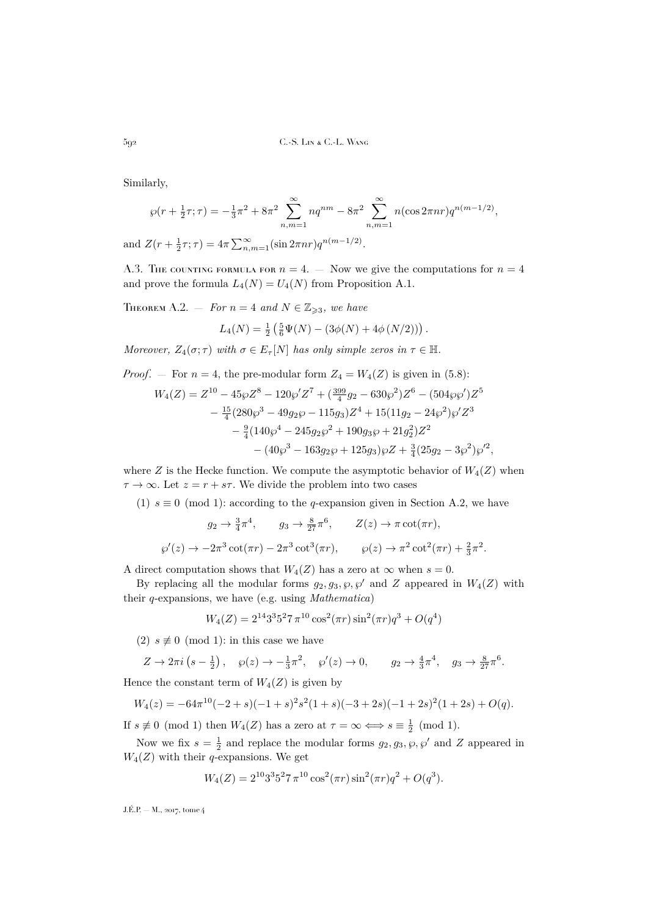Similarly,

$$
\wp(r + \frac{1}{2}\tau;\tau) = -\frac{1}{3}\pi^2 + 8\pi^2 \sum_{n,m=1}^{\infty} nq^{nm} - 8\pi^2 \sum_{n,m=1}^{\infty} n(\cos 2\pi n r)q^{n(m-1/2)},
$$
  

$$
Z(n + \frac{1}{2}\tau;\tau) = 4\pi \sum_{n,m=1}^{\infty} (n(n-1/2))q^{n(m-1/2)}.
$$

and  $Z(r + \frac{1}{2}\tau;\tau) = 4\pi \sum_{n,m=1}^{\infty} (\sin 2\pi n r) q^{n(m-1/2)}$ .

A.3. The counting formula for  $n = 4$ . — Now we give the computations for  $n = 4$ and prove the formula  $L_4(N) = U_4(N)$  from Proposition [A.1.](#page-33-1)

THEOREM A.2. — *For*  $n = 4$  *and*  $N \in \mathbb{Z}_{\geqslant 3}$ *, we have* 

$$
L_4(N) = \frac{1}{2} \left( \frac{5}{6} \Psi(N) - (3\phi(N) + 4\phi(N/2)) \right).
$$

*Moreover,*  $Z_4(\sigma; \tau)$  *with*  $\sigma \in E_{\tau}[N]$  *has only simple zeros in*  $\tau \in \mathbb{H}$ *.* 

*Proof.* – For  $n = 4$ , the pre-modular form  $Z_4 = W_4(Z)$  is given in [\(5.8\)](#page-31-1):

$$
W_4(Z) = Z^{10} - 45\wp Z^8 - 120\wp' Z^7 + (\frac{399}{4}g_2 - 630\wp^2)Z^6 - (504\wp\wp')Z^5 - \frac{15}{4}(280\wp^3 - 49g_2\wp - 115g_3)Z^4 + 15(11g_2 - 24\wp^2)\wp' Z^3 - \frac{9}{4}(140\wp^4 - 245g_2\wp^2 + 190g_3\wp + 21g_2^2)Z^2 - (40\wp^3 - 163g_2\wp + 125g_3)\wp Z + \frac{3}{4}(25g_2 - 3\wp^2)\wp'^2
$$

where Z is the Hecke function. We compute the asymptotic behavior of  $W_4(Z)$  when  $\tau \to \infty$ . Let  $z = r + s\tau$ . We divide the problem into two cases

,

(1)  $s \equiv 0 \pmod{1}$ : according to the q-expansion given in Section [A.2,](#page-34-0) we have

$$
g_2 \to \frac{3}{4}\pi^4, \qquad g_3 \to \frac{8}{27}\pi^6, \qquad Z(z) \to \pi \cot(\pi r),
$$
  

$$
\wp'(z) \to -2\pi^3 \cot(\pi r) - 2\pi^3 \cot^3(\pi r), \qquad \wp(z) \to \pi^2 \cot^2(\pi r) + \frac{2}{3}\pi^2.
$$

A direct computation shows that  $W_4(Z)$  has a zero at  $\infty$  when  $s = 0$ .

By replacing all the modular forms  $g_2, g_3, \wp, \wp'$  and Z appeared in  $W_4(Z)$  with their q-expansions, we have (e.g. using *Mathematica*)

$$
W_4(Z) = 2^{14}3^35^27 \pi^{10} \cos^2(\pi r) \sin^2(\pi r) q^3 + O(q^4)
$$

(2)  $s \not\equiv 0 \pmod{1}$ : in this case we have

$$
Z \to 2\pi i \left(s - \frac{1}{2}\right), \quad \wp(z) \to -\frac{1}{3}\pi^2, \quad \wp'(z) \to 0, \qquad g_2 \to \frac{4}{3}\pi^4, \quad g_3 \to \frac{8}{27}\pi^6.
$$

Hence the constant term of  $W_4(Z)$  is given by

$$
W_4(z) = -64\pi^{10}(-2+s)(-1+s)^2s^2(1+s)(-3+2s)(-1+2s)^2(1+2s) + O(q).
$$

If  $s \not\equiv 0 \pmod{1}$  then  $W_4(Z)$  has a zero at  $\tau = \infty \Longleftrightarrow s \equiv \frac{1}{2} \pmod{1}$ .

Now we fix  $s = \frac{1}{2}$  and replace the modular forms  $g_2, g_3, \wp, \wp'$  and Z appeared in  $W_4(Z)$  with their q-expansions. We get

$$
W_4(Z) = 2^{10}3^35^27 \pi^{10} \cos^2(\pi r) \sin^2(\pi r) q^2 + O(q^3).
$$